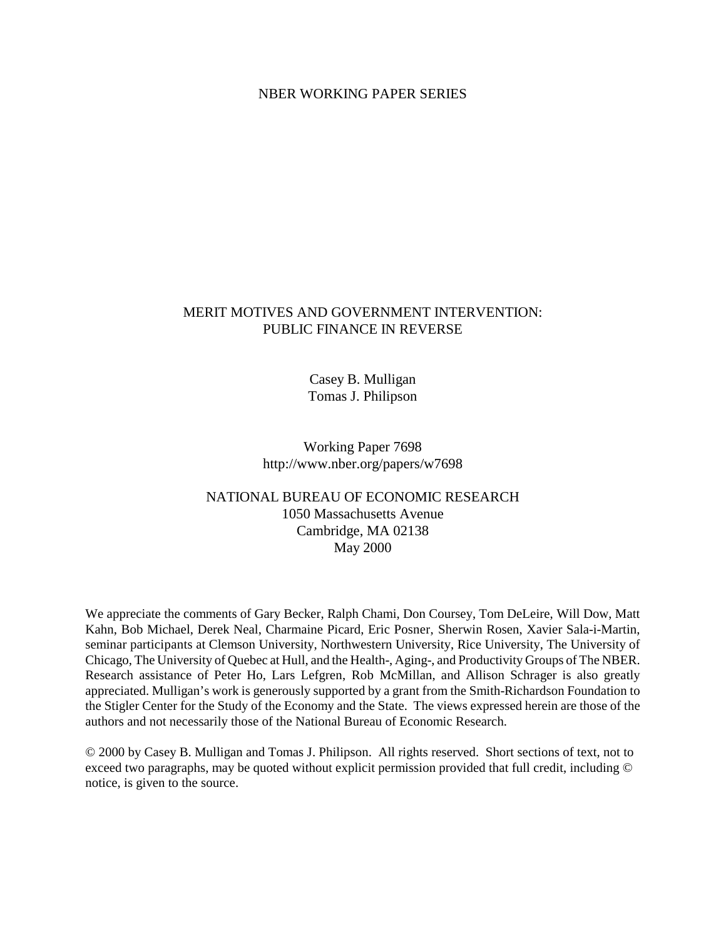### NBER WORKING PAPER SERIES

### MERIT MOTIVES AND GOVERNMENT INTERVENTION: PUBLIC FINANCE IN REVERSE

Casey B. Mulligan Tomas J. Philipson

Working Paper 7698 http://www.nber.org/papers/w7698

## NATIONAL BUREAU OF ECONOMIC RESEARCH 1050 Massachusetts Avenue Cambridge, MA 02138 May 2000

We appreciate the comments of Gary Becker, Ralph Chami, Don Coursey, Tom DeLeire, Will Dow, Matt Kahn, Bob Michael, Derek Neal, Charmaine Picard, Eric Posner, Sherwin Rosen, Xavier Sala-i-Martin, seminar participants at Clemson University, Northwestern University, Rice University, The University of Chicago, The University of Quebec at Hull, and the Health-, Aging-, and Productivity Groups of The NBER. Research assistance of Peter Ho, Lars Lefgren, Rob McMillan, and Allison Schrager is also greatly appreciated. Mulligan's work is generously supported by a grant from the Smith-Richardson Foundation to the Stigler Center for the Study of the Economy and the State. The views expressed herein are those of the authors and not necessarily those of the National Bureau of Economic Research.

© 2000 by Casey B. Mulligan and Tomas J. Philipson. All rights reserved. Short sections of text, not to exceed two paragraphs, may be quoted without explicit permission provided that full credit, including © notice, is given to the source.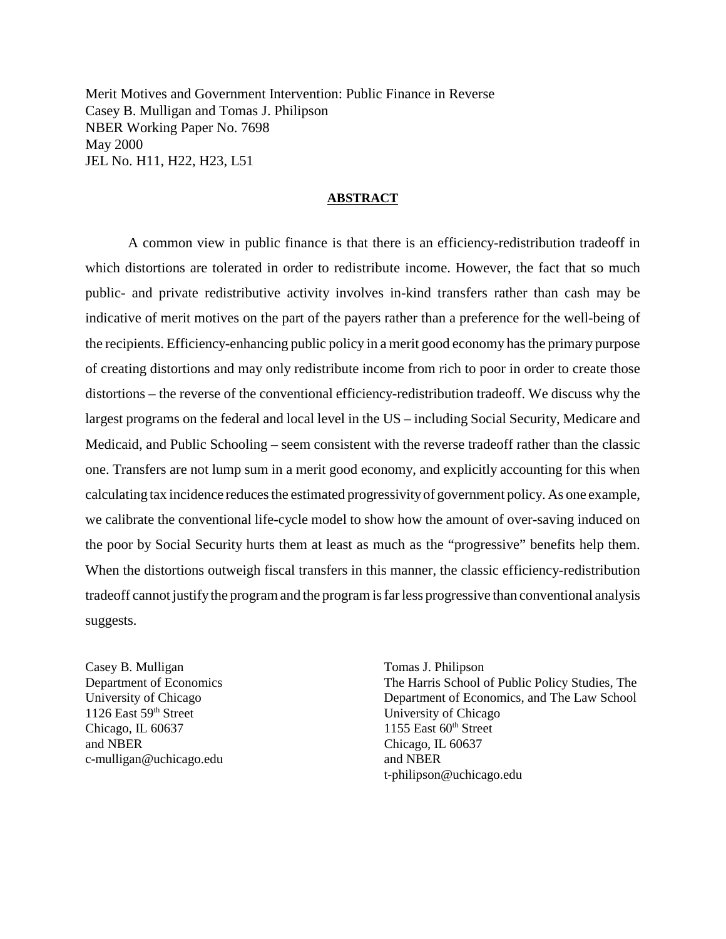Merit Motives and Government Intervention: Public Finance in Reverse Casey B. Mulligan and Tomas J. Philipson NBER Working Paper No. 7698 May 2000 JEL No. H11, H22, H23, L51

### **ABSTRACT**

A common view in public finance is that there is an efficiency-redistribution tradeoff in which distortions are tolerated in order to redistribute income. However, the fact that so much public- and private redistributive activity involves in-kind transfers rather than cash may be indicative of merit motives on the part of the payers rather than a preference for the well-being of the recipients. Efficiency-enhancing public policy in a merit good economy has the primary purpose of creating distortions and may only redistribute income from rich to poor in order to create those distortions – the reverse of the conventional efficiency-redistribution tradeoff. We discuss why the largest programs on the federal and local level in the US – including Social Security, Medicare and Medicaid, and Public Schooling – seem consistent with the reverse tradeoff rather than the classic one. Transfers are not lump sum in a merit good economy, and explicitly accounting for this when calculating tax incidence reduces the estimated progressivity of government policy. As one example, we calibrate the conventional life-cycle model to show how the amount of over-saving induced on the poor by Social Security hurts them at least as much as the "progressive" benefits help them. When the distortions outweigh fiscal transfers in this manner, the classic efficiency-redistribution tradeoff cannot justify the program and the program is far less progressive than conventional analysis suggests.

Casey B. Mulligan Tomas J. Philipson 1126 East 59<sup>th</sup> Street University of Chicago Chicago, IL  $60637$  1155 East  $60<sup>th</sup>$  Street and NBER Chicago, IL 60637 c-mulligan@uchicago.edu and NBER

Department of Economics The Harris School of Public Policy Studies, The University of Chicago Department of Economics, and The Law School t-philipson@uchicago.edu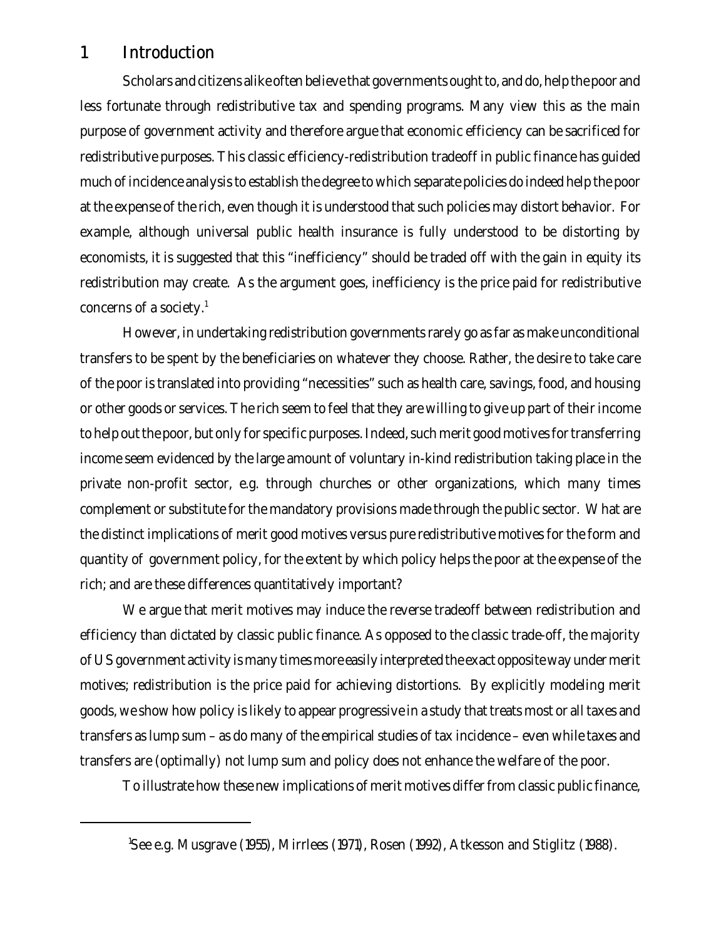# 1 Introduction

Scholars and citizens alike often believe that governments ought to, and do, help the poor and less fortunate through redistributive tax and spending programs. Many view this as the main purpose of government activity and therefore argue that economic efficiency can be sacrificed for redistributive purposes. This classic efficiency-redistribution tradeoff in public finance has guided much of incidence analysis to establish the degree to which separate policies do indeed help the poor at the expense of the rich, even though it is understood that such policies may distort behavior. For example, although universal public health insurance is fully understood to be distorting by economists, it is suggested that this "inefficiency" should be traded off with the gain in equity its redistribution may create. As the argument goes, inefficiency is the price paid for redistributive concerns of a society. $1$ 

However, in undertaking redistribution governments rarely go as far as make unconditional transfers to be spent by the beneficiaries on whatever they choose. Rather, the desire to take care of the poor is translated into providing "necessities" such as health care, savings, food, and housing or other goods or services. The rich seem to feel that they are willing to give up part of their income to help out the poor, but only for specific purposes. Indeed, such merit good motives for transferring income seem evidenced by the large amount of voluntary in-kind redistribution taking place in the private non-profit sector, e.g. through churches or other organizations, which many times complement or substitute for the mandatory provisions made through the public sector. What are the distinct implications of merit good motives versus pure redistributive motives for the form and quantity of government policy, for the extent by which policy helps the poor at the expense of the rich; and are these differences quantitatively important?

We argue that merit motives may induce the reverse tradeoff between redistribution and efficiency than dictated by classic public finance. As opposed to the classic trade-off, the majority of US government activity is many times more easily interpreted the exact opposite way under merit motives; redistribution is the price paid for achieving distortions. By explicitly modeling merit goods, we show how policy is likely to appear progressive in a study that treats most or all taxes and transfers as lump sum – as do many of the empirical studies of tax incidence – even while taxes and transfers are (optimally) not lump sum and policy does not enhance the welfare of the poor.

To illustrate how these new implications of merit motives differ from classic public finance,

<sup>1</sup>See e.g. Musgrave (1955), Mirrlees (1971), Rosen (1992), Atkesson and Stiglitz (1988).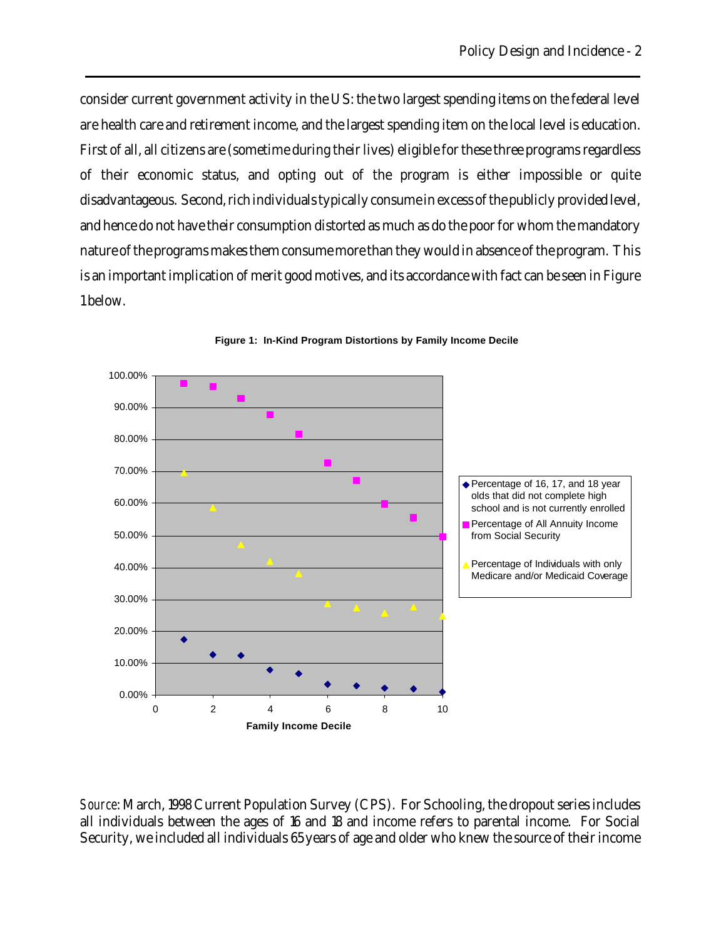consider current government activity in the US: the two largest spending items on the federal level are health care and retirement income, and the largest spending item on the local level is education. First of all, all citizens are (sometime during their lives) eligible for these three programs regardless of their economic status, and opting out of the program is either impossible or quite disadvantageous. Second, rich individuals typically consume in excess of the publicly provided level, and hence do not have their consumption distorted as much as do the poor for whom the mandatory nature of the programs makes them consume more than they would in absence of the program. This is an important implication of merit good motives, and its accordance with fact can be seen in Figure 1 below.



**Figure 1: In-Kind Program Distortions by Family Income Decile**

*Source*: March, 1998 Current Population Survey (CPS). For Schooling, the dropout series includes all individuals between the ages of 16 and 18 and income refers to parental income. For Social Security, we included all individuals 65 years of age and older who knew the source of their income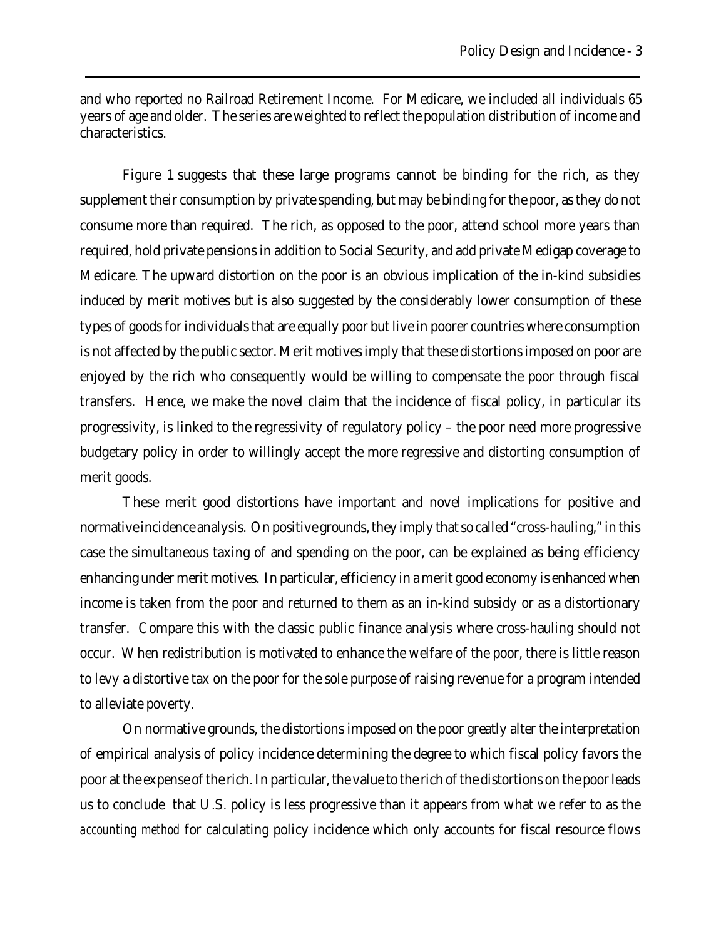and who reported no Railroad Retirement Income. For Medicare, we included all individuals 65 years of age and older. The series are weighted to reflect the population distribution of income and characteristics.

Figure 1 suggests that these large programs cannot be binding for the rich, as they supplement their consumption by private spending, but may be binding for the poor, as they do not consume more than required. The rich, as opposed to the poor, attend school more years than required, hold private pensions in addition to Social Security, and add private Medigap coverage to Medicare. The upward distortion on the poor is an obvious implication of the in-kind subsidies induced by merit motives but is also suggested by the considerably lower consumption of these types of goods for individuals that are equally poor but live in poorer countries where consumption is not affected by the public sector. Merit motives imply that these distortions imposed on poor are enjoyed by the rich who consequently would be willing to compensate the poor through fiscal transfers. Hence, we make the novel claim that the incidence of fiscal policy, in particular its progressivity, is linked to the regressivity of regulatory policy – the poor need more progressive budgetary policy in order to willingly accept the more regressive and distorting consumption of merit goods.

These merit good distortions have important and novel implications for positive and normative incidence analysis. On positive grounds, they imply that so called "cross-hauling," in this case the simultaneous taxing of and spending on the poor, can be explained as being efficiency enhancing under merit motives. In particular, efficiency in a merit good economy is enhanced when income is taken from the poor and returned to them as an in-kind subsidy or as a distortionary transfer. Compare this with the classic public finance analysis where cross-hauling should not occur. When redistribution is motivated to enhance the welfare of the poor, there is little reason to levy a distortive tax on the poor for the sole purpose of raising revenue for a program intended to alleviate poverty.

On normative grounds, the distortions imposed on the poor greatly alter the interpretation of empirical analysis of policy incidence determining the degree to which fiscal policy favors the poor at the expense of the rich. In particular, the value to the rich of the distortions on the poor leads us to conclude that U.S. policy is less progressive than it appears from what we refer to as the *accounting method* for calculating policy incidence which only accounts for fiscal resource flows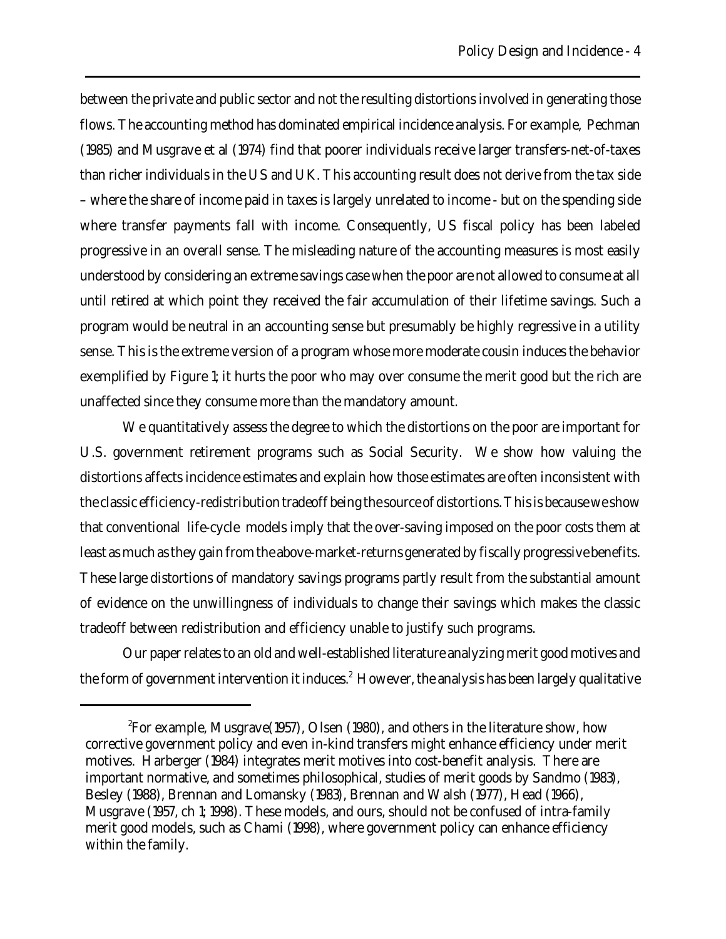between the private and public sector and not the resulting distortions involved in generating those flows. The accounting method has dominated empirical incidence analysis. For example, Pechman (1985) and Musgrave et al (1974) find that poorer individuals receive larger transfers-net-of-taxes than richer individuals in the US and UK. This accounting result does not derive from the tax side – where the share of income paid in taxes is largely unrelated to income - but on the spending side where transfer payments fall with income. Consequently, US fiscal policy has been labeled progressive in an overall sense. The misleading nature of the accounting measures is most easily understood by considering an extreme savings case when the poor are not allowed to consume at all until retired at which point they received the fair accumulation of their lifetime savings. Such a program would be neutral in an accounting sense but presumably be highly regressive in a utility sense. This is the extreme version of a program whose more moderate cousin induces the behavior exemplified by Figure 1; it hurts the poor who may over consume the merit good but the rich are unaffected since they consume more than the mandatory amount.

We quantitatively assess the degree to which the distortions on the poor are important for U.S. government retirement programs such as Social Security. We show how valuing the distortions affects incidence estimates and explain how those estimates are often inconsistent with the classic efficiency-redistribution tradeoff being the source of distortions. This is because we show that conventional life-cycle models imply that the over-saving imposed on the poor costs them at least as much as they gain from the above-market-returns generated by fiscally progressive benefits. These large distortions of mandatory savings programs partly result from the substantial amount of evidence on the unwillingness of individuals to change their savings which makes the classic tradeoff between redistribution and efficiency unable to justify such programs.

Our paper relates to an old and well-established literature analyzing merit good motives and the form of government intervention it induces. $^2$  However, the analysis has been largely qualitative

<sup>&</sup>lt;sup>2</sup>For example, Musgrave(1957), Olsen (1980), and others in the literature show, how corrective government policy and even in-kind transfers might enhance efficiency under merit motives. Harberger (1984) integrates merit motives into cost-benefit analysis. There are important normative, and sometimes philosophical, studies of merit goods by Sandmo (1983), Besley (1988), Brennan and Lomansky (1983), Brennan and Walsh (1977), Head (1966), Musgrave (1957, ch 1; 1998). These models, and ours, should not be confused of intra-family merit good models, such as Chami (1998), where government policy can enhance efficiency within the family.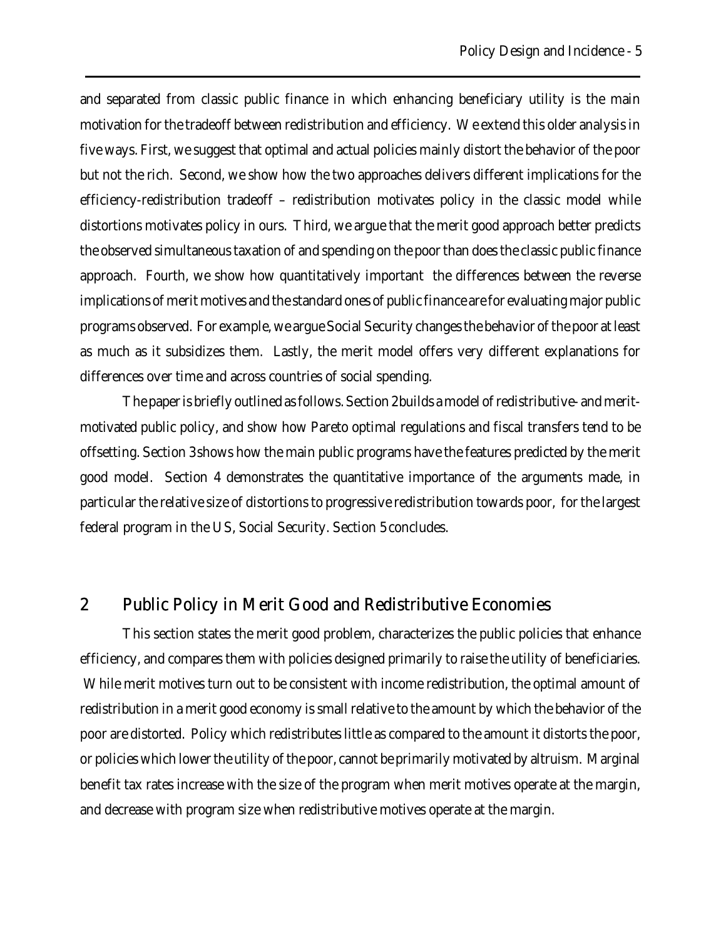and separated from classic public finance in which enhancing beneficiary utility is the main motivation for the tradeoff between redistribution and efficiency. We extend this older analysis in five ways. First, we suggest that optimal and actual policies mainly distort the behavior of the poor but not the rich. Second, we show how the two approaches delivers different implications for the efficiency-redistribution tradeoff – redistribution motivates policy in the classic model while distortions motivates policy in ours. Third, we argue that the merit good approach better predicts the observed simultaneous taxation of and spending on the poor than does the classic public finance approach. Fourth, we show how quantitatively important the differences between the reverse implications of merit motives and the standard ones of public finance are for evaluating major public programs observed. For example, we argue Social Security changes the behavior of the poor at least as much as it subsidizes them. Lastly, the merit model offers very different explanations for differences over time and across countries of social spending.

The paper is briefly outlined as follows. Section 2 builds a model of redistributive- and meritmotivated public policy, and show how Pareto optimal regulations and fiscal transfers tend to be offsetting. Section 3 shows how the main public programs have the features predicted by the merit good model. Section 4 demonstrates the quantitative importance of the arguments made, in particular the relative size of distortions to progressive redistribution towards poor, for the largest federal program in the US, Social Security. Section 5 concludes.

# 2 Public Policy in Merit Good and Redistributive Economies

This section states the merit good problem, characterizes the public policies that enhance efficiency, and compares them with policies designed primarily to raise the utility of beneficiaries. While merit motives turn out to be consistent with income redistribution, the optimal amount of redistribution in a merit good economy is small relative to the amount by which the behavior of the poor are distorted. Policy which redistributes little as compared to the amount it distorts the poor, or policies which lower the utility of the poor, cannot be primarily motivated by altruism. Marginal benefit tax rates increase with the size of the program when merit motives operate at the margin, and decrease with program size when redistributive motives operate at the margin.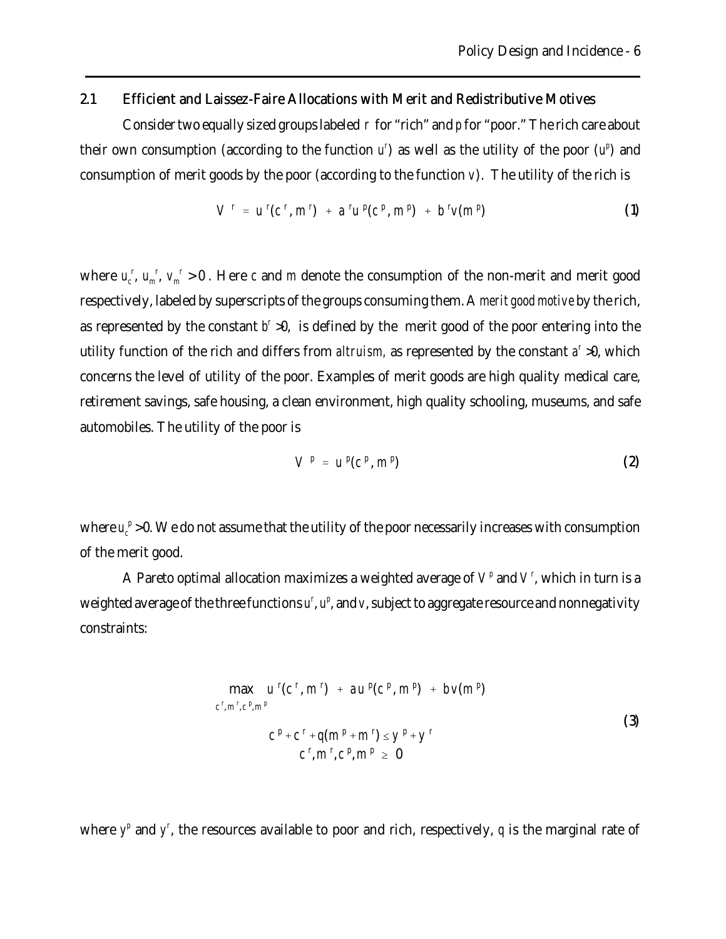### 2.1 Efficient and Laissez-Faire Allocations with Merit and Redistributive Motives

Consider two equally sized groups labeled *r* for "rich" and *p* for "poor." The rich care about their own consumption (according to the function  $u'$ ) as well as the utility of the poor  $(u'')$  and consumption of merit goods by the poor (according to the function *v*). The utility of the rich is

$$
V^r = u^r(c^r, m^r) + a^r u^p(c^p, m^p) + b^r v(m^p)
$$
 (1)

where  $u_c^r$ ,  $u_m^r$ ,  $v_m^r > 0$ . Here *c* and *m* denote the consumption of the non-merit and merit good respectively, labeled by superscripts of the groups consuming them. A *merit good motive* by the rich, as represented by the constant  $b^r > 0$ , is defined by the merit good of the poor entering into the utility function of the rich and differs from *altruism*, as represented by the constant  $a^r > 0$ , which concerns the level of utility of the poor. Examples of merit goods are high quality medical care, retirement savings, safe housing, a clean environment, high quality schooling, museums, and safe automobiles. The utility of the poor is

$$
V^p = u^p(c^p, m^p) \tag{2}
$$

where  $u_c^p > 0$ . We do not assume that the utility of the poor necessarily increases with consumption of the merit good.

A Pareto optimal allocation maximizes a weighted average of  $V^p$  and  $V^r$ , which in turn is a weighted average of the three functions  $u^r$ ,  $u^p$ , and  $v$ , subject to aggregate resource and nonnegativity constraints:

$$
\max_{c^r, m^r, c^p, m^p} u^r(c^r, m^r) + au^p(c^p, m^p) + bv(m^p) \nc^r, m^r, c^p, m^p \nc^p + c^r + q(m^p + m^r) \le y^p + y^r \nc^r, m^r, c^p, m^p \ge 0
$$
\n(3)

where  $y^p$  and  $y^r$ , the resources available to poor and rich, respectively,  $q$  is the marginal rate of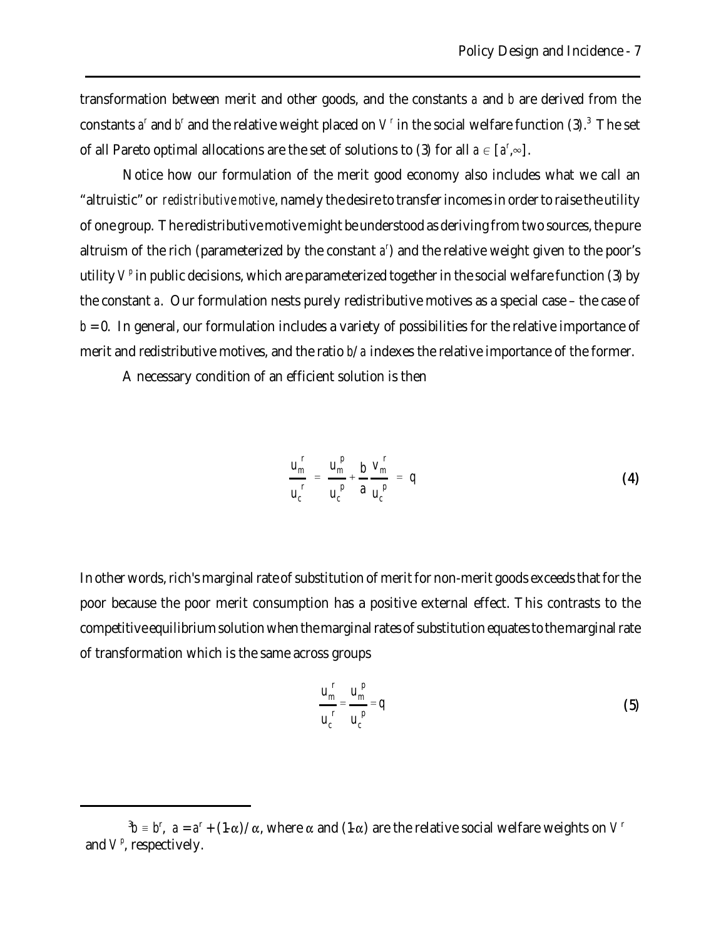transformation between merit and other goods, and the constants *a* and *b* are derived from the constants  $a^r$  and  $b^r$  and the relative weight placed on  $V^r$  in the social welfare function (3).<sup>3</sup> The set of all Pareto optimal allocations are the set of solutions to (3) for all  $a \in [a^r, \infty]$ .

Notice how our formulation of the merit good economy also includes what we call an "altruistic" or *redistributive motive*, namely the desire to transfer incomes in order to raise the utility of one group. The redistributive motive might be understood as deriving from two sources, the pure altruism of the rich (parameterized by the constant *a r* ) and the relative weight given to the poor's utility  $V^p$  in public decisions, which are parameterized together in the social welfare function (3) by the constant *a*. Our formulation nests purely redistributive motives as a special case – the case of  $b = 0$ . In general, our formulation includes a variety of possibilities for the relative importance of merit and redistributive motives, and the ratio *b*/*a* indexes the relative importance of the former.

A necessary condition of an efficient solution is then

$$
\frac{u_m^r}{u_c^r} = \frac{u_m^p}{u_c^p} + \frac{b}{a} \frac{v_m^r}{u_c^p} = q
$$
\n(4)

In other words, rich's marginal rate of substitution of merit for non-merit goods exceeds that for the poor because the poor merit consumption has a positive external effect. This contrasts to the competitive equilibrium solution when the marginal rates of substitution equates to the marginal rate of transformation which is the same across groups

$$
\frac{u_m^{\,r}}{u_c^{\,r}} = \frac{u_m^{\,p}}{u_c^{\,p}} = q \tag{5}
$$

 $^3b$  = *b*<sup>r</sup>, *a* = *a*<sup>r</sup> + (1- $\alpha$ )/ $\alpha$ , where  $\alpha$  and (1- $\alpha$ ) are the relative social welfare weights on  $V^r$ and  $V^p$ , respectively.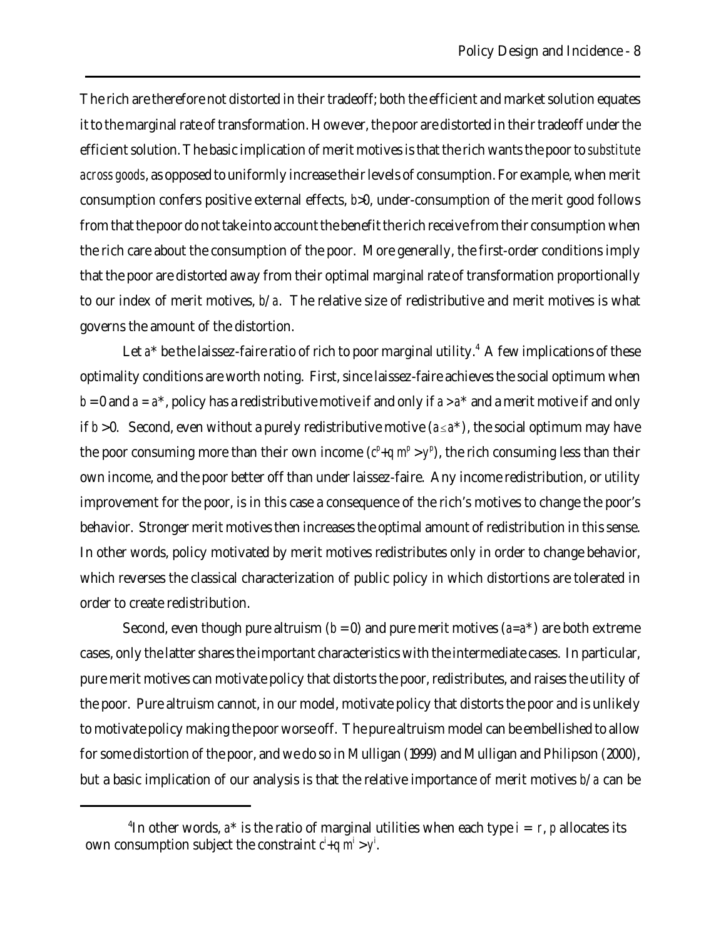The rich are therefore not distorted in their tradeoff; both the efficient and market solution equates it to the marginal rate of transformation. However, the poor are distorted in their tradeoff under the efficient solution. The basic implication of merit motives is that the rich wants the poor to *substitute across goods*, as opposed to uniformly increase their levels of consumption. For example, when merit consumption confers positive external effects, *b*>0, under-consumption of the merit good follows from that the poor do not take into account the benefit the rich receive from their consumption when the rich care about the consumption of the poor. More generally, the first-order conditions imply that the poor are distorted away from their optimal marginal rate of transformation proportionally to our index of merit motives, *b*/*a*. The relative size of redistributive and merit motives is what governs the amount of the distortion.

Let a<sup>\*</sup> be the laissez-faire ratio of rich to poor marginal utility.<sup>4</sup> A few implications of these optimality conditions are worth noting. First, since laissez-faire achieves the social optimum when  $b = 0$  and  $a = a^*$ , policy has a redistributive motive if and only if  $a > a^*$  and a merit motive if and only if  $b > 0$ . Second, even without a purely redistributive motive  $(a \le a^*)$ , the social optimum may have the poor consuming more than their own income  $(c^p + q \, m^p > y^p)$ , the rich consuming less than their own income, and the poor better off than under laissez-faire. Any income redistribution, or utility improvement for the poor, is in this case a consequence of the rich's motives to change the poor's behavior. Stronger merit motives then increases the optimal amount of redistribution in this sense. In other words, policy motivated by merit motives redistributes only in order to change behavior, which reverses the classical characterization of public policy in which distortions are tolerated in order to create redistribution.

Second, even though pure altruism  $(b = 0)$  and pure merit motives  $(a=a^*)$  are both extreme cases, only the latter shares the important characteristics with the intermediate cases. In particular, pure merit motives can motivate policy that distorts the poor, redistributes, and raises the utility of the poor. Pure altruism cannot, in our model, motivate policy that distorts the poor and is unlikely to motivate policy making the poor worse off. The pure altruism model can be embellished to allow for some distortion of the poor, and we do so in Mulligan (1999) and Mulligan and Philipson (2000), but a basic implication of our analysis is that the relative importance of merit motives *b*/*a* can be

<sup>&</sup>lt;sup>4</sup>In other words,  $a^*$  is the ratio of marginal utilities when each type  $i = r$ ,  $p$  allocates its own consumption subject the constraint  $c^i + q$  *m<sup>i</sup>* > *y*<sup>*i*</sup>.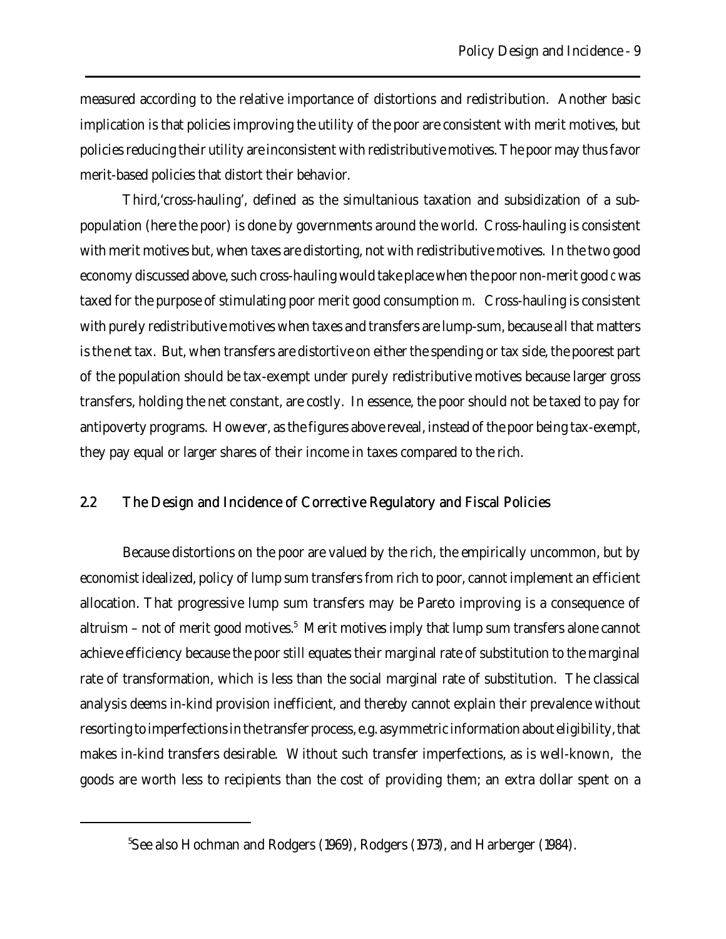measured according to the relative importance of distortions and redistribution. Another basic implication is that policies improving the utility of the poor are consistent with merit motives, but policies reducing their utility are inconsistent with redistributive motives. The poor may thus favor merit-based policies that distort their behavior.

Third,'cross-hauling', defined as the simultanious taxation and subsidization of a subpopulation (here the poor) is done by governments around the world. Cross-hauling is consistent with merit motives but, when taxes are distorting, not with redistributive motives. In the two good economy discussed above, such cross-hauling would take place when the poor non-merit good *c* was taxed for the purpose of stimulating poor merit good consumption *m*. Cross-hauling is consistent with purely redistributive motives when taxes and transfers are lump-sum, because all that matters is the net tax. But, when transfers are distortive on either the spending or tax side, the poorest part of the population should be tax-exempt under purely redistributive motives because larger gross transfers, holding the net constant, are costly. In essence, the poor should not be taxed to pay for antipoverty programs. However, as the figures above reveal, instead of the poor being tax-exempt, they pay equal or larger shares of their income in taxes compared to the rich.

## 2.2 The Design and Incidence of Corrective Regulatory and Fiscal Policies

Because distortions on the poor are valued by the rich, the empirically uncommon, but by economist idealized, policy of lump sum transfers from rich to poor, cannot implement an efficient allocation. That progressive lump sum transfers may be Pareto improving is a consequence of altruism – not of merit good motives.<sup>5</sup> Merit motives imply that lump sum transfers alone cannot achieve efficiency because the poor still equates their marginal rate of substitution to the marginal rate of transformation, which is less than the social marginal rate of substitution. The classical analysis deems in-kind provision inefficient, and thereby cannot explain their prevalence without resorting to imperfections in the transfer process, e.g. asymmetric information about eligibility, that makes in-kind transfers desirable. Without such transfer imperfections, as is well-known, the goods are worth less to recipients than the cost of providing them; an extra dollar spent on a

<sup>&</sup>lt;sup>5</sup>See also Hochman and Rodgers (1969), Rodgers (1973), and Harberger (1984).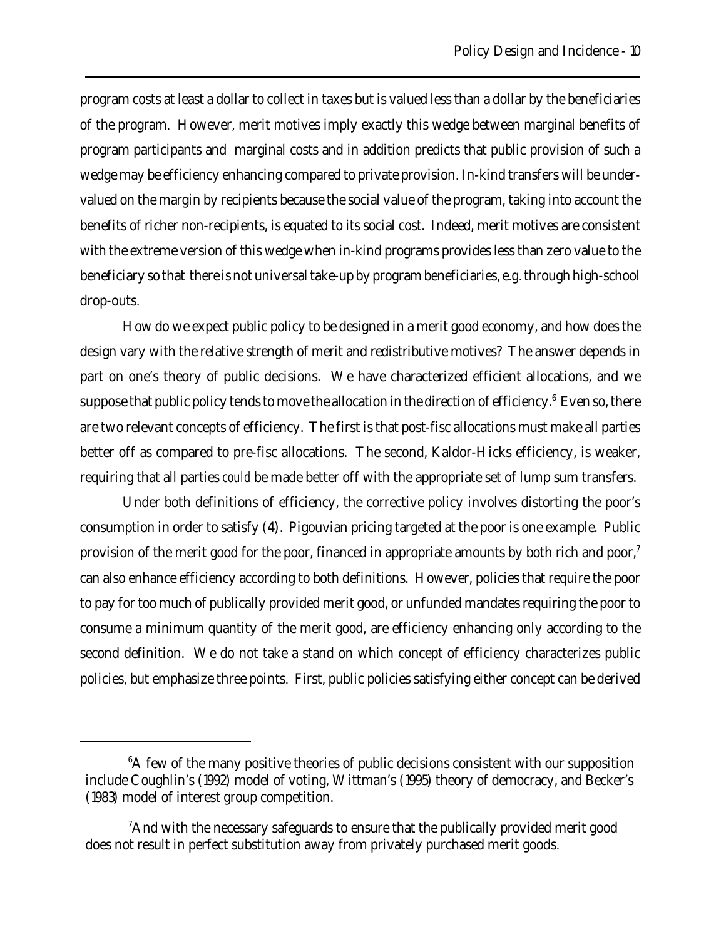program costs at least a dollar to collect in taxes but is valued less than a dollar by the beneficiaries of the program. However, merit motives imply exactly this wedge between marginal benefits of program participants and marginal costs and in addition predicts that public provision of such a wedge may be efficiency enhancing compared to private provision. In-kind transfers will be undervalued on the margin by recipients because the social value of the program, taking into account the benefits of richer non-recipients, is equated to its social cost. Indeed, merit motives are consistent with the extreme version of this wedge when in-kind programs provides less than zero value to the beneficiary so that there is not universal take-up by program beneficiaries, e.g. through high-school drop-outs.

How do we expect public policy to be designed in a merit good economy, and how does the design vary with the relative strength of merit and redistributive motives? The answer depends in part on one's theory of public decisions. We have characterized efficient allocations, and we suppose that public policy tends to move the allocation in the direction of efficiency. $^6$  Even so, there are two relevant concepts of efficiency. The first is that post-fisc allocations must make all parties better off as compared to pre-fisc allocations. The second, Kaldor-Hicks efficiency, is weaker, requiring that all parties *could* be made better off with the appropriate set of lump sum transfers.

Under both definitions of efficiency, the corrective policy involves distorting the poor's consumption in order to satisfy (4). Pigouvian pricing targeted at the poor is one example. Public provision of the merit good for the poor, financed in appropriate amounts by both rich and poor,<sup>7</sup> can also enhance efficiency according to both definitions. However, policies that require the poor to pay for too much of publically provided merit good, or unfunded mandates requiring the poor to consume a minimum quantity of the merit good, are efficiency enhancing only according to the second definition. We do not take a stand on which concept of efficiency characterizes public policies, but emphasize three points. First, public policies satisfying either concept can be derived

 ${}^{6}$ A few of the many positive theories of public decisions consistent with our supposition include Coughlin's (1992) model of voting, Wittman's (1995) theory of democracy, and Becker's (1983) model of interest group competition.

 ${}^{7}$ And with the necessary safeguards to ensure that the publically provided merit good does not result in perfect substitution away from privately purchased merit goods.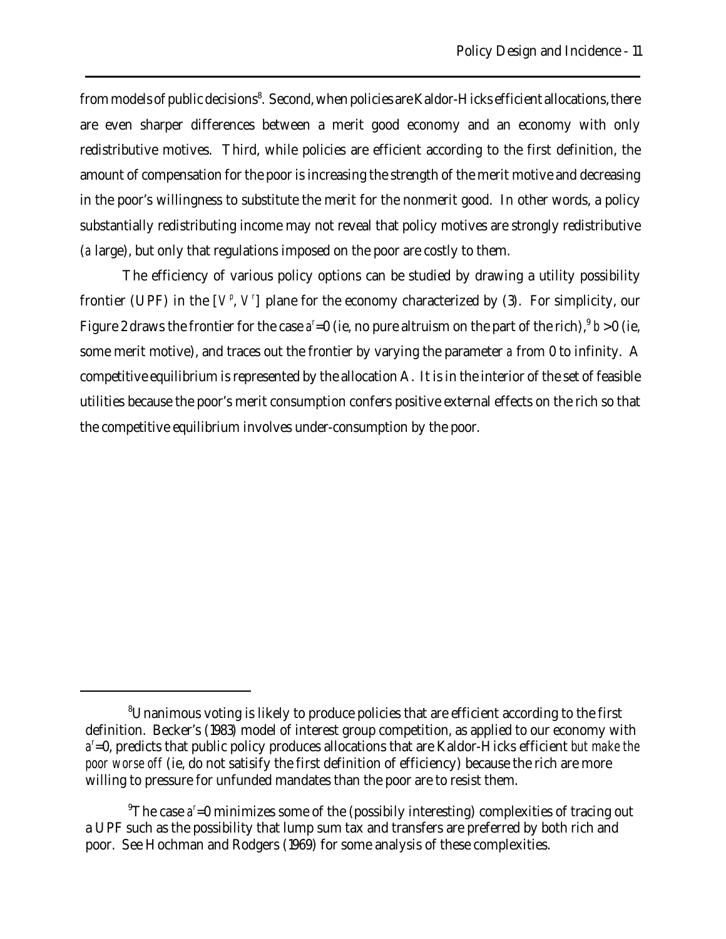from models of public decisions<sup>8</sup>. Second, when policies are Kaldor-Hicks efficient allocations, there are even sharper differences between a merit good economy and an economy with only redistributive motives. Third, while policies are efficient according to the first definition, the amount of compensation for the poor is increasing the strength of the merit motive and decreasing in the poor's willingness to substitute the merit for the nonmerit good. In other words, a policy substantially redistributing income may not reveal that policy motives are strongly redistributive (*a* large), but only that regulations imposed on the poor are costly to them.

The efficiency of various policy options can be studied by drawing a utility possibility frontier (UPF) in the  $[V^p, V^r]$  plane for the economy characterized by (3). For simplicity, our Figure 2 draws the frontier for the case  $a^r = 0$  (ie, no pure altruism on the part of the rich),  $b > 0$  (ie, some merit motive), and traces out the frontier by varying the parameter *a* from 0 to infinity. A competitive equilibrium is represented by the allocation A. It is in the interior of the set of feasible utilities because the poor's merit consumption confers positive external effects on the rich so that the competitive equilibrium involves under-consumption by the poor.

<sup>8</sup>Unanimous voting is likely to produce policies that are efficient according to the first definition. Becker's (1983) model of interest group competition, as applied to our economy with  $a^r$ =0, predicts that public policy produces allocations that are Kaldor-Hicks efficient *but make the poor worse off* (ie, do not satisify the first definition of efficiency) because the rich are more willing to pressure for unfunded mandates than the poor are to resist them.

<sup>&</sup>lt;sup>9</sup>The case *a*<sup>r</sup>=0 minimizes some of the (possibily interesting) complexities of tracing out a UPF such as the possibility that lump sum tax and transfers are preferred by both rich and poor. See Hochman and Rodgers (1969) for some analysis of these complexities.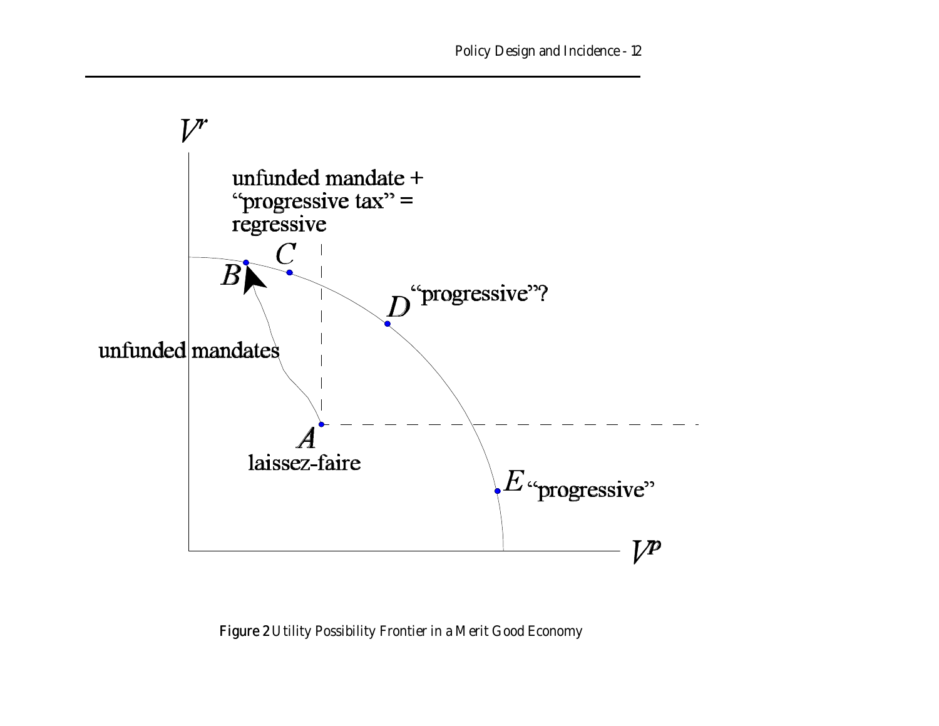

Figure 2 Utility Possibility Frontier in a Merit Good Economy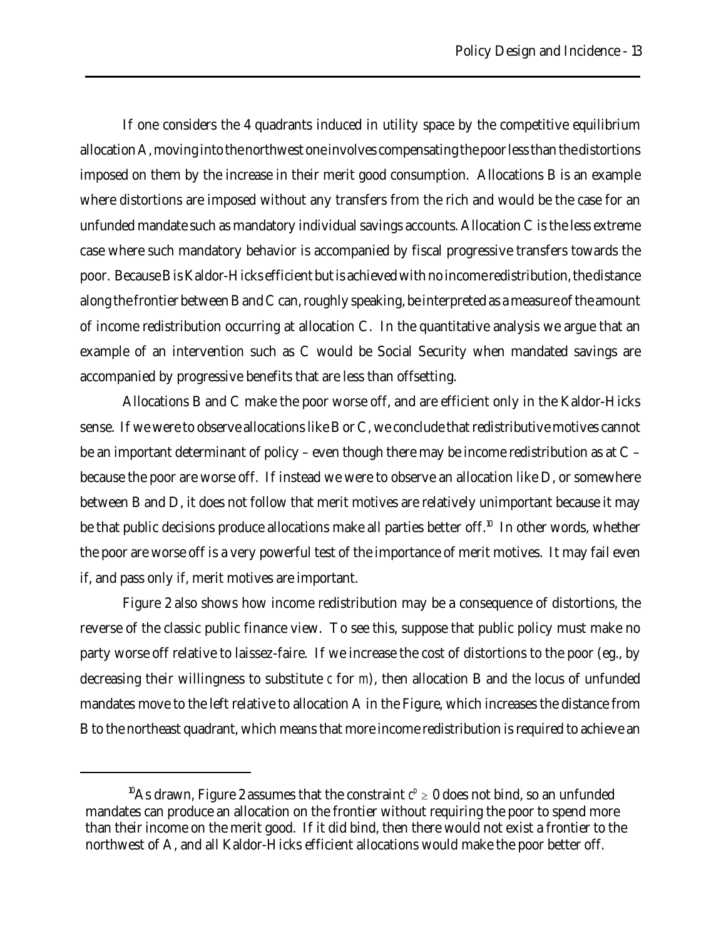If one considers the 4 quadrants induced in utility space by the competitive equilibrium allocation A, moving into the northwest one involves compensating the poor less than the distortions imposed on them by the increase in their merit good consumption. Allocations B is an example where distortions are imposed without any transfers from the rich and would be the case for an unfunded mandate such as mandatory individual savings accounts. Allocation C is the less extreme case where such mandatory behavior is accompanied by fiscal progressive transfers towards the poor. Because B is Kaldor-Hicks efficient but is achieved with no income redistribution, the distance along the frontier between B and C can, roughly speaking, be interpreted as a measure of the amount of income redistribution occurring at allocation C. In the quantitative analysis we argue that an example of an intervention such as C would be Social Security when mandated savings are accompanied by progressive benefits that are less than offsetting.

Allocations B and C make the poor worse off, and are efficient only in the Kaldor-Hicks sense. If we were to observe allocations like B or C, we conclude that redistributive motives cannot be an important determinant of policy – even though there may be income redistribution as at C – because the poor are worse off. If instead we were to observe an allocation like D, or somewhere between B and D, it does not follow that merit motives are relatively unimportant because it may be that public decisions produce allocations make all parties better off.<sup>10</sup> In other words, whether the poor are worse off is a very powerful test of the importance of merit motives. It may fail even if, and pass only if, merit motives are important.

Figure 2 also shows how income redistribution may be a consequence of distortions, the reverse of the classic public finance view. To see this, suppose that public policy must make no party worse off relative to laissez-faire. If we increase the cost of distortions to the poor (eg., by decreasing their willingness to substitute *c* for *m*), then allocation B and the locus of unfunded mandates move to the left relative to allocation A in the Figure, which increases the distance from B to the northeast quadrant, which means that more income redistribution is required to achieve an

 $^{10}\text{As}$  drawn, Figure 2 assumes that the constraint  $c^p \geq 0$  does not bind, so an unfunded mandates can produce an allocation on the frontier without requiring the poor to spend more than their income on the merit good. If it did bind, then there would not exist a frontier to the northwest of A, and all Kaldor-Hicks efficient allocations would make the poor better off.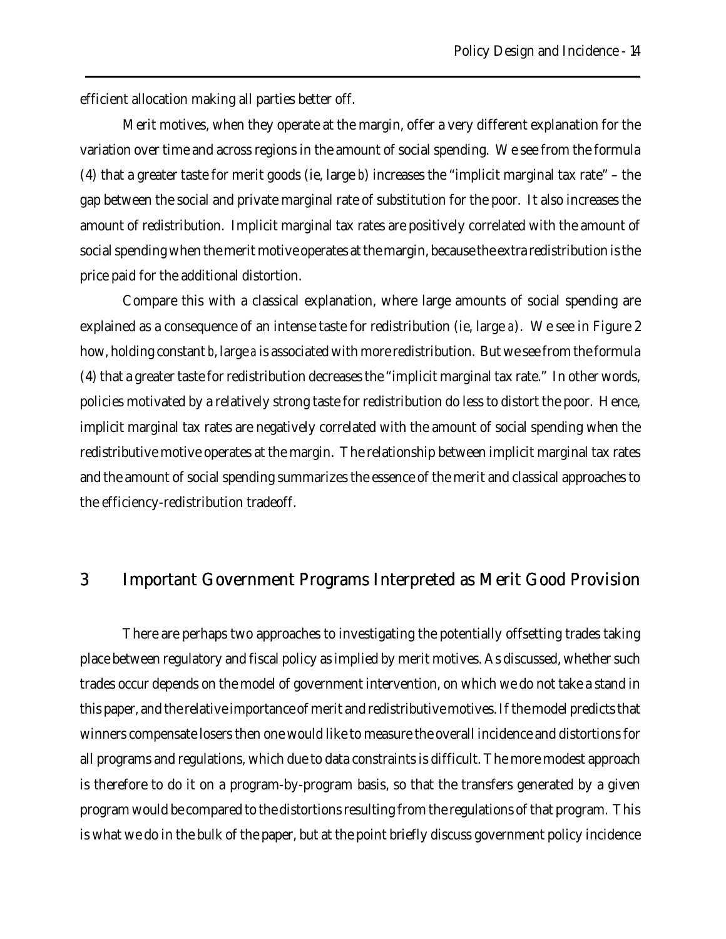efficient allocation making all parties better off.

Merit motives, when they operate at the margin, offer a very different explanation for the variation over time and across regions in the amount of social spending. We see from the formula (4) that a greater taste for merit goods (ie, large *b*) increases the "implicit marginal tax rate" – the gap between the social and private marginal rate of substitution for the poor. It also increases the amount of redistribution. Implicit marginal tax rates are positively correlated with the amount of social spending when the merit motive operates at the margin, because the extra redistribution is the price paid for the additional distortion.

Compare this with a classical explanation, where large amounts of social spending are explained as a consequence of an intense taste for redistribution (ie, large *a*). We see in Figure 2 how, holding constant *b*, large *a* is associated with more redistribution. But we see from the formula (4) that a greater taste for redistribution decreases the "implicit marginal tax rate." In other words, policies motivated by a relatively strong taste for redistribution do less to distort the poor. Hence, implicit marginal tax rates are negatively correlated with the amount of social spending when the redistributive motive operates at the margin. The relationship between implicit marginal tax rates and the amount of social spending summarizes the essence of the merit and classical approaches to the efficiency-redistribution tradeoff.

## 3 Important Government Programs Interpreted as Merit Good Provision

There are perhaps two approaches to investigating the potentially offsetting trades taking place between regulatory and fiscal policy as implied by merit motives. As discussed, whether such trades occur depends on the model of government intervention, on which we do not take a stand in this paper, and the relative importance of merit and redistributive motives. If the model predicts that winners compensate losers then one would like to measure the overall incidence and distortions for all programs and regulations, which due to data constraints is difficult. The more modest approach is therefore to do it on a program-by-program basis, so that the transfers generated by a given program would be compared to the distortions resulting from the regulations of that program. This is what we do in the bulk of the paper, but at the point briefly discuss government policy incidence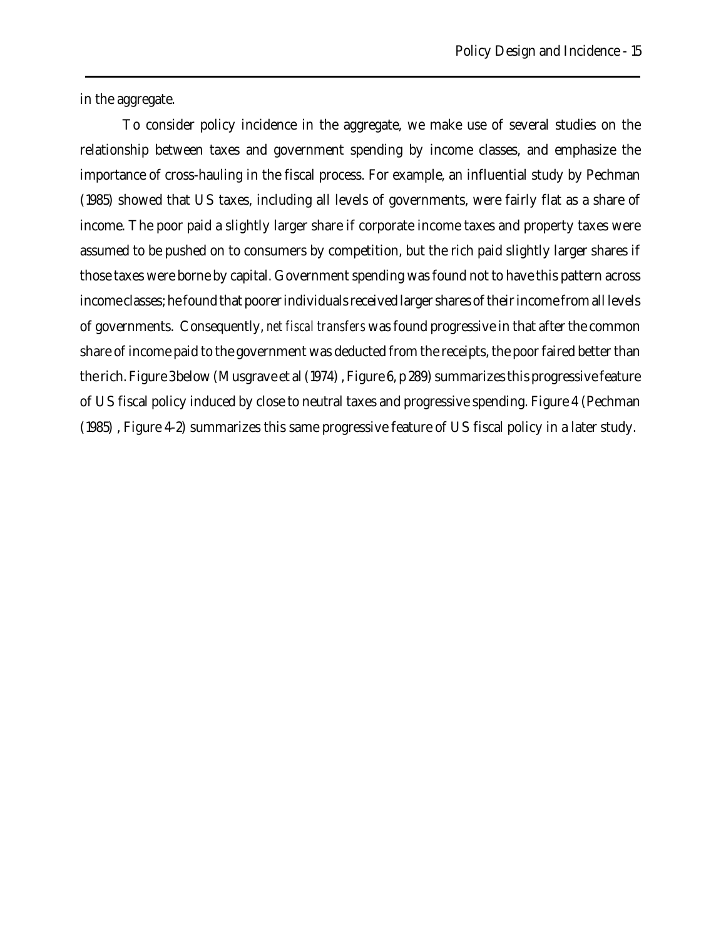in the aggregate.

To consider policy incidence in the aggregate, we make use of several studies on the relationship between taxes and government spending by income classes, and emphasize the importance of cross-hauling in the fiscal process. For example, an influential study by Pechman (1985) showed that US taxes, including all levels of governments, were fairly flat as a share of income. The poor paid a slightly larger share if corporate income taxes and property taxes were assumed to be pushed on to consumers by competition, but the rich paid slightly larger shares if those taxes were borne by capital. Government spending was found not to have this pattern across income classes; he found that poorer individuals received larger shares of their income from all levels of governments. Consequently, *net fiscal transfers* was found progressive in that after the common share of income paid to the government was deducted from the receipts, the poor faired better than the rich. Figure 3 below (Musgrave et al (1974) , Figure 6, p 289) summarizes this progressive feature of US fiscal policy induced by close to neutral taxes and progressive spending. Figure 4 (Pechman (1985) , Figure 4-2) summarizes this same progressive feature of US fiscal policy in a later study.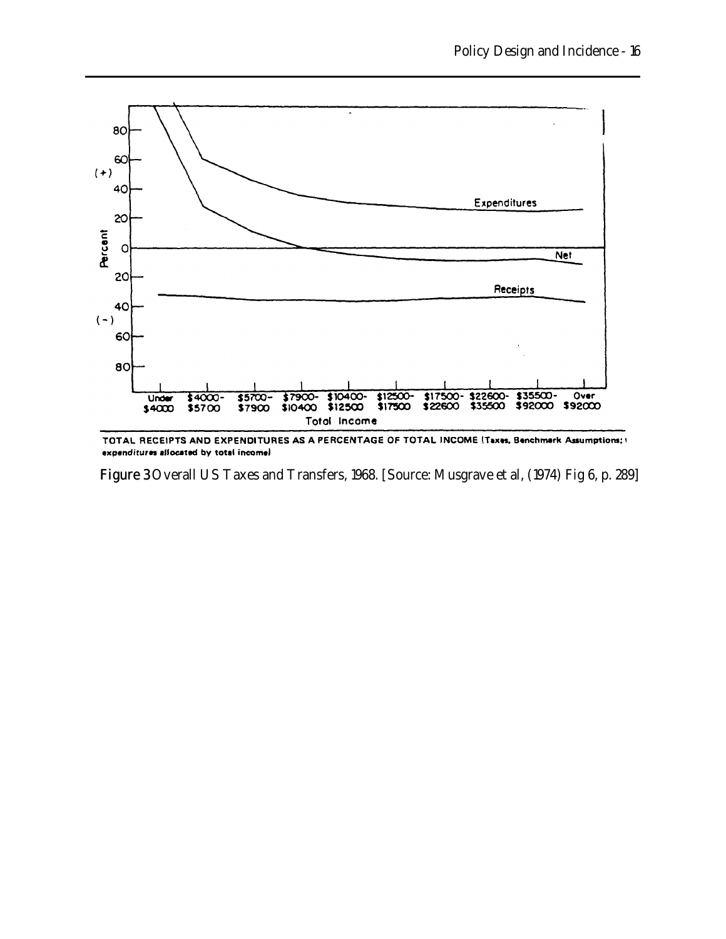

TOTAL RECEIPTS AND EXPENDITURES AS A PERCENTAGE OF TOTAL INCOME (Taxes, Benchmark Assumptions; ) expenditures allocated by total incomel

Figure 3 Overall US Taxes and Transfers, 1968. [Source: Musgrave et al, (1974) Fig 6, p. 289]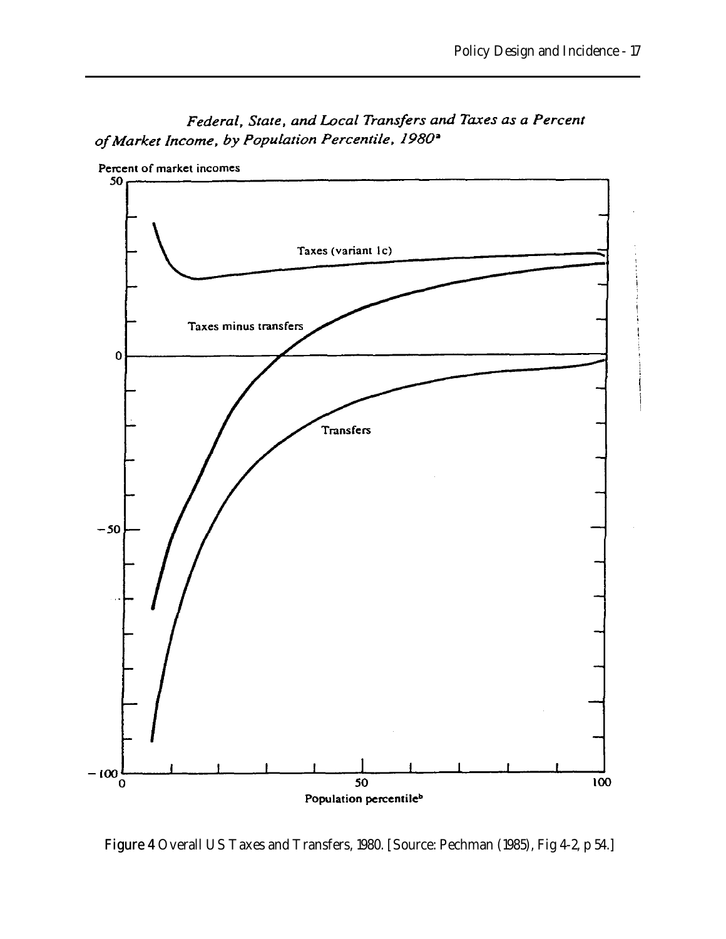

Federal, State, and Local Transfers and Taxes as a Percent of Market Income, by Population Percentile, 1980<sup>a</sup>

Figure 4 Overall US Taxes and Transfers, 1980. [Source: Pechman (1985), Fig 4-2, p 54.]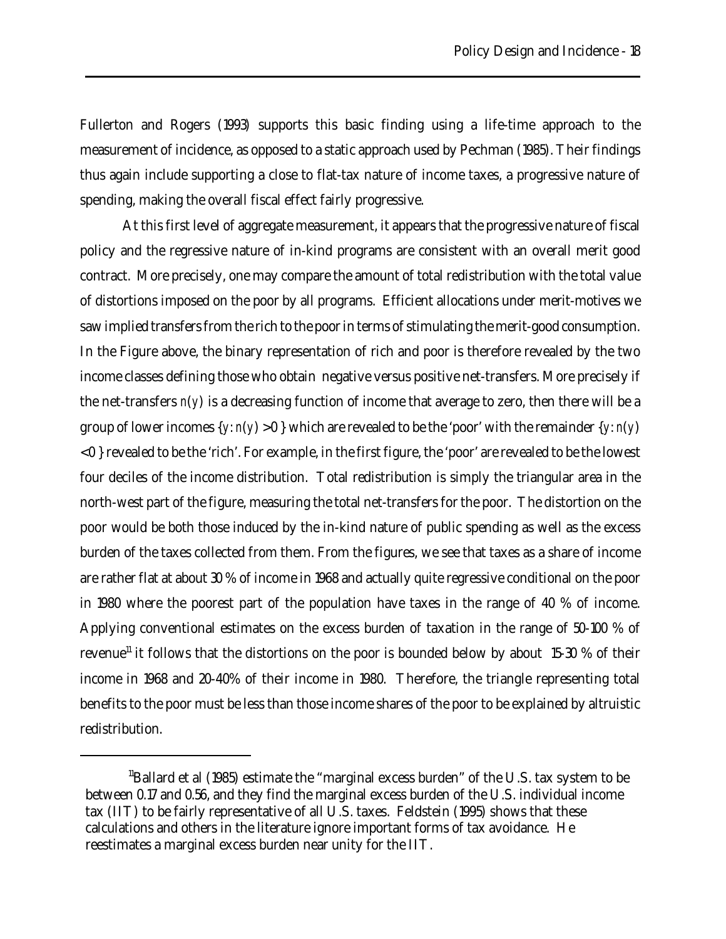Fullerton and Rogers (1993) supports this basic finding using a life-time approach to the measurement of incidence, as opposed to a static approach used by Pechman (1985). Their findings thus again include supporting a close to flat-tax nature of income taxes, a progressive nature of spending, making the overall fiscal effect fairly progressive.

At this first level of aggregate measurement, it appears that the progressive nature of fiscal policy and the regressive nature of in-kind programs are consistent with an overall merit good contract. More precisely, one may compare the amount of total redistribution with the total value of distortions imposed on the poor by all programs. Efficient allocations under merit-motives we saw implied transfers from the rich to the poor in terms of stimulating the merit-good consumption. In the Figure above, the binary representation of rich and poor is therefore revealed by the two income classes defining those who obtain negative versus positive net-transfers. More precisely if the net-transfers *n*(*y*) is a decreasing function of income that average to zero, then there will be a group of lower incomes  $\{y: n(y) > 0\}$  which are revealed to be the 'poor' with the remainder  $\{y: n(y)$ < 0 } revealed to be the 'rich'. For example, in the first figure, the 'poor' are revealed to be the lowest four deciles of the income distribution. Total redistribution is simply the triangular area in the north-west part of the figure, measuring the total net-transfers for the poor. The distortion on the poor would be both those induced by the in-kind nature of public spending as well as the excess burden of the taxes collected from them. From the figures, we see that taxes as a share of income are rather flat at about 30 % of income in 1968 and actually quite regressive conditional on the poor in 1980 where the poorest part of the population have taxes in the range of 40 % of income. Applying conventional estimates on the excess burden of taxation in the range of 50-100 % of revenue<sup>11</sup> it follows that the distortions on the poor is bounded below by about 15-30 % of their income in 1968 and 20-40% of their income in 1980. Therefore, the triangle representing total benefits to the poor must be less than those income shares of the poor to be explained by altruistic redistribution.

 $\rm{^{11}Ballard}$  et al (1985) estimate the "marginal excess burden" of the U.S. tax system to be between 0.17 and 0.56, and they find the marginal excess burden of the U.S. individual income tax (IIT) to be fairly representative of all U.S. taxes. Feldstein (1995) shows that these calculations and others in the literature ignore important forms of tax avoidance. He reestimates a marginal excess burden near unity for the IIT.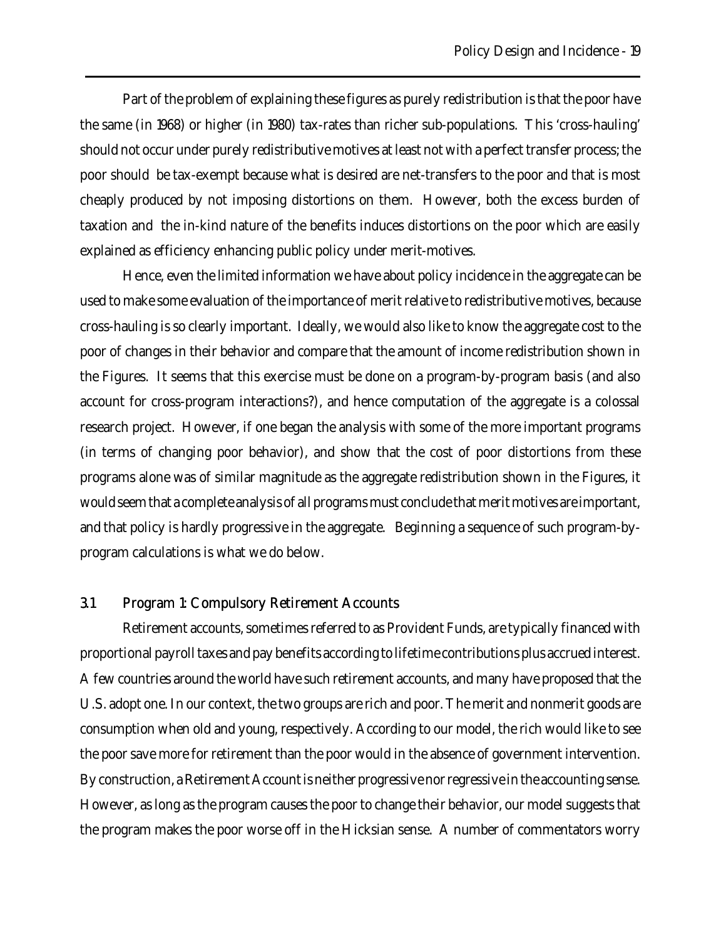Part of the problem of explaining these figures as purely redistribution is that the poor have the same (in 1968) or higher (in 1980) tax-rates than richer sub-populations. This 'cross-hauling' should not occur under purely redistributive motives at least not with a perfect transfer process; the poor should be tax-exempt because what is desired are net-transfers to the poor and that is most cheaply produced by not imposing distortions on them. However, both the excess burden of taxation and the in-kind nature of the benefits induces distortions on the poor which are easily explained as efficiency enhancing public policy under merit-motives.

Hence, even the limited information we have about policy incidence in the aggregate can be used to make some evaluation of the importance of merit relative to redistributive motives, because cross-hauling is so clearly important. Ideally, we would also like to know the aggregate cost to the poor of changes in their behavior and compare that the amount of income redistribution shown in the Figures. It seems that this exercise must be done on a program-by-program basis (and also account for cross-program interactions?), and hence computation of the aggregate is a colossal research project. However, if one began the analysis with some of the more important programs (in terms of changing poor behavior), and show that the cost of poor distortions from these programs alone was of similar magnitude as the aggregate redistribution shown in the Figures, it would seem that a complete analysis of all programs must conclude that merit motives are important, and that policy is hardly progressive in the aggregate. Beginning a sequence of such program-byprogram calculations is what we do below.

### 3.1 Program 1: Compulsory Retirement Accounts

Retirement accounts, sometimes referred to as Provident Funds, are typically financed with proportional payroll taxes and pay benefits according to lifetime contributions plus accrued interest. A few countries around the world have such retirement accounts, and many have proposed that the U.S. adopt one. In our context, the two groups are rich and poor. The merit and nonmerit goods are consumption when old and young, respectively. According to our model, the rich would like to see the poor save more for retirement than the poor would in the absence of government intervention. By construction, a Retirement Account is neither progressive nor regressive in the accounting sense. However, as long as the program causes the poor to change their behavior, our model suggests that the program makes the poor worse off in the Hicksian sense. A number of commentators worry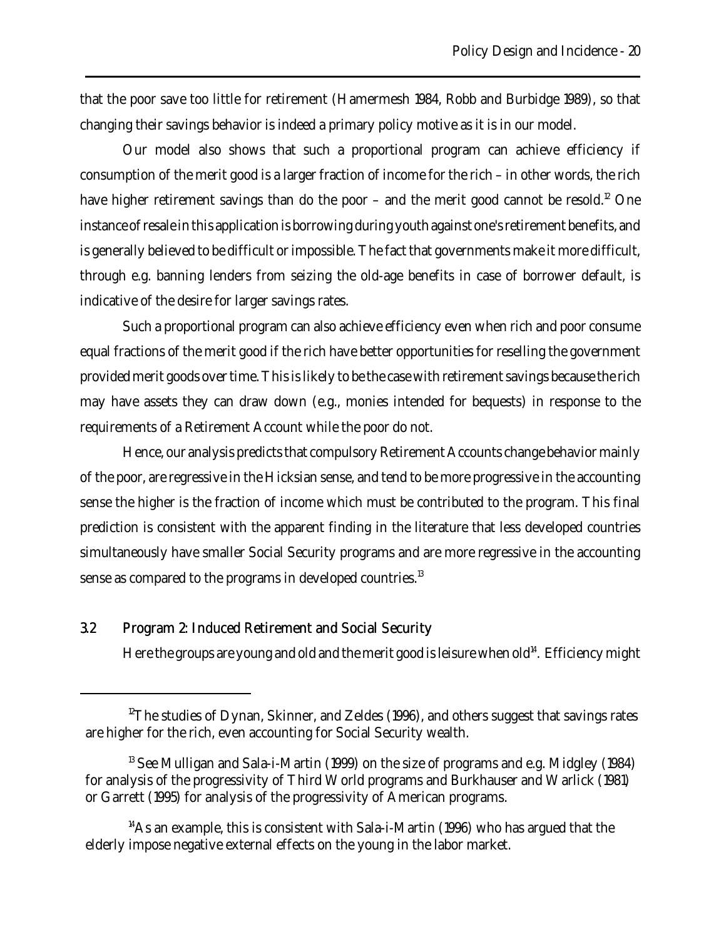that the poor save too little for retirement (Hamermesh 1984, Robb and Burbidge 1989), so that changing their savings behavior is indeed a primary policy motive as it is in our model.

Our model also shows that such a proportional program can achieve efficiency if consumption of the merit good is a larger fraction of income for the rich – in other words, the rich have higher retirement savings than do the poor – and the merit good cannot be resold.<sup>12</sup> One instance of resale in this application is borrowing during youth against one's retirement benefits, and is generally believed to be difficult or impossible. The fact that governments make it more difficult, through e.g. banning lenders from seizing the old-age benefits in case of borrower default, is indicative of the desire for larger savings rates.

Such a proportional program can also achieve efficiency even when rich and poor consume equal fractions of the merit good if the rich have better opportunities for reselling the government provided merit goods over time. This is likely to be the case with retirement savings because the rich may have assets they can draw down (e.g., monies intended for bequests) in response to the requirements of a Retirement Account while the poor do not.

Hence, our analysis predicts that compulsory Retirement Accounts change behavior mainly of the poor, are regressive in the Hicksian sense, and tend to be more progressive in the accounting sense the higher is the fraction of income which must be contributed to the program. This final prediction is consistent with the apparent finding in the literature that less developed countries simultaneously have smaller Social Security programs and are more regressive in the accounting sense as compared to the programs in developed countries.<sup>13</sup>

### 3.2 Program 2: Induced Retirement and Social Security

Here the groups are young and old and the merit good is leisure when old<sup>14</sup>. Efficiency might

 $12$ <sup>12</sup>The studies of Dynan, Skinner, and Zeldes (1996), and others suggest that savings rates are higher for the rich, even accounting for Social Security wealth.

 $13$  See Mulligan and Sala-i-Martin (1999) on the size of programs and e.g. Midgley (1984) for analysis of the progressivity of Third World programs and Burkhauser and Warlick (1981) or Garrett (1995) for analysis of the progressivity of American programs.

 $14$ As an example, this is consistent with Sala-i-Martin (1996) who has argued that the elderly impose negative external effects on the young in the labor market.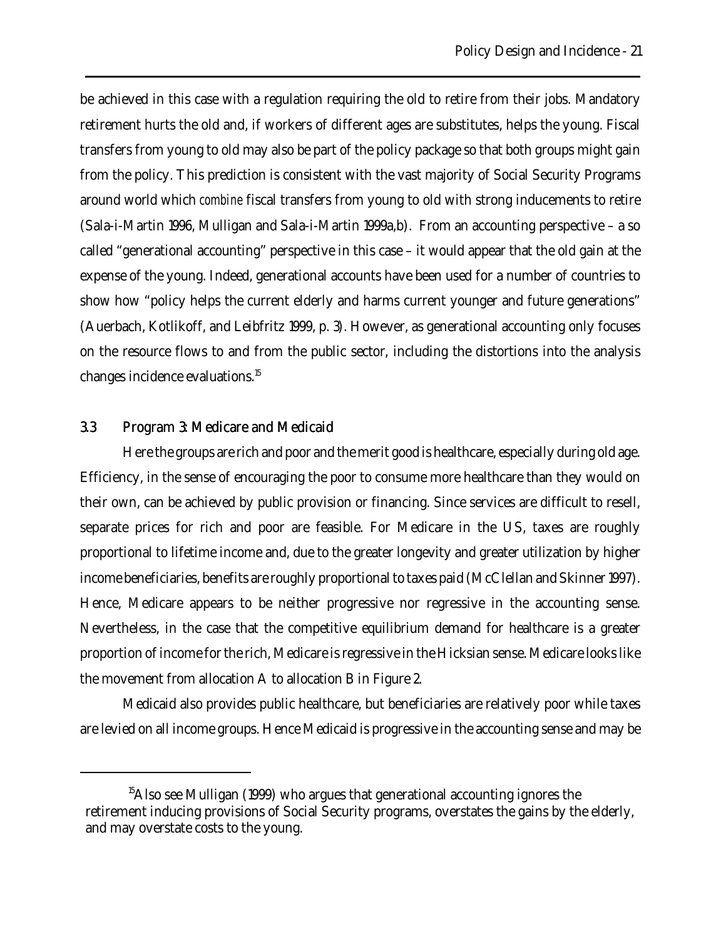be achieved in this case with a regulation requiring the old to retire from their jobs. Mandatory retirement hurts the old and, if workers of different ages are substitutes, helps the young. Fiscal transfers from young to old may also be part of the policy package so that both groups might gain from the policy. This prediction is consistent with the vast majority of Social Security Programs around world which *combine* fiscal transfers from young to old with strong inducements to retire (Sala-i-Martin 1996, Mulligan and Sala-i-Martin 1999a,b). From an accounting perspective – a so called "generational accounting" perspective in this case – it would appear that the old gain at the expense of the young. Indeed, generational accounts have been used for a number of countries to show how "policy helps the current elderly and harms current younger and future generations" (Auerbach, Kotlikoff, and Leibfritz 1999, p. 3). However, as generational accounting only focuses on the resource flows to and from the public sector, including the distortions into the analysis changes incidence evaluations.<sup>15</sup>

### 3.3 Program 3: Medicare and Medicaid

Here the groups are rich and poor and the merit good is healthcare, especially during old age. Efficiency, in the sense of encouraging the poor to consume more healthcare than they would on their own, can be achieved by public provision or financing. Since services are difficult to resell, separate prices for rich and poor are feasible. For Medicare in the US, taxes are roughly proportional to lifetime income and, due to the greater longevity and greater utilization by higher income beneficiaries, benefits are roughly proportional to taxes paid (McClellan and Skinner 1997). Hence, Medicare appears to be neither progressive nor regressive in the accounting sense. Nevertheless, in the case that the competitive equilibrium demand for healthcare is a greater proportion of income for the rich, Medicare is regressive in the Hicksian sense. Medicare looks like the movement from allocation A to allocation B in Figure 2.

Medicaid also provides public healthcare, but beneficiaries are relatively poor while taxes are levied on all income groups. Hence Medicaid is progressive in the accounting sense and may be

<sup>&</sup>lt;sup>15</sup>Also see Mulligan (1999) who argues that generational accounting ignores the retirement inducing provisions of Social Security programs, overstates the gains by the elderly, and may overstate costs to the young.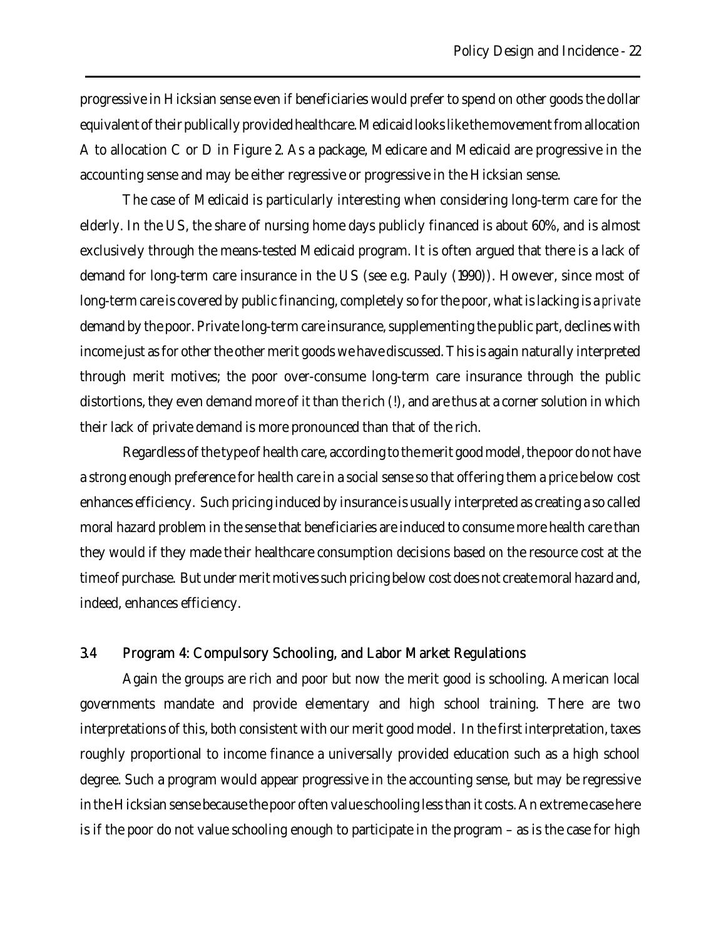progressive in Hicksian sense even if beneficiaries would prefer to spend on other goods the dollar equivalent of their publically provided healthcare. Medicaid looks like the movement from allocation A to allocation C or D in Figure 2. As a package, Medicare and Medicaid are progressive in the accounting sense and may be either regressive or progressive in the Hicksian sense.

The case of Medicaid is particularly interesting when considering long-term care for the elderly. In the US, the share of nursing home days publicly financed is about 60%, and is almost exclusively through the means-tested Medicaid program. It is often argued that there is a lack of demand for long-term care insurance in the US (see e.g. Pauly (1990)). However, since most of long-term care is covered by public financing, completely so for the poor, what is lacking is a *private* demand by the poor. Private long-term care insurance, supplementing the public part, declines with income just as for other the other merit goods we have discussed. This is again naturally interpreted through merit motives; the poor over-consume long-term care insurance through the public distortions, they even demand more of it than the rich (!), and are thus at a corner solution in which their lack of private demand is more pronounced than that of the rich.

Regardless of the type of health care, according to the merit good model, the poor do not have a strong enough preference for health care in a social sense so that offering them a price below cost enhances efficiency. Such pricing induced by insurance is usually interpreted as creating a so called moral hazard problem in the sense that beneficiaries are induced to consume more health care than they would if they made their healthcare consumption decisions based on the resource cost at the time of purchase. But under merit motives such pricing below cost does not create moral hazard and, indeed, enhances efficiency.

## 3.4 Program 4: Compulsory Schooling, and Labor Market Regulations

Again the groups are rich and poor but now the merit good is schooling. American local governments mandate and provide elementary and high school training. There are two interpretations of this, both consistent with our merit good model. In the first interpretation, taxes roughly proportional to income finance a universally provided education such as a high school degree. Such a program would appear progressive in the accounting sense, but may be regressive in the Hicksian sense because the poor often value schooling less than it costs. An extreme case here is if the poor do not value schooling enough to participate in the program – as is the case for high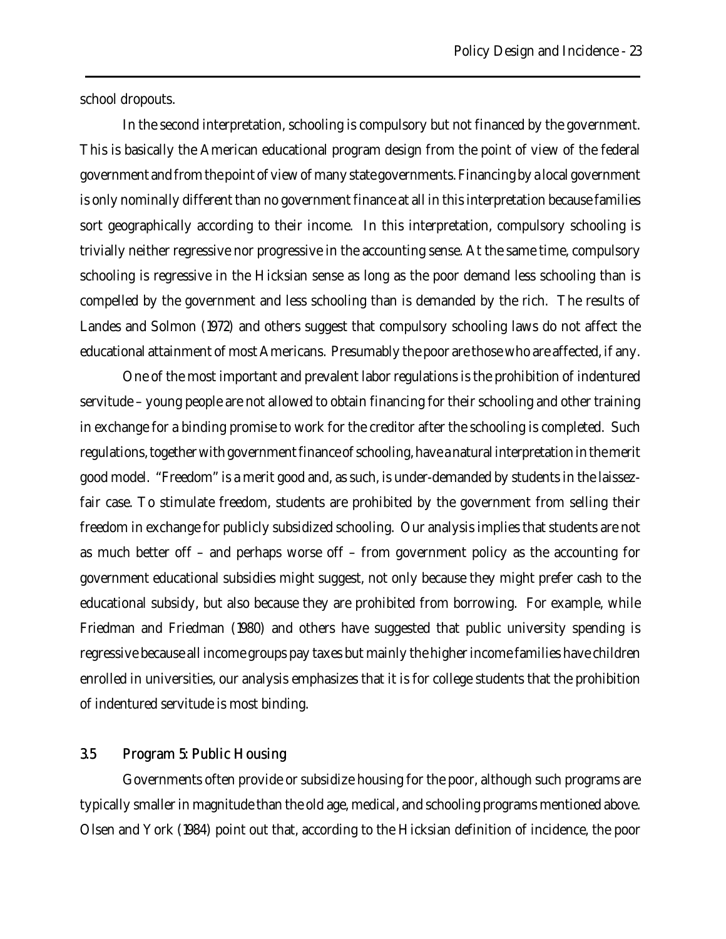school dropouts.

In the second interpretation, schooling is compulsory but not financed by the government. This is basically the American educational program design from the point of view of the federal government and from the point of view of many state governments. Financing by a local government is only nominally different than no government finance at all in this interpretation because families sort geographically according to their income. In this interpretation, compulsory schooling is trivially neither regressive nor progressive in the accounting sense. At the same time, compulsory schooling is regressive in the Hicksian sense as long as the poor demand less schooling than is compelled by the government and less schooling than is demanded by the rich. The results of Landes and Solmon (1972) and others suggest that compulsory schooling laws do not affect the educational attainment of most Americans. Presumably the poor are those who are affected, if any.

One of the most important and prevalent labor regulations is the prohibition of indentured servitude – young people are not allowed to obtain financing for their schooling and other training in exchange for a binding promise to work for the creditor after the schooling is completed. Such regulations, together with government finance of schooling, have a natural interpretation in the merit good model. "Freedom" is a merit good and, as such, is under-demanded by students in the laissezfair case. To stimulate freedom, students are prohibited by the government from selling their freedom in exchange for publicly subsidized schooling. Our analysis implies that students are not as much better off – and perhaps worse off – from government policy as the accounting for government educational subsidies might suggest, not only because they might prefer cash to the educational subsidy, but also because they are prohibited from borrowing. For example, while Friedman and Friedman (1980) and others have suggested that public university spending is regressive because all income groups pay taxes but mainly the higher income families have children enrolled in universities, our analysis emphasizes that it is for college students that the prohibition of indentured servitude is most binding.

### 3.5 Program 5: Public Housing

Governments often provide or subsidize housing for the poor, although such programs are typically smaller in magnitude than the old age, medical, and schooling programs mentioned above. Olsen and York (1984) point out that, according to the Hicksian definition of incidence, the poor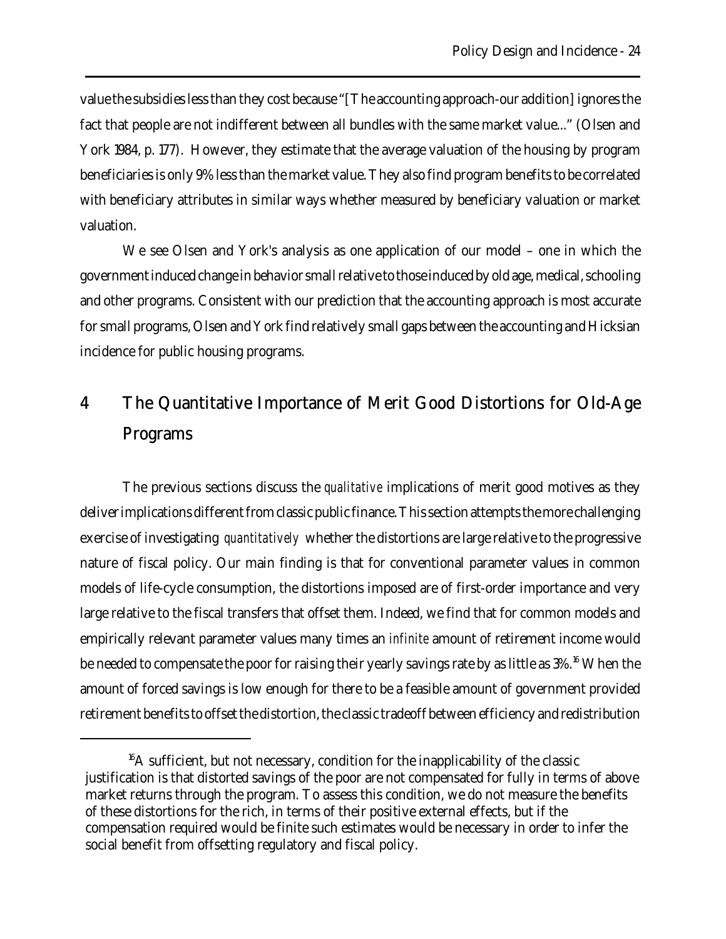value the subsidies less than they cost because "[The accounting approach-our addition] ignores the fact that people are not indifferent between all bundles with the same market value..." (Olsen and York 1984, p. 177). However, they estimate that the average valuation of the housing by program beneficiaries is only 9% less than the market value. They also find program benefits to be correlated with beneficiary attributes in similar ways whether measured by beneficiary valuation or market valuation.

We see Olsen and York's analysis as one application of our model – one in which the government induced change in behavior small relative to those induced by old age, medical, schooling and other programs. Consistent with our prediction that the accounting approach is most accurate for small programs, Olsen and York find relatively small gaps between the accounting and Hicksian incidence for public housing programs.

# 4 The Quantitative Importance of Merit Good Distortions for Old-Age Programs

The previous sections discuss the *qualitative* implications of merit good motives as they deliver implications different from classic public finance. This section attempts the more challenging exercise of investigating *quantitatively* whether the distortions are large relative to the progressive nature of fiscal policy. Our main finding is that for conventional parameter values in common models of life-cycle consumption, the distortions imposed are of first-order importance and very large relative to the fiscal transfers that offset them. Indeed, we find that for common models and empirically relevant parameter values many times an *infinite* amount of retirement income would be needed to compensate the poor for raising their yearly savings rate by as little as 3%.<sup>16</sup> When the amount of forced savings is low enough for there to be a feasible amount of government provided retirement benefits to offset the distortion, the classic tradeoff between efficiency and redistribution

 $^{16}$ A sufficient, but not necessary, condition for the inapplicability of the classic justification is that distorted savings of the poor are not compensated for fully in terms of above market returns through the program. To assess this condition, we do not measure the benefits of these distortions for the rich, in terms of their positive external effects, but if the compensation required would be finite such estimates would be necessary in order to infer the social benefit from offsetting regulatory and fiscal policy.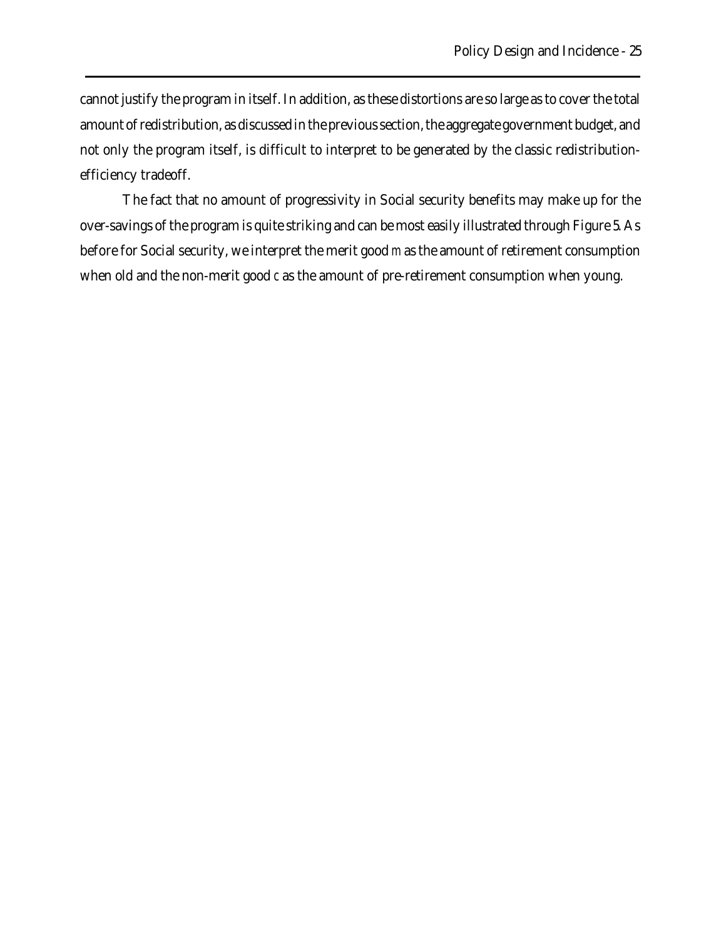cannot justify the program in itself. In addition, as these distortions are so large as to cover the total amount of redistribution, as discussed in the previous section, the aggregate government budget, and not only the program itself, is difficult to interpret to be generated by the classic redistributionefficiency tradeoff.

The fact that no amount of progressivity in Social security benefits may make up for the over-savings of the program is quite striking and can be most easily illustrated through Figure 5. As before for Social security, we interpret the merit good *m* as the amount of retirement consumption when old and the non-merit good *c* as the amount of pre-retirement consumption when young.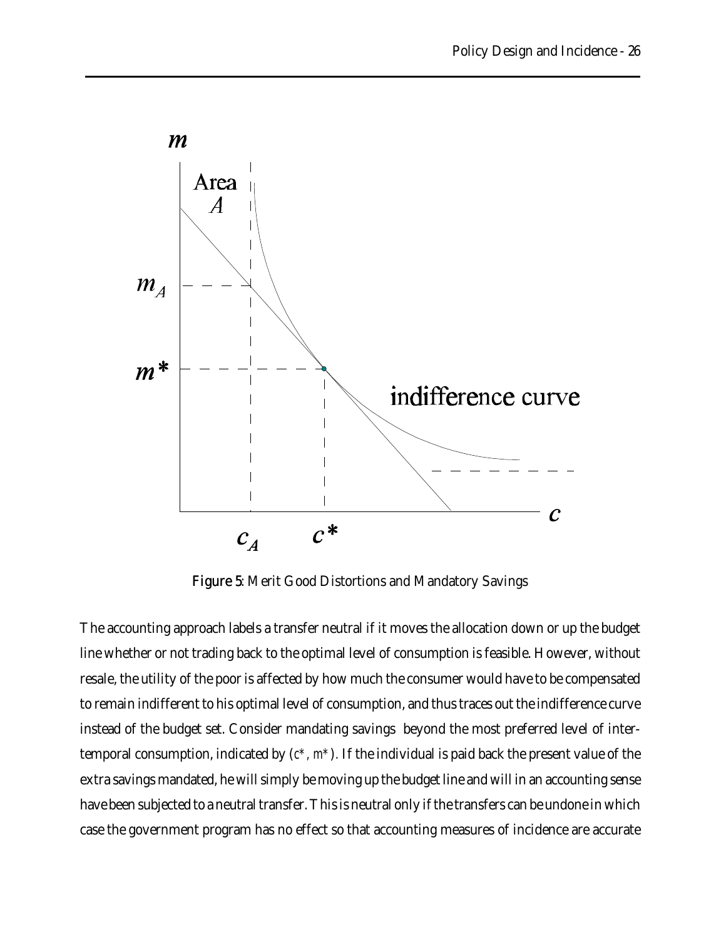

Figure 5: Merit Good Distortions and Mandatory Savings

The accounting approach labels a transfer neutral if it moves the allocation down or up the budget line whether or not trading back to the optimal level of consumption is feasible. However, without resale, the utility of the poor is affected by how much the consumer would have to be compensated to remain indifferent to his optimal level of consumption, and thus traces out the indifference curve instead of the budget set. Consider mandating savings beyond the most preferred level of intertemporal consumption, indicated by (*c\*, m\**)*.* If the individual is paid back the present value of the extra savings mandated, he will simply be moving up the budget line and will in an accounting sense have been subjected to a neutral transfer. This is neutral only if the transfers can be undone in which case the government program has no effect so that accounting measures of incidence are accurate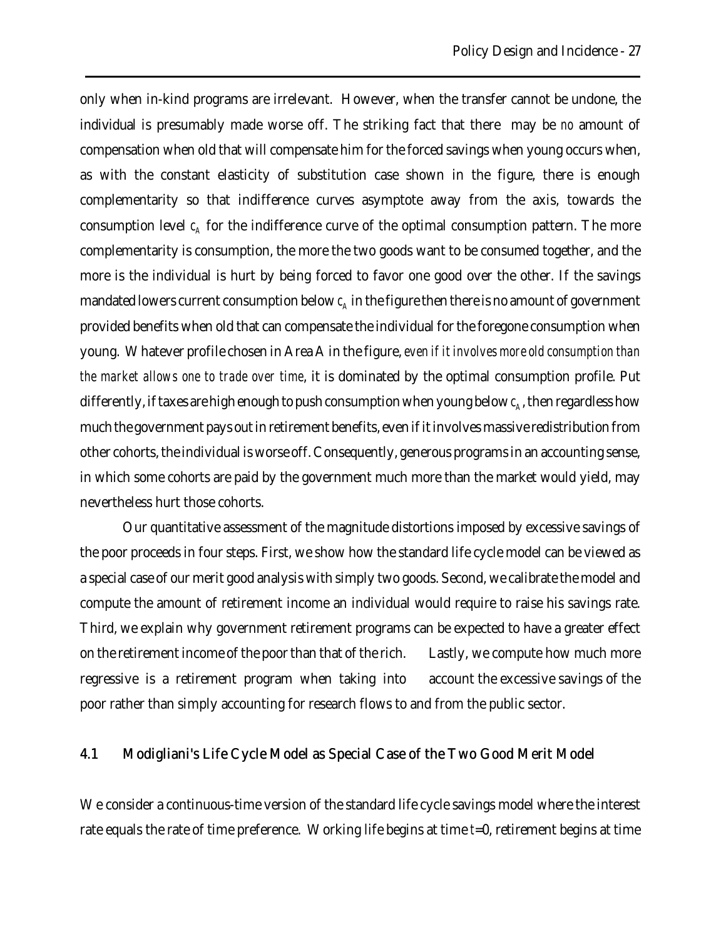only when in-kind programs are irrelevant. However, when the transfer cannot be undone, the individual is presumably made worse off. The striking fact that there may be *no* amount of compensation when old that will compensate him for the forced savings when young occurs when, as with the constant elasticity of substitution case shown in the figure, there is enough complementarity so that indifference curves asymptote away from the axis, towards the consumption level  $c_A$  for the indifference curve of the optimal consumption pattern. The more complementarity is consumption, the more the two goods want to be consumed together, and the more is the individual is hurt by being forced to favor one good over the other. If the savings mandated lowers current consumption below  $c_{\mathrm{A}}$  in the figure then there is no amount of government provided benefits when old that can compensate the individual for the foregone consumption when young. Whatever profile chosen in Area A in the figure, *even if it involves more old consumption than the market allows one to trade over time*, it is dominated by the optimal consumption profile. Put differently, if taxes are high enough to push consumption when young below  $c_{\scriptscriptstyle\! A}$ , then regardless how much the government pays out in retirement benefits, even if it involves massive redistribution from other cohorts, the individual is worse off. Consequently, generous programs in an accounting sense, in which some cohorts are paid by the government much more than the market would yield, may nevertheless hurt those cohorts.

Our quantitative assessment of the magnitude distortions imposed by excessive savings of the poor proceeds in four steps. First, we show how the standard life cycle model can be viewed as a special case of our merit good analysis with simply two goods. Second, we calibrate the model and compute the amount of retirement income an individual would require to raise his savings rate. Third, we explain why government retirement programs can be expected to have a greater effect on the retirement income of the poor than that of the rich. Lastly, we compute how much more regressive is a retirement program when taking into account the excessive savings of the poor rather than simply accounting for research flows to and from the public sector.

### 4.1 Modigliani's Life Cycle Model as Special Case of the Two Good Merit Model

We consider a continuous-time version of the standard life cycle savings model where the interest rate equals the rate of time preference. Working life begins at time *t*=0, retirement begins at time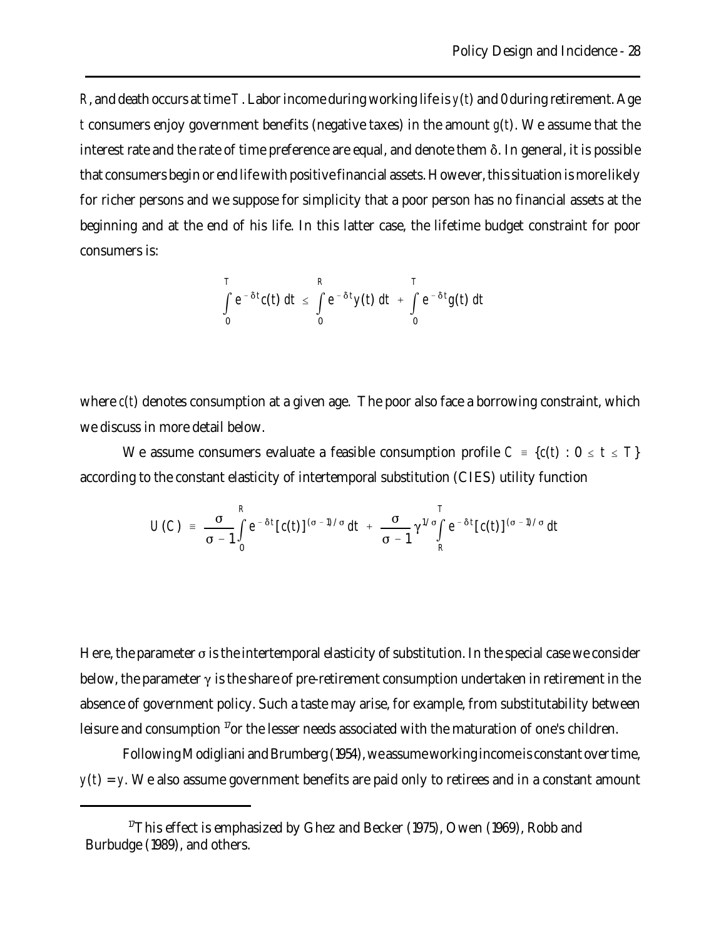*R*, and death occurs at time *T*. Labor income during working life is *y*(*t*) and 0 during retirement. Age *t* consumers enjoy government benefits (negative taxes) in the amount *g*(*t*). We assume that the interest rate and the rate of time preference are equal, and denote them  $\delta$ . In general, it is possible that consumers begin or end life with positive financial assets. However, this situation is more likely for richer persons and we suppose for simplicity that a poor person has no financial assets at the beginning and at the end of his life. In this latter case, the lifetime budget constraint for poor consumers is:

$$
\int_{0}^{T} e^{-\delta t} c(t) dt \leq \int_{0}^{R} e^{-\delta t} y(t) dt + \int_{0}^{T} e^{-\delta t} g(t) dt
$$

where  $c(t)$  denotes consumption at a given age. The poor also face a borrowing constraint, which we discuss in more detail below.

We assume consumers evaluate a feasible consumption profile  $C = \{c(t): 0 \le t \le T\}$ according to the constant elasticity of intertemporal substitution (CIES) utility function

$$
U(C) = \frac{\sigma}{\sigma-1}\int\limits_{0}^{R}e^{-\delta t}\left[c(t)\right]^{(\sigma-1)/\sigma}dt + \frac{\sigma}{\sigma-1}\gamma^{1/\sigma}\int\limits_{R}^{T}e^{-\delta t}\left[c(t)\right]^{(\sigma-1)/\sigma}dt
$$

Here, the parameter  $\sigma$  is the intertemporal elasticity of substitution. In the special case we consider below, the parameter  $\gamma$  is the share of pre-retirement consumption undertaken in retirement in the absence of government policy. Such a taste may arise, for example, from substitutability between leisure and consumption  $\mathbb{I}^7$  or the lesser needs associated with the maturation of one's children.

Following Modigliani and Brumberg (1954), we assume working income is constant over time,  $y(t) = y$ . We also assume government benefits are paid only to retirees and in a constant amount

<sup>&</sup>lt;sup>17</sup>This effect is emphasized by Ghez and Becker (1975), Owen (1969), Robb and Burbudge (1989), and others.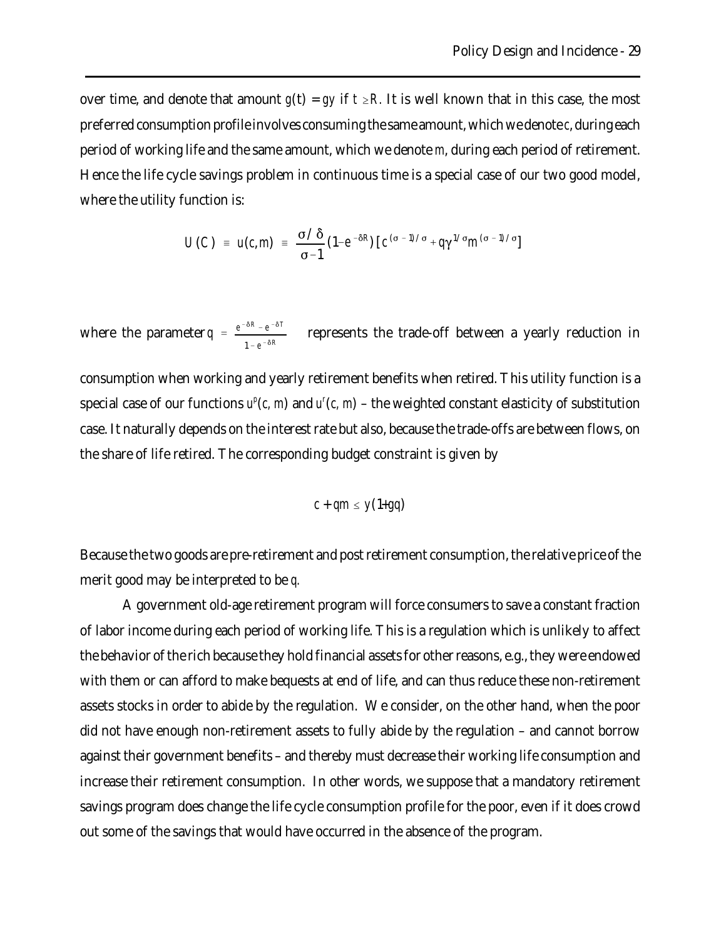over time, and denote that amount  $g(t) = gy$  if  $t \ge R$ . It is well known that in this case, the most preferred consumption profile involves consuming the same amount, which we denote *c*, during each period of working life and the same amount, which we denote *m*, during each period of retirement. Hence the life cycle savings problem in continuous time is a special case of our two good model, where the utility function is:

$$
U(C) = u(c, m) = \frac{\sigma/\delta}{\sigma-1} (1-e^{-\delta R}) [c^{(\sigma-1)/\sigma} + q\gamma^{1/\sigma} m^{(\sigma-1)/\sigma}]
$$

where the parameter  $q = \frac{e^{-\delta R} - e^{-\delta T}}{2\delta R}$  represents the trade-off between a yearly reduction in  $1 - e^{-\delta R}$ 

consumption when working and yearly retirement benefits when retired. This utility function is a special case of our functions  $u^p(c, m)$  and  $u^r(c, m)$  – the weighted constant elasticity of substitution case. It naturally depends on the interest rate but also, because the trade-offs are between flows, on the share of life retired. The corresponding budget constraint is given by

$$
c + qm \leq y(1+gq)
$$

Because the two goods are pre-retirement and post retirement consumption, the relative price of the merit good may be interpreted to be *q.*

A government old-age retirement program will force consumers to save a constant fraction of labor income during each period of working life. This is a regulation which is unlikely to affect the behavior of the rich because they hold financial assets for other reasons, e.g., they were endowed with them or can afford to make bequests at end of life, and can thus reduce these non-retirement assets stocks in order to abide by the regulation. We consider, on the other hand, when the poor did not have enough non-retirement assets to fully abide by the regulation – and cannot borrow against their government benefits – and thereby must decrease their working life consumption and increase their retirement consumption. In other words, we suppose that a mandatory retirement savings program does change the life cycle consumption profile for the poor, even if it does crowd out some of the savings that would have occurred in the absence of the program.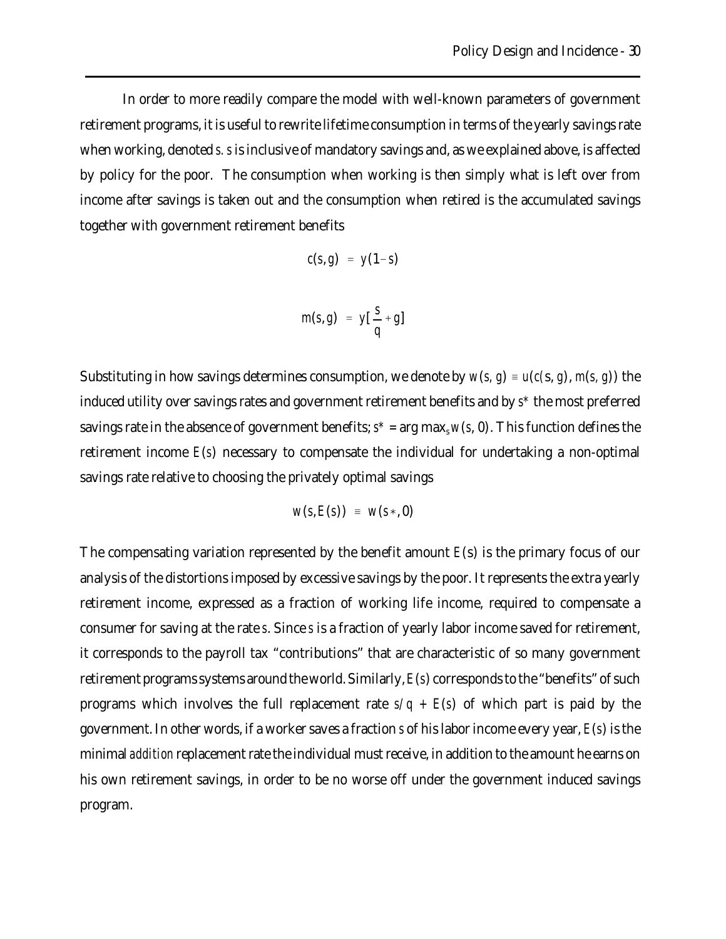In order to more readily compare the model with well-known parameters of government retirement programs, it is useful to rewrite lifetime consumption in terms of the yearly savings rate when working, denoted *s. s* is inclusive of mandatory savings and, as we explained above, is affected by policy for the poor. The consumption when working is then simply what is left over from income after savings is taken out and the consumption when retired is the accumulated savings together with government retirement benefits

$$
c(s,g) = y(1-s)
$$

$$
m(s,g) = y[\frac{s}{q}+g]
$$

Substituting in how savings determines consumption, we denote by  $w(s, g) = u(c(s, g), m(s, g))$  the induced utility over savings rates and government retirement benefits and by *s\** the most preferred savings rate in the absence of government benefits;  $s^*$  = arg max,  $w(s, 0)$ . This function defines the retirement income *E*(*s*) necessary to compensate the individual for undertaking a non-optimal savings rate relative to choosing the privately optimal savings

$$
w(s, E(s)) = w(s*, 0)
$$

The compensating variation represented by the benefit amount *E*(s) is the primary focus of our analysis of the distortions imposed by excessive savings by the poor. It represents the extra yearly retirement income, expressed as a fraction of working life income, required to compensate a consumer for saving at the rate *s*. Since *s* is a fraction of yearly labor income saved for retirement, it corresponds to the payroll tax "contributions" that are characteristic of so many government retirement programs systems around the world. Similarly, *E*(*s*) corresponds to the "benefits" of such programs which involves the full replacement rate  $s/q + E(s)$  of which part is paid by the government. In other words, if a worker saves a fraction *s* of his labor income every year, *E*(*s*) is the minimal *addition* replacement rate the individual must receive, in addition to the amount he earns on his own retirement savings, in order to be no worse off under the government induced savings program.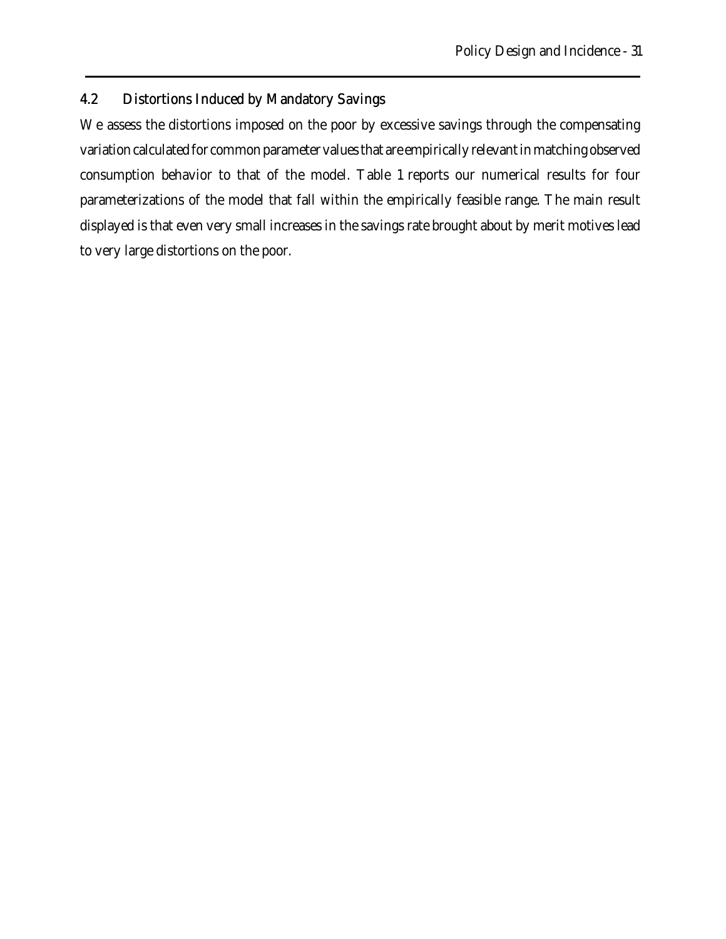# 4.2 Distortions Induced by Mandatory Savings

We assess the distortions imposed on the poor by excessive savings through the compensating variation calculated for common parameter values that are empirically relevant in matching observed consumption behavior to that of the model. Table 1 reports our numerical results for four parameterizations of the model that fall within the empirically feasible range. The main result displayed is that even very small increases in the savings rate brought about by merit motives lead to very large distortions on the poor.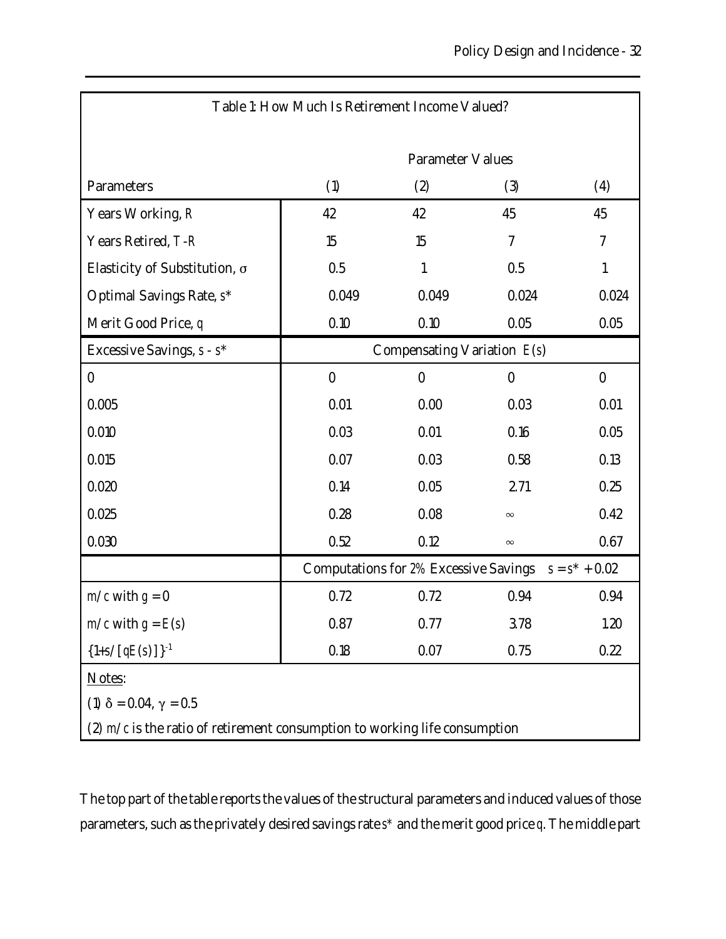| Table 1: How Much Is Retirement Income Valued?                               |                                                        |              |          |          |
|------------------------------------------------------------------------------|--------------------------------------------------------|--------------|----------|----------|
|                                                                              | <b>Parameter Values</b>                                |              |          |          |
| Parameters                                                                   | (1)                                                    | (2)          | (3)      | (4)      |
| Years Working, R                                                             | 42                                                     | 42           | 45       | 45       |
| Years Retired, T-R                                                           | 15                                                     | 15           | 7        | 7        |
| Elasticity of Substitution, σ                                                | 0.5                                                    | $\mathbf{1}$ | 0.5      | 1        |
| Optimal Savings Rate, s*                                                     | 0.049                                                  | 0.049        | 0.024    | 0.024    |
| Merit Good Price, q                                                          | 0.10                                                   | 0.10         | 0.05     | 0.05     |
| Excessive Savings, s - s*                                                    | Compensating Variation $E(s)$                          |              |          |          |
| $\bf{0}$                                                                     | $\bf{0}$                                               | $\bf{0}$     | $\bf{0}$ | $\bf{0}$ |
| 0.005                                                                        | 0.01                                                   | 0.00         | 0.03     | 0.01     |
| 0.010                                                                        | 0.03                                                   | 0.01         | 0.16     | 0.05     |
| 0.015                                                                        | 0.07                                                   | 0.03         | 0.58     | 0.13     |
| 0.020                                                                        | 0.14                                                   | 0.05         | 2.71     | 0.25     |
| 0.025                                                                        | 0.28                                                   | 0.08         | $\infty$ | 0.42     |
| 0.030                                                                        | 0.52                                                   | 0.12         | $\infty$ | 0.67     |
|                                                                              | Computations for 2% Excessive Savings $s = s^* + 0.02$ |              |          |          |
| $m/c$ with $g = 0$                                                           | 0.72                                                   | 0.72         | 0.94     | 0.94     |
| $m/c$ with $g = E(s)$                                                        | 0.87                                                   | 0.77         | 3.78     | 1.20     |
| ${1+s/[qE(s)]}^1$                                                            | 0.18                                                   | 0.07         | 0.75     | 0.22     |
| Notes:                                                                       |                                                        |              |          |          |
| (1) $\delta = 0.04$ , $\gamma = 0.5$                                         |                                                        |              |          |          |
| (2) $m/c$ is the ratio of retirement consumption to working life consumption |                                                        |              |          |          |

The top part of the table reports the values of the structural parameters and induced values of those parameters, such as the privately desired savings rate *s\** and the merit good price *q*. The middle part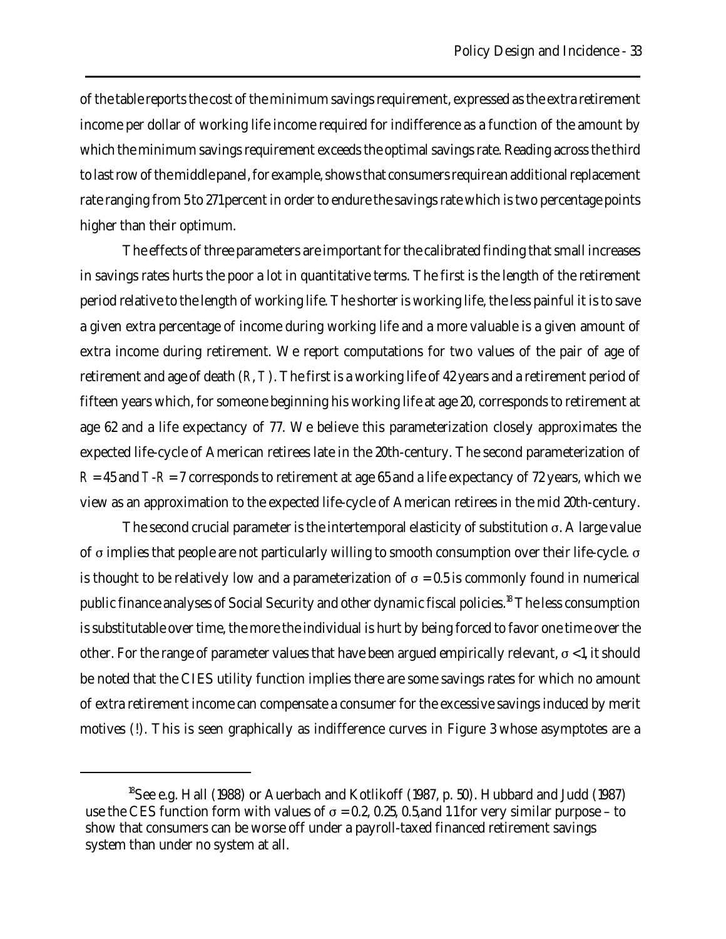of the table reports the cost of the minimum savings requirement, expressed as the extra retirement income per dollar of working life income required for indifference as a function of the amount by which the minimum savings requirement exceeds the optimal savings rate. Reading across the third to last row of the middle panel, for example, shows that consumers require an additional replacement rate ranging from 5 to 271 percent in order to endure the savings rate which is two percentage points higher than their optimum.

The effects of three parameters are important for the calibrated finding that small increases in savings rates hurts the poor a lot in quantitative terms. The first is the length of the retirement period relative to the length of working life. The shorter is working life, the less painful it is to save a given extra percentage of income during working life and a more valuable is a given amount of extra income during retirement. We report computations for two values of the pair of age of retirement and age of death (*R*, *T*). The first is a working life of 42 years and a retirement period of fifteen years which, for someone beginning his working life at age 20, corresponds to retirement at age 62 and a life expectancy of 77. We believe this parameterization closely approximates the expected life-cycle of American retirees late in the 20th-century. The second parameterization of  $R = 45$  and  $T-R = 7$  corresponds to retirement at age 65 and a life expectancy of 72 years, which we view as an approximation to the expected life-cycle of American retirees in the mid 20th-century.

The second crucial parameter is the intertemporal elasticity of substitution  $\sigma$ . A large value of  $\sigma$  implies that people are not particularly willing to smooth consumption over their life-cycle.  $\sigma$ is thought to be relatively low and a parameterization of  $\sigma = 0.5$  is commonly found in numerical public finance analyses of Social Security and other dynamic fiscal policies.<sup>18</sup> The less consumption is substitutable over time, the more the individual is hurt by being forced to favor one time over the other. For the range of parameter values that have been argued empirically relevant,  $\sigma$  < 1, it should be noted that the CIES utility function implies there are some savings rates for which no amount of extra retirement income can compensate a consumer for the excessive savings induced by merit motives (!). This is seen graphically as indifference curves in Figure 3 whose asymptotes are a

<sup>&</sup>lt;sup>18</sup>See e.g. Hall (1988) or Auerbach and Kotlikoff (1987, p. 50). Hubbard and Judd (1987) use the CES function form with values of  $\sigma = 0.2$ , 0.25, 0.5, and 1.1 for very similar purpose – to show that consumers can be worse off under a payroll-taxed financed retirement savings system than under no system at all.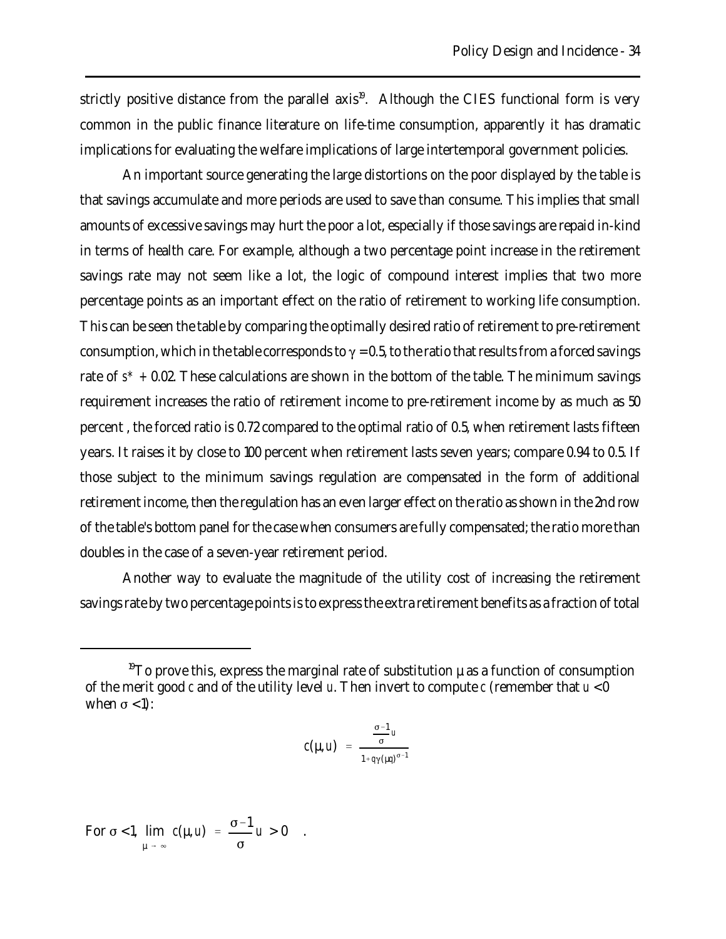strictly positive distance from the parallel axis<sup>19</sup>. Although the CIES functional form is very common in the public finance literature on life-time consumption, apparently it has dramatic implications for evaluating the welfare implications of large intertemporal government policies.

An important source generating the large distortions on the poor displayed by the table is that savings accumulate and more periods are used to save than consume. This implies that small amounts of excessive savings may hurt the poor a lot, especially if those savings are repaid in-kind in terms of health care. For example, although a two percentage point increase in the retirement savings rate may not seem like a lot, the logic of compound interest implies that two more percentage points as an important effect on the ratio of retirement to working life consumption. This can be seen the table by comparing the optimally desired ratio of retirement to pre-retirement consumption, which in the table corresponds to  $\gamma = 0.5$ , to the ratio that results from a forced savings rate of *s\* +* 0.02. These calculations are shown in the bottom of the table. The minimum savings requirement increases the ratio of retirement income to pre-retirement income by as much as 50 percent , the forced ratio is 0.72 compared to the optimal ratio of 0.5, when retirement lasts fifteen years. It raises it by close to 100 percent when retirement lasts seven years; compare 0.94 to 0.5. If those subject to the minimum savings regulation are compensated in the form of additional retirement income, then the regulation has an even larger effect on the ratio as shown in the 2nd row of the table's bottom panel for the case when consumers are fully compensated; the ratio more than doubles in the case of a seven-year retirement period.

Another way to evaluate the magnitude of the utility cost of increasing the retirement savings rate by two percentage points is to express the extra retirement benefits as a fraction of total

$$
c(\mu, u) = \frac{\frac{\sigma - 1}{\sigma} u}{1 + q\gamma(\mu q)^{\sigma - 1}}
$$

For  $\sigma$  < 1,  $\lim_{x \to a} c(\mu, u) = \frac{\sigma - 1}{u} u > 0$ .  $\mu \rightarrow \infty$  $c(\mu, u) = \frac{\sigma - 1}{\sigma}$  $\sigma$ *u* > 0

<sup>&</sup>lt;sup>19</sup>To prove this, express the marginal rate of substitution  $\mu$  as a function of consumption of the merit good *c* and of the utility level *u*. Then invert to compute *c* (remember that *u* < 0 when  $\sigma$  < 1):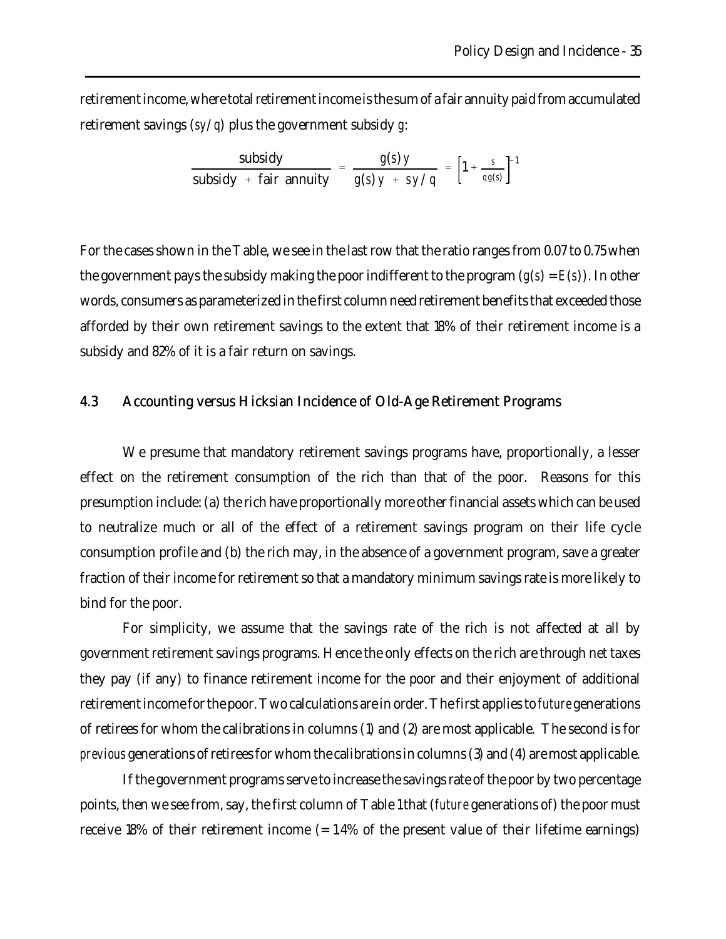retirement income, where total retirement income is the sum of a fair annuity paid from accumulated retirement savings (*sy*/*q*) plus the government subsidy *g*:

subsidy + fair annuity = 
$$
\frac{g(s)y}{g(s)y + sy/q} = \left[1 + \frac{s}{qg(s)}\right]^{-1}
$$

For the cases shown in the Table, we see in the last row that the ratio ranges from 0.07 to 0.75 when the government pays the subsidy making the poor indifferent to the program  $(g(s) = E(s))$ . In other words, consumers as parameterized in the first column need retirement benefits that exceeded those afforded by their own retirement savings to the extent that 18% of their retirement income is a subsidy and 82% of it is a fair return on savings.

### 4.3 Accounting versus Hicksian Incidence of Old-Age Retirement Programs

We presume that mandatory retirement savings programs have, proportionally, a lesser effect on the retirement consumption of the rich than that of the poor. Reasons for this presumption include: (a) the rich have proportionally more other financial assets which can be used to neutralize much or all of the effect of a retirement savings program on their life cycle consumption profile and (b) the rich may, in the absence of a government program, save a greater fraction of their income for retirement so that a mandatory minimum savings rate is more likely to bind for the poor.

For simplicity, we assume that the savings rate of the rich is not affected at all by government retirement savings programs. Hence the only effects on the rich are through net taxes they pay (if any) to finance retirement income for the poor and their enjoyment of additional retirement income for the poor. Two calculations are in order. The first applies to *future* generations of retirees for whom the calibrations in columns (1) and (2) are most applicable. The second is for *previous* generations of retirees for whom the calibrations in columns (3) and (4) are most applicable.

If the government programs serve to increase the savings rate of the poor by two percentage points, then we see from, say, the first column of Table 1 that (*future* generations of) the poor must receive 18% of their retirement income (= 1.4% of the present value of their lifetime earnings)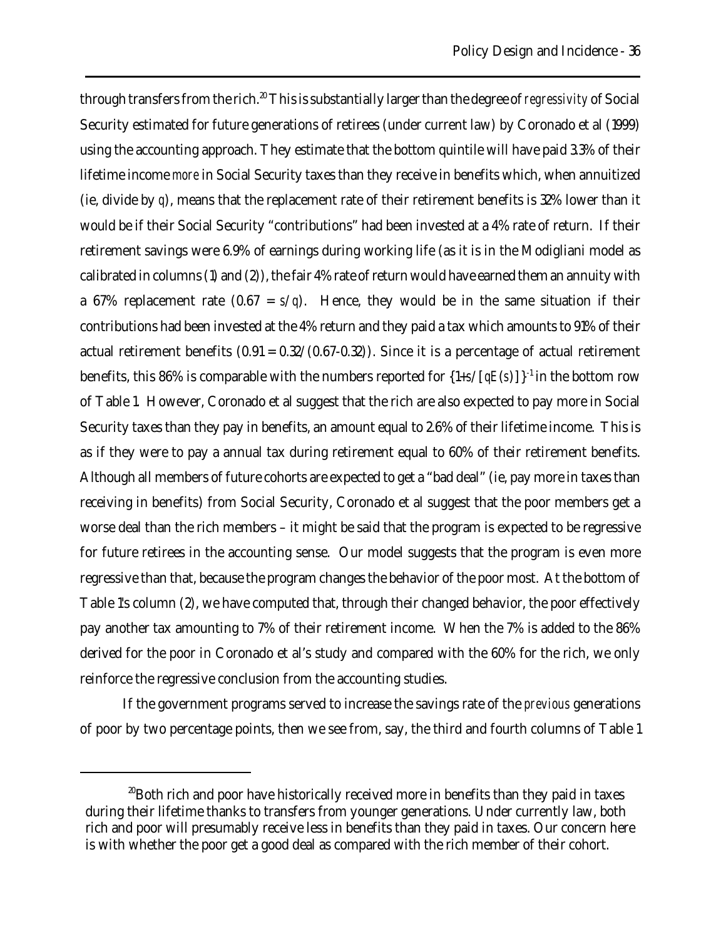through transfers from the rich.<sup>20</sup> This is substantially larger than the degree of *regressivity* of Social Security estimated for future generations of retirees (under current law) by Coronado et al (1999) using the accounting approach. They estimate that the bottom quintile will have paid 3.3% of their lifetime income *more* in Social Security taxes than they receive in benefits which, when annuitized (ie, divide by *q*), means that the replacement rate of their retirement benefits is 32% lower than it would be if their Social Security "contributions" had been invested at a 4% rate of return. If their retirement savings were 6.9% of earnings during working life (as it is in the Modigliani model as calibrated in columns (1) and (2)), the fair 4% rate of return would have earned them an annuity with a 67% replacement rate  $(0.67 = s/q)$ . Hence, they would be in the same situation if their contributions had been invested at the 4% return and they paid a tax which amounts to 91% of their actual retirement benefits  $(0.91 = 0.32/(0.67 - 0.32))$ . Since it is a percentage of actual retirement benefits, this 86% is comparable with the numbers reported for  $\{1+s/\sqrt{qE(s)}\}\$ <sup>1</sup> in the bottom row of Table 1. However, Coronado et al suggest that the rich are also expected to pay more in Social Security taxes than they pay in benefits, an amount equal to 2.6% of their lifetime income. This is as if they were to pay a annual tax during retirement equal to 60% of their retirement benefits. Although all members of future cohorts are expected to get a "bad deal" (ie, pay more in taxes than receiving in benefits) from Social Security, Coronado et al suggest that the poor members get a worse deal than the rich members – it might be said that the program is expected to be regressive for future retirees in the accounting sense. Our model suggests that the program is even more regressive than that, because the program changes the behavior of the poor most. At the bottom of Table 1's column (2), we have computed that, through their changed behavior, the poor effectively pay another tax amounting to 7% of their retirement income. When the 7% is added to the 86% derived for the poor in Coronado et al's study and compared with the 60% for the rich, we only reinforce the regressive conclusion from the accounting studies.

If the government programs served to increase the savings rate of the *previous* generations of poor by two percentage points, then we see from, say, the third and fourth columns of Table 1

<sup>&</sup>lt;sup>20</sup>Both rich and poor have historically received more in benefits than they paid in taxes during their lifetime thanks to transfers from younger generations. Under currently law, both rich and poor will presumably receive less in benefits than they paid in taxes. Our concern here is with whether the poor get a good deal as compared with the rich member of their cohort.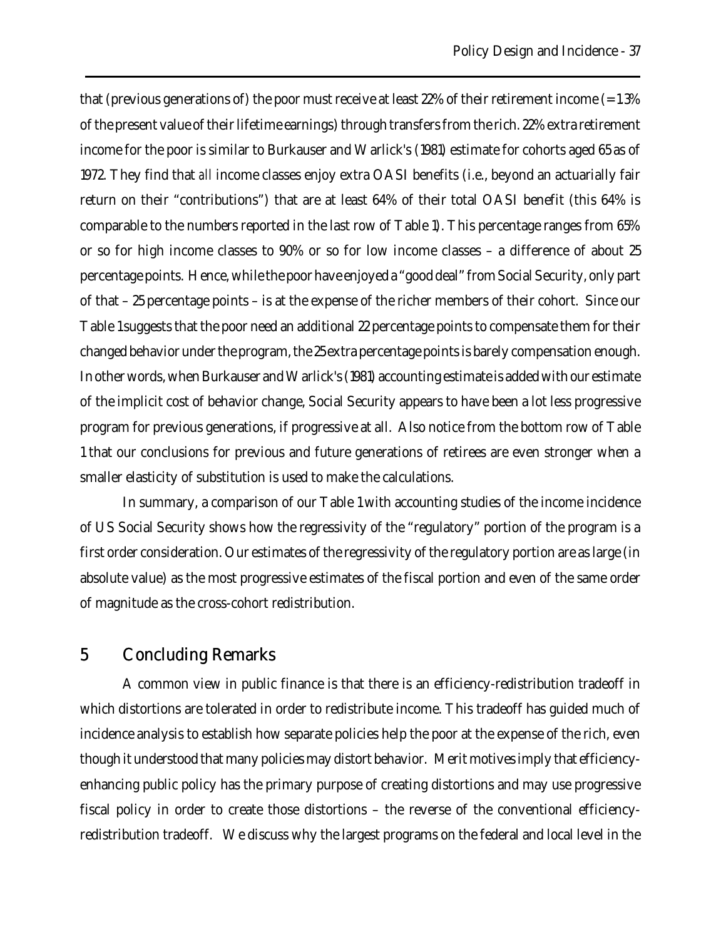that (previous generations of) the poor must receive at least  $22\%$  of their retirement income (= 1.3%) of the present value of their lifetime earnings) through transfers from the rich. 22% extra retirement income for the poor is similar to Burkauser and Warlick's (1981) estimate for cohorts aged 65 as of 1972. They find that *all* income classes enjoy extra OASI benefits (i.e., beyond an actuarially fair return on their "contributions") that are at least 64% of their total OASI benefit (this 64% is comparable to the numbers reported in the last row of Table 1). This percentage ranges from 65% or so for high income classes to 90% or so for low income classes – a difference of about 25 percentage points. Hence, while the poor have enjoyed a "good deal" from Social Security, only part of that – 25 percentage points – is at the expense of the richer members of their cohort. Since our Table 1 suggests that the poor need an additional 22 percentage points to compensate them for their changed behavior under the program, the 25 extra percentage points is barely compensation enough. In other words, when Burkauser and Warlick's (1981) accounting estimate is added with our estimate of the implicit cost of behavior change, Social Security appears to have been a lot less progressive program for previous generations, if progressive at all. Also notice from the bottom row of Table 1 that our conclusions for previous and future generations of retirees are even stronger when a smaller elasticity of substitution is used to make the calculations.

In summary, a comparison of our Table 1 with accounting studies of the income incidence of US Social Security shows how the regressivity of the "regulatory" portion of the program is a first order consideration. Our estimates of the regressivity of the regulatory portion are as large (in absolute value) as the most progressive estimates of the fiscal portion and even of the same order of magnitude as the cross-cohort redistribution.

# 5 Concluding Remarks

A common view in public finance is that there is an efficiency-redistribution tradeoff in which distortions are tolerated in order to redistribute income. This tradeoff has guided much of incidence analysis to establish how separate policies help the poor at the expense of the rich, even though it understood that many policies may distort behavior. Merit motives imply that efficiencyenhancing public policy has the primary purpose of creating distortions and may use progressive fiscal policy in order to create those distortions – the reverse of the conventional efficiencyredistribution tradeoff. We discuss why the largest programs on the federal and local level in the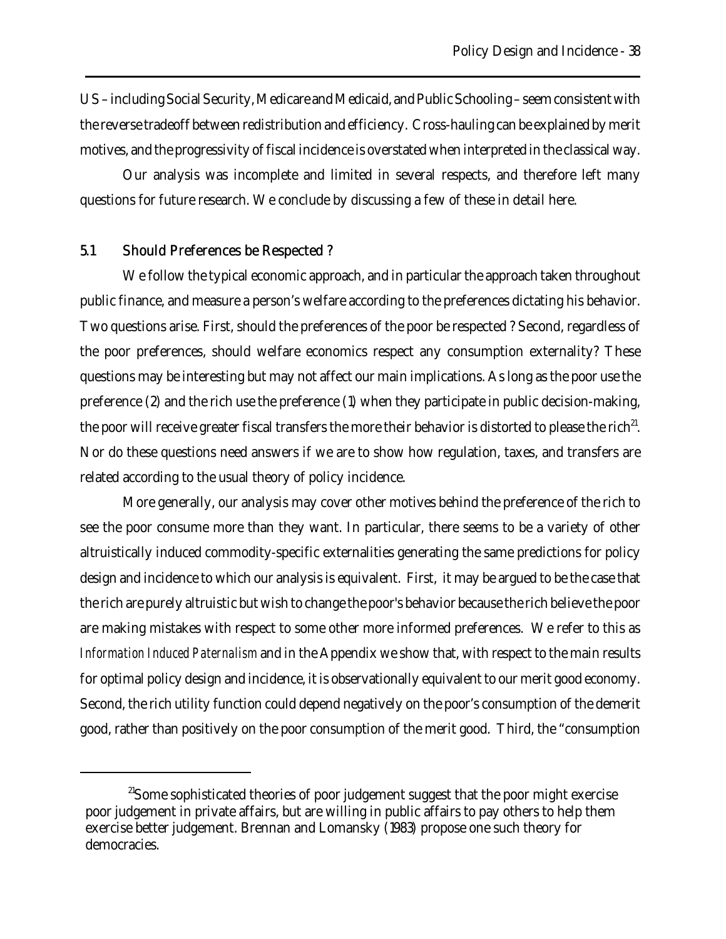US – including Social Security, Medicare and Medicaid, and Public Schooling – seem consistent with the reverse tradeoff between redistribution and efficiency. Cross-hauling can be explained by merit motives, and the progressivity of fiscal incidence is overstated when interpreted in the classical way.

Our analysis was incomplete and limited in several respects, and therefore left many questions for future research. We conclude by discussing a few of these in detail here.

### 5.1 Should Preferences be Respected ?

We follow the typical economic approach, and in particular the approach taken throughout public finance, and measure a person's welfare according to the preferences dictating his behavior. Two questions arise. First, should the preferences of the poor be respected ? Second, regardless of the poor preferences, should welfare economics respect any consumption externality? These questions may be interesting but may not affect our main implications. As long as the poor use the preference (2) and the rich use the preference (1) when they participate in public decision-making, the poor will receive greater fiscal transfers the more their behavior is distorted to please the rich $^{2}$ . Nor do these questions need answers if we are to show how regulation, taxes, and transfers are related according to the usual theory of policy incidence.

More generally, our analysis may cover other motives behind the preference of the rich to see the poor consume more than they want. In particular, there seems to be a variety of other altruistically induced commodity-specific externalities generating the same predictions for policy design and incidence to which our analysis is equivalent. First, it may be argued to be the case that the rich are purely altruistic but wish to change the poor's behavior because the rich believe the poor are making mistakes with respect to some other more informed preferences. We refer to this as *Information Induced Paternalism* and in the Appendix we show that, with respect to the main results for optimal policy design and incidence, it is observationally equivalent to our merit good economy. Second, the rich utility function could depend negatively on the poor's consumption of the demerit good, rather than positively on the poor consumption of the merit good. Third, the "consumption

<sup>&</sup>lt;sup>21</sup>Some sophisticated theories of poor judgement suggest that the poor might exercise poor judgement in private affairs, but are willing in public affairs to pay others to help them exercise better judgement. Brennan and Lomansky (1983) propose one such theory for democracies.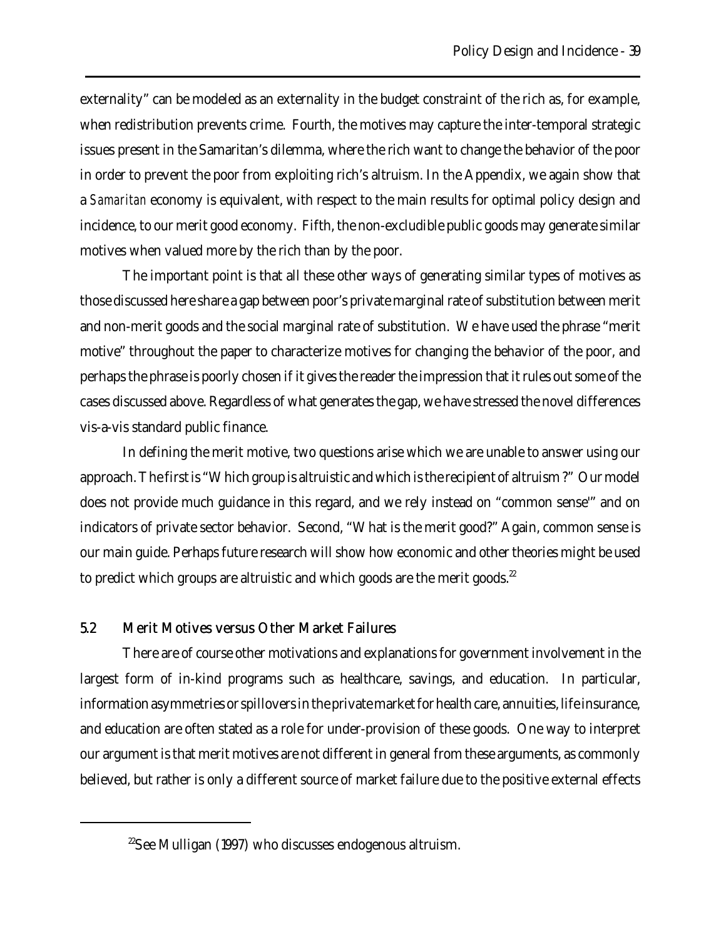externality" can be modeled as an externality in the budget constraint of the rich as, for example, when redistribution prevents crime. Fourth, the motives may capture the inter-temporal strategic issues present in the Samaritan's dilemma, where the rich want to change the behavior of the poor in order to prevent the poor from exploiting rich's altruism. In the Appendix, we again show that a *Samaritan* economy is equivalent, with respect to the main results for optimal policy design and incidence, to our merit good economy. Fifth, the non-excludible public goods may generate similar motives when valued more by the rich than by the poor.

The important point is that all these other ways of generating similar types of motives as those discussed here share a gap between poor's private marginal rate of substitution between merit and non-merit goods and the social marginal rate of substitution. We have used the phrase "merit motive" throughout the paper to characterize motives for changing the behavior of the poor, and perhaps the phrase is poorly chosen if it gives the reader the impression that it rules out some of the cases discussed above. Regardless of what generates the gap, we have stressed the novel differences vis-a-vis standard public finance.

In defining the merit motive, two questions arise which we are unable to answer using our approach. The first is "Which group is altruistic and which is the recipient of altruism ?" Our model does not provide much guidance in this regard, and we rely instead on "common sense'" and on indicators of private sector behavior. Second, "What is the merit good?" Again, common sense is our main guide. Perhaps future research will show how economic and other theories might be used to predict which groups are altruistic and which goods are the merit goods. $22$ 

### 5.2 Merit Motives versus Other Market Failures

There are of course other motivations and explanations for government involvement in the largest form of in-kind programs such as healthcare, savings, and education. In particular, information asymmetries or spillovers in the private market for health care, annuities, life insurance, and education are often stated as a role for under-provision of these goods. One way to interpret our argument is that merit motives are not different in general from these arguments, as commonly believed, but rather is only a different source of market failure due to the positive external effects

 $22$ See Mulligan (1997) who discusses endogenous altruism.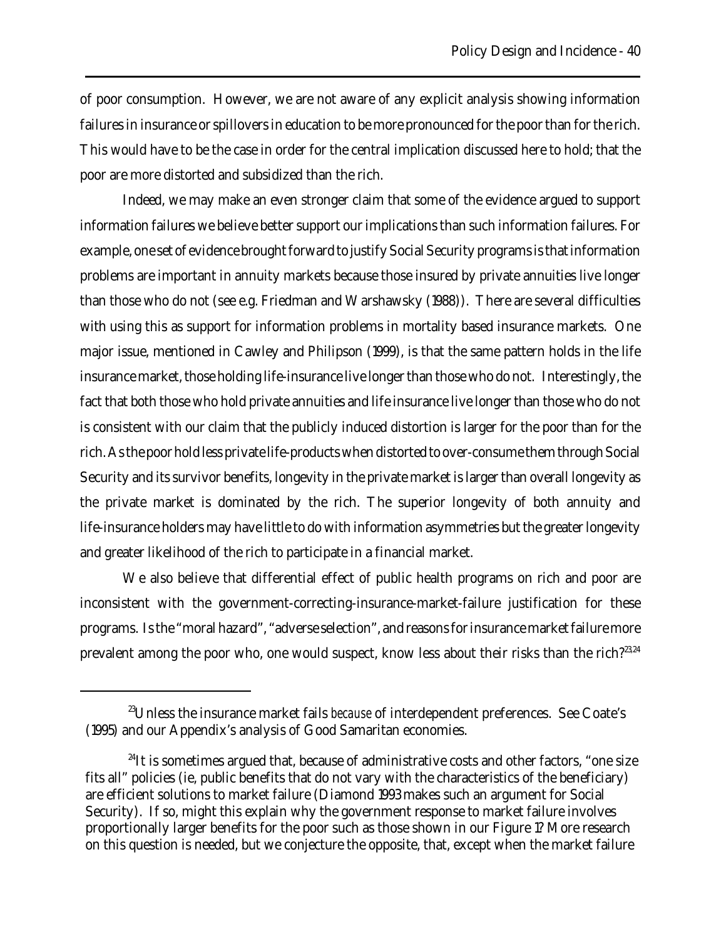of poor consumption. However, we are not aware of any explicit analysis showing information failures in insurance or spillovers in education to be more pronounced for the poor than for the rich. This would have to be the case in order for the central implication discussed here to hold; that the poor are more distorted and subsidized than the rich.

Indeed, we may make an even stronger claim that some of the evidence argued to support information failures we believe better support our implications than such information failures. For example, one set of evidence brought forward to justify Social Security programs is that information problems are important in annuity markets because those insured by private annuities live longer than those who do not (see e.g. Friedman and Warshawsky (1988)). There are several difficulties with using this as support for information problems in mortality based insurance markets. One major issue, mentioned in Cawley and Philipson (1999), is that the same pattern holds in the life insurance market, those holding life-insurance live longer than those who do not. Interestingly, the fact that both those who hold private annuities and life insurance live longer than those who do not is consistent with our claim that the publicly induced distortion is larger for the poor than for the rich. As the poor hold less private life-products when distorted to over-consume them through Social Security and its survivor benefits, longevity in the private market is larger than overall longevity as the private market is dominated by the rich. The superior longevity of both annuity and life-insurance holders may have little to do with information asymmetries but the greater longevity and greater likelihood of the rich to participate in a financial market.

We also believe that differential effect of public health programs on rich and poor are inconsistent with the government-correcting-insurance-market-failure justification for these programs. Is the "moral hazard", "adverse selection", and reasons for insurance market failure more prevalent among the poor who, one would suspect, know less about their risks than the rich?<sup>23,24</sup>

<sup>23</sup>Unless the insurance market fails *because* of interdependent preferences. See Coate's (1995) and our Appendix's analysis of Good Samaritan economies.

 $^{24}$ It is sometimes argued that, because of administrative costs and other factors, "one size fits all" policies (ie, public benefits that do not vary with the characteristics of the beneficiary) are efficient solutions to market failure (Diamond 1993 makes such an argument for Social Security). If so, might this explain why the government response to market failure involves proportionally larger benefits for the poor such as those shown in our Figure 1? More research on this question is needed, but we conjecture the opposite, that, except when the market failure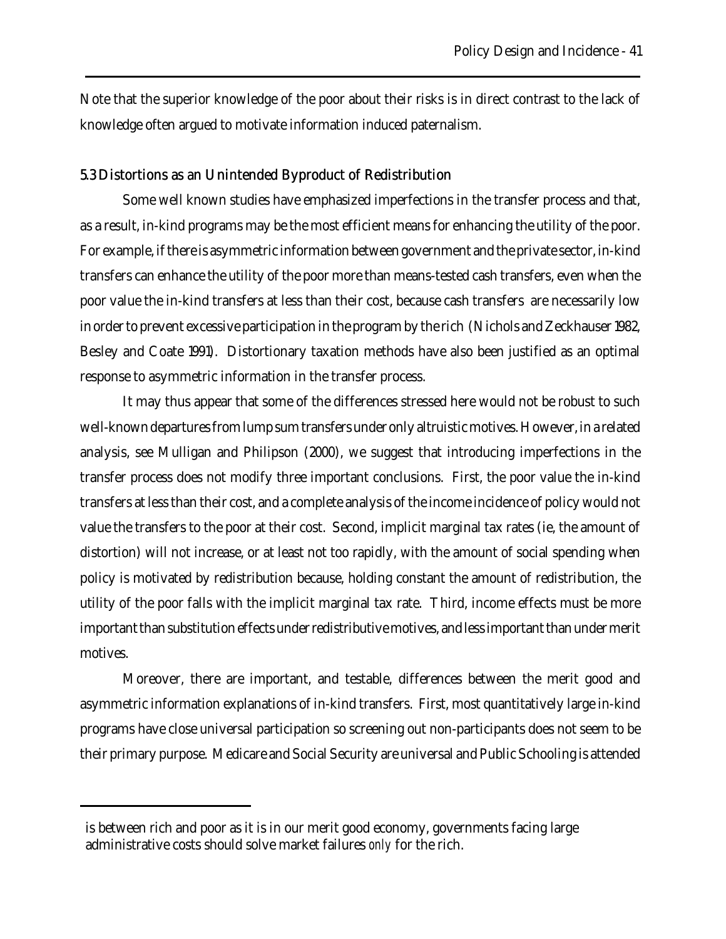Note that the superior knowledge of the poor about their risks is in direct contrast to the lack of knowledge often argued to motivate information induced paternalism.

### 5.3 Distortions as an Unintended Byproduct of Redistribution

Some well known studies have emphasized imperfections in the transfer process and that, as a result, in-kind programs may be the most efficient means for enhancing the utility of the poor. For example, if there is asymmetric information between government and the private sector, in-kind transfers can enhance the utility of the poor more than means-tested cash transfers, even when the poor value the in-kind transfers at less than their cost, because cash transfers are necessarily low in order to prevent excessive participation in the program by the rich (Nichols and Zeckhauser 1982, Besley and Coate 1991). Distortionary taxation methods have also been justified as an optimal response to asymmetric information in the transfer process.

It may thus appear that some of the differences stressed here would not be robust to such well-known departures from lump sum transfers under only altruistic motives. However, in a related analysis, see Mulligan and Philipson (2000), we suggest that introducing imperfections in the transfer process does not modify three important conclusions. First, the poor value the in-kind transfers at less than their cost, and a complete analysis of the income incidence of policy would not value the transfers to the poor at their cost. Second, implicit marginal tax rates (ie, the amount of distortion) will not increase, or at least not too rapidly, with the amount of social spending when policy is motivated by redistribution because, holding constant the amount of redistribution, the utility of the poor falls with the implicit marginal tax rate. Third, income effects must be more important than substitution effects under redistributive motives, and less important than under merit motives.

Moreover, there are important, and testable, differences between the merit good and asymmetric information explanations of in-kind transfers. First, most quantitatively large in-kind programs have close universal participation so screening out non-participants does not seem to be their primary purpose. Medicare and Social Security are universal and Public Schooling is attended

is between rich and poor as it is in our merit good economy, governments facing large administrative costs should solve market failures *only* for the rich.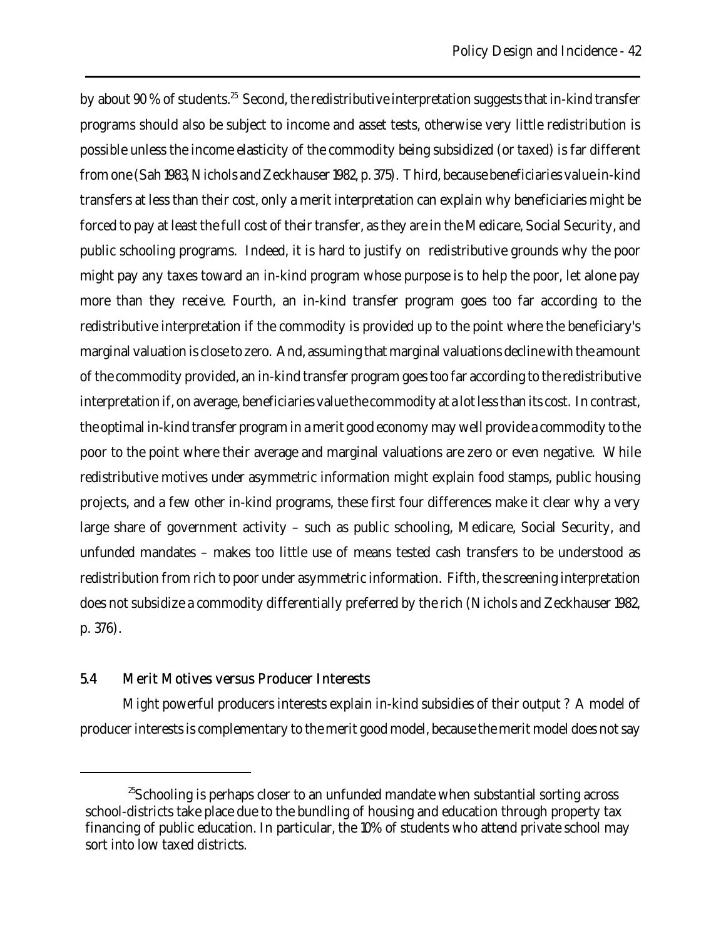by about  $90\,\%$  of students.<sup>25</sup> Second, the redistributive interpretation suggests that in-kind transfer programs should also be subject to income and asset tests, otherwise very little redistribution is possible unless the income elasticity of the commodity being subsidized (or taxed) is far different from one (Sah 1983, Nichols and Zeckhauser 1982, p. 375). Third, because beneficiaries value in-kind transfers at less than their cost, only a merit interpretation can explain why beneficiaries might be forced to pay at least the full cost of their transfer, as they are in the Medicare, Social Security, and public schooling programs. Indeed, it is hard to justify on redistributive grounds why the poor might pay any taxes toward an in-kind program whose purpose is to help the poor, let alone pay more than they receive. Fourth, an in-kind transfer program goes too far according to the redistributive interpretation if the commodity is provided up to the point where the beneficiary's marginal valuation is close to zero. And, assuming that marginal valuations decline with the amount of the commodity provided, an in-kind transfer program goes too far according to the redistributive interpretation if, on average, beneficiaries value the commodity at a lot less than its cost. In contrast, the optimal in-kind transfer program in a merit good economy may well provide a commodity to the poor to the point where their average and marginal valuations are zero or even negative. While redistributive motives under asymmetric information might explain food stamps, public housing projects, and a few other in-kind programs, these first four differences make it clear why a very large share of government activity – such as public schooling, Medicare, Social Security, and unfunded mandates – makes too little use of means tested cash transfers to be understood as redistribution from rich to poor under asymmetric information. Fifth, the screening interpretation does not subsidize a commodity differentially preferred by the rich (Nichols and Zeckhauser 1982, p. 376).

## 5.4 Merit Motives versus Producer Interests

Might powerful producers interests explain in-kind subsidies of their output ? A model of producer interests is complementary to the merit good model, because the merit model does not say

 $^{25}$ Schooling is perhaps closer to an unfunded mandate when substantial sorting across school-districts take place due to the bundling of housing and education through property tax financing of public education. In particular, the 10% of students who attend private school may sort into low taxed districts.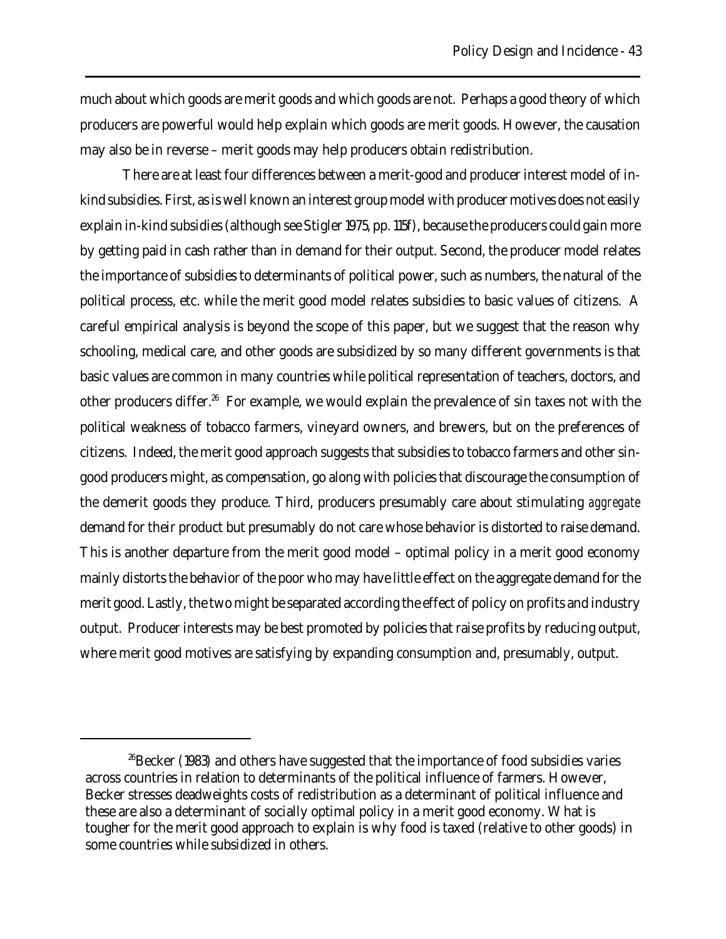much about which goods are merit goods and which goods are not. Perhaps a good theory of which producers are powerful would help explain which goods are merit goods. However, the causation may also be in reverse – merit goods may help producers obtain redistribution.

There are at least four differences between a merit-good and producer interest model of inkind subsidies. First, as is well known an interest group model with producer motives does not easily explain in-kind subsidies (although see Stigler 1975, pp. 115f), because the producers could gain more by getting paid in cash rather than in demand for their output. Second, the producer model relates the importance of subsidies to determinants of political power, such as numbers, the natural of the political process, etc. while the merit good model relates subsidies to basic values of citizens. A careful empirical analysis is beyond the scope of this paper, but we suggest that the reason why schooling, medical care, and other goods are subsidized by so many different governments is that basic values are common in many countries while political representation of teachers, doctors, and other producers differ.<sup>26</sup> For example, we would explain the prevalence of sin taxes not with the political weakness of tobacco farmers, vineyard owners, and brewers, but on the preferences of citizens. Indeed, the merit good approach suggests that subsidies to tobacco farmers and other singood producers might, as compensation, go along with policies that discourage the consumption of the demerit goods they produce. Third, producers presumably care about stimulating *aggregate* demand for their product but presumably do not care whose behavior is distorted to raise demand. This is another departure from the merit good model – optimal policy in a merit good economy mainly distorts the behavior of the poor who may have little effect on the aggregate demand for the merit good. Lastly, the two might be separated according the effect of policy on profits and industry output. Producer interests may be best promoted by policies that raise profits by reducing output, where merit good motives are satisfying by expanding consumption and, presumably, output.

 $^{26}$ Becker (1983) and others have suggested that the importance of food subsidies varies across countries in relation to determinants of the political influence of farmers. However, Becker stresses deadweights costs of redistribution as a determinant of political influence and these are also a determinant of socially optimal policy in a merit good economy. What is tougher for the merit good approach to explain is why food is taxed (relative to other goods) in some countries while subsidized in others.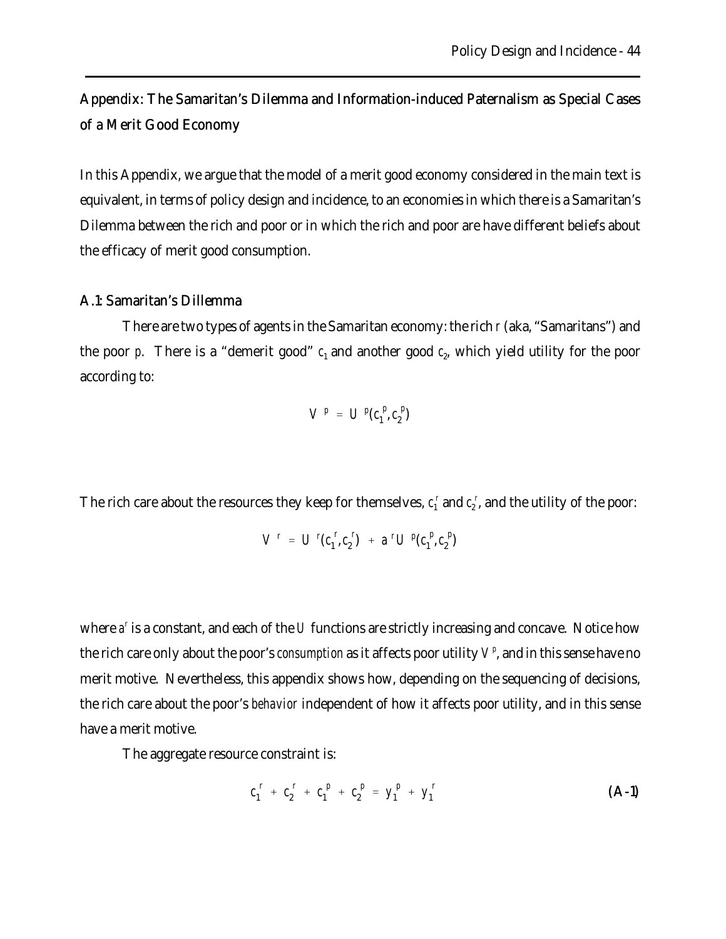Appendix: The Samaritan's Dilemma and Information-induced Paternalism as Special Cases of a Merit Good Economy

In this Appendix, we argue that the model of a merit good economy considered in the main text is equivalent, in terms of policy design and incidence, to an economies in which there is a Samaritan's Dilemma between the rich and poor or in which the rich and poor are have different beliefs about the efficacy of merit good consumption.

### A.1: Samaritan's Dillemma

There are two types of agents in the Samaritan economy: the rich *r* (aka, "Samaritans") and the poor  $p$ . There is a "demerit good"  $c_1$  and another good  $c_2$ , which yield utility for the poor according to:

$$
V^p = U^p(c_1^p, c_2^p)
$$

The rich care about the resources they keep for themselves,  $c_1^r$  and  $c_2^r$ , and the utility of the poor:

$$
V^r = U^r(c_1^r, c_2^r) + a^r U^p(c_1^p, c_2^p)
$$

where  $a^r$  is a constant, and each of the *U* functions are strictly increasing and concave. Notice how the rich care only about the poor's *consumption* as it affects poor utility  $V^p$ , and in this sense have no merit motive. Nevertheless, this appendix shows how, depending on the sequencing of decisions, the rich care about the poor's *behavior* independent of how it affects poor utility, and in this sense have a merit motive.

The aggregate resource constraint is:

$$
c_1^r + c_2^r + c_1^p + c_2^p = y_1^p + y_1^r
$$
 (A-1)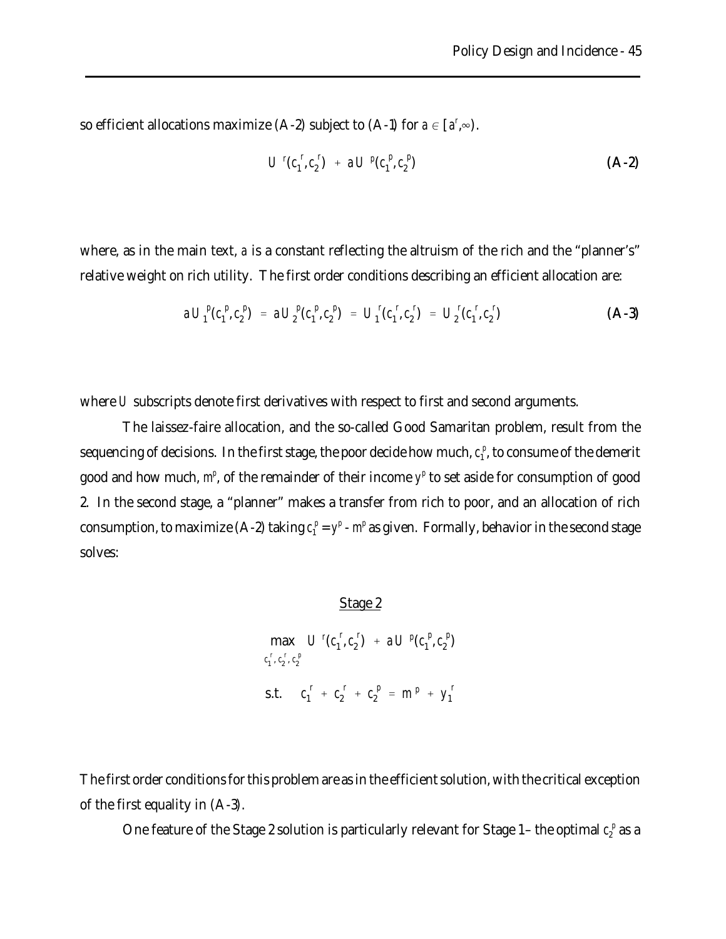so efficient allocations maximize (A-2) subject to (A-1) for  $a \in [a^r, \infty)$ .

$$
U^{r}(c_{1}^{r}, c_{2}^{r}) + a U^{p}(c_{1}^{p}, c_{2}^{p}) \qquad (A-2)
$$

where, as in the main text, *a* is a constant reflecting the altruism of the rich and the "planner's" relative weight on rich utility. The first order conditions describing an efficient allocation are:

$$
a U_1^P(c_1^P, c_2^P) = a U_2^P(c_1^P, c_2^P) = U_1^I(c_1^r, c_2^r) = U_2^I(c_1^r, c_2^r)
$$
 (A-3)

where *U* subscripts denote first derivatives with respect to first and second arguments.

The laissez-faire allocation, and the so-called Good Samaritan problem, result from the sequencing of decisions. In the first stage, the poor decide how much,  $c<sub>i</sub><sup>p</sup>$ , to consume of the demerit good and how much,  $m^p$ , of the remainder of their income  $y^p$  to set aside for consumption of good 2. In the second stage, a "planner" makes a transfer from rich to poor, and an allocation of rich consumption, to maximize (A-2) taking  $c_1^p = y^p - m^p$  as given. Formally, behavior in the second stage solves:

### Stage 2

 $max$  *U<sup>r</sup>*( $c_1$ <sup>*r*</sup>  $c_1^{\ r}$ ,  $c_2^{\ r}$ ,  $c_2^{\ p}$  $\int_1^r$ ,  $c_2^r$  $\sigma_2^{\text{r}}$  +  $aU^p(c_1^p)$  $\int_{1}^{p}$ ,  $c_2^{p}$  $_{2}^{P}$ s.t.  $c_1^r + c_2^r + c_2^p = m^p + y_1^r$ 1

The first order conditions for this problem are as in the efficient solution, with the critical exception of the first equality in (A-3).

One feature of the Stage 2 solution is particularly relevant for Stage 1 – the optimal  $c_2^{\ p}$  as a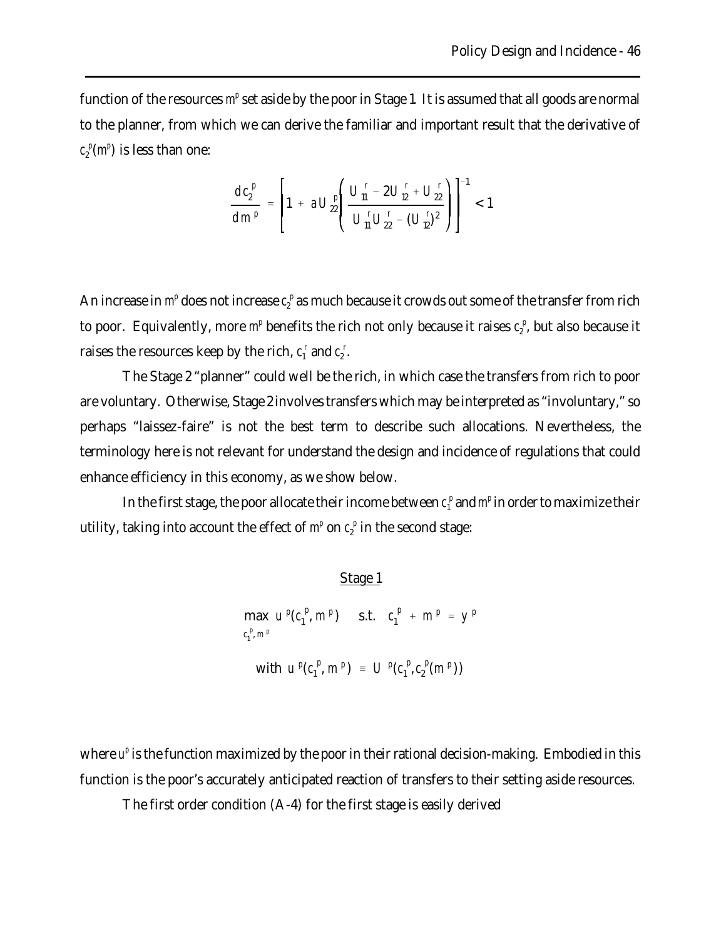function of the resources m<sup>e</sup> set aside by the poor in Stage 1. It is assumed that all goods are normal to the planner, from which we can derive the familiar and important result that the derivative of  $c_2^{\ p}(m^p)$  is less than one:

$$
\frac{d c_2^p}{d m^p} = \left[1 + a U_{22}^p \left( \frac{U_{11}^r - 2 U_{12}^r + U_{22}^r}{U_{11}^r U_{22}^r - (U_{12}^r)^2} \right) \right]^{-1} < 1
$$

An increase in  $m^p$  does not increase  $c^{\;p}_2$  as much because it crowds out some of the transfer from rich to poor. Equivalently, more  $m^p$  benefits the rich not only because it raises  $c_2^p$ , but also because it raises the resources keep by the rich,  $c_1^r$  and  $c_2^r$ .

The Stage 2 "planner" could well be the rich, in which case the transfers from rich to poor are voluntary. Otherwise, Stage 2 involves transfers which may be interpreted as "involuntary," so perhaps "laissez-faire" is not the best term to describe such allocations. Nevertheless, the terminology here is not relevant for understand the design and incidence of regulations that could enhance efficiency in this economy, as we show below.

In the first stage, the poor allocate their income between  $c_{\rm i}^{\,p}$  and  $m^{\rm p}$  in order to maximize their utility, taking into account the effect of  $m^p$  on  $c_2^p$  in the second stage:

Stage 1

$$
\begin{array}{ll}\n\text{max} & u^p(c_1^p, m^p) & \text{s.t.} & c_1^p + m^p = y^p \\
\text{with} & u^p(c_1^p, m^p) = U^p(c_1^p, c_2^p(m^p))\n\end{array}
$$

where  $u^p$  is the function maximized by the poor in their rational decision-making. Embodied in this function is the poor's accurately anticipated reaction of transfers to their setting aside resources.

The first order condition (A-4) for the first stage is easily derived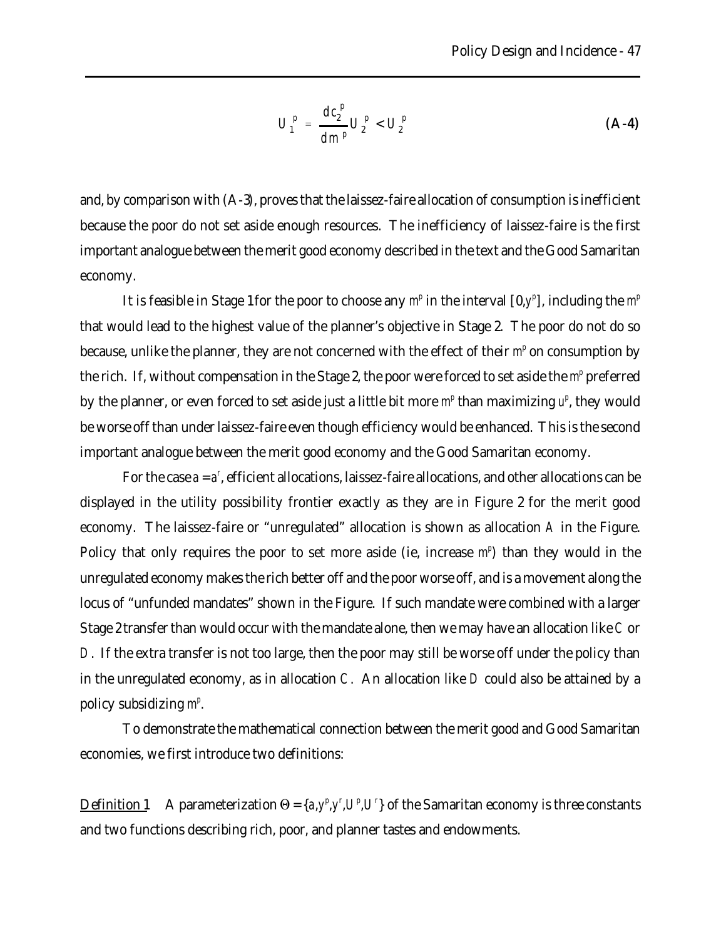$$
U_1^p = \frac{dc_2^p}{dm^p} U_2^p < U_2^p \tag{A-4}
$$

and, by comparison with (A-3), proves that the laissez-faire allocation of consumption is inefficient because the poor do not set aside enough resources. The inefficiency of laissez-faire is the first important analogue between the merit good economy described in the text and the Good Samaritan economy.

It is feasible in Stage 1 for the poor to choose any  $m^p$  in the interval  $[0, y^p]$ , including the  $m^p$ that would lead to the highest value of the planner's objective in Stage 2. The poor do not do so because, unlike the planner, they are not concerned with the effect of their m<sup>*p*</sup> on consumption by the rich. If, without compensation in the Stage 2, the poor were forced to set aside the m<sup>*p*</sup> preferred by the planner, or even forced to set aside just a little bit more  $m^p$  than maximizing  $u^p$ , they would be worse off than under laissez-faire even though efficiency would be enhanced. This is the second important analogue between the merit good economy and the Good Samaritan economy.

For the case  $a = a^r$ , efficient allocations, laissez-faire allocations, and other allocations can be displayed in the utility possibility frontier exactly as they are in Figure 2 for the merit good economy. The laissez-faire or "unregulated" allocation is shown as allocation *A* in the Figure. Policy that only requires the poor to set more aside (ie, increase  $m^p$ ) than they would in the unregulated economy makes the rich better off and the poor worse off, and is a movement along the locus of "unfunded mandates" shown in the Figure. If such mandate were combined with a larger Stage 2 transfer than would occur with the mandate alone, then we may have an allocation like *C* or *D*. If the extra transfer is not too large, then the poor may still be worse off under the policy than in the unregulated economy, as in allocation *C*. An allocation like *D* could also be attained by a policy subsidizing  $m^p$ .

To demonstrate the mathematical connection between the merit good and Good Samaritan economies, we first introduce two definitions:

Definition 1 A parameterization  $\Theta = \{a, y^p, y^r, U^p, U^p\}$  of the Samaritan economy is three constants and two functions describing rich, poor, and planner tastes and endowments.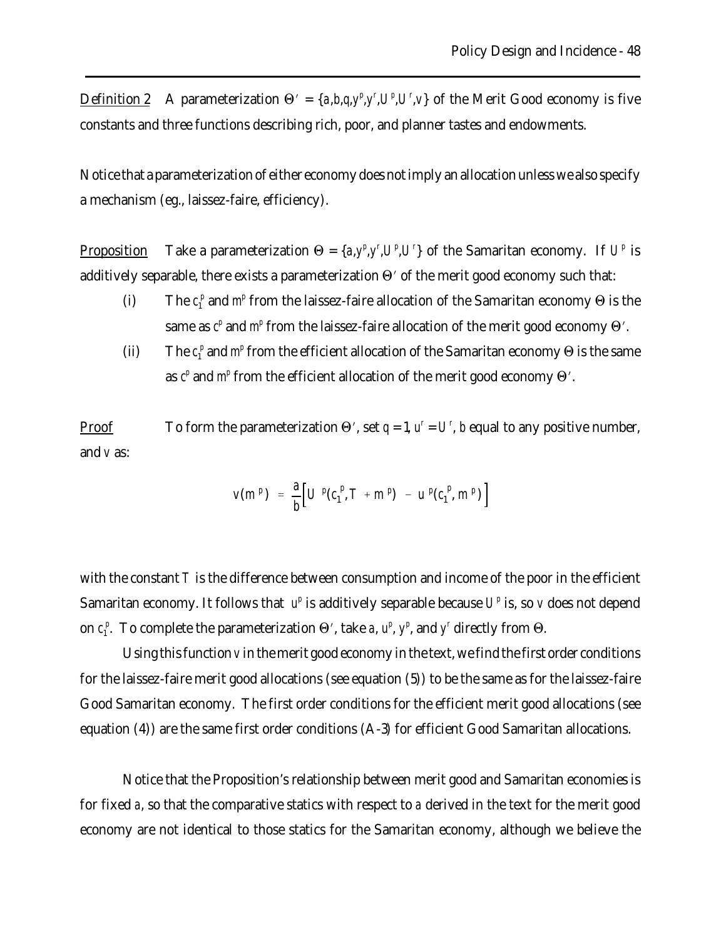Definition 2 A parameterization  $\Theta' = \{a, b, q, y^p, y^r, U^p, U^r, v\}$  of the Merit Good economy is five constants and three functions describing rich, poor, and planner tastes and endowments.

Notice that a parameterization of either economy does not imply an allocation unless we also specify a mechanism (eg., laissez-faire, efficiency).

Proposition Take a parameterization  $\Theta = \{a, y^p, y^r, U^p, U^p\}$  of the Samaritan economy. If  $U^p$  is additively separable, there exists a parameterization  $\Theta'$  of the merit good economy such that:

- (i) The  $c_1^p$  and  $m^p$  from the laissez-faire allocation of the Samaritan economy  $\Theta$  is the same as  $c^p$  and  $m^p$  from the laissez-faire allocation of the merit good economy  $\Theta'$ .
- (ii) The  $c_1^p$  and  $m^p$  from the efficient allocation of the Samaritan economy  $\Theta$  is the same as  $c^p$  and  $m^p$  from the efficient allocation of the merit good economy  $\Theta'$ .

<u>Proof</u> To form the parameterization  $\Theta'$ , set  $q = 1$ ,  $u^r = U^r$ , *b* equal to any positive number, and *v* as:

$$
v(m^{p}) = \frac{a}{b} \left[ U^{p}(c_1^{p}, T + m^{p}) - u^{p}(c_1^{p}, m^{p}) \right]
$$

with the constant *T* is the difference between consumption and income of the poor in the efficient Samaritan economy. It follows that  $u^p$  is additively separable because  $U^p$  is, so *v* does not depend on  $c_1^p$ . To complete the parameterization  $\Theta'$ , take *a*,  $u^p$ ,  $y^p$ , and  $y^r$  directly from  $\Theta$ .

Using this function *v* in the merit good economy in the text, we find the first order conditions for the laissez-faire merit good allocations (see equation (5)) to be the same as for the laissez-faire Good Samaritan economy. The first order conditions for the efficient merit good allocations (see equation (4)) are the same first order conditions (A-3) for efficient Good Samaritan allocations.

Notice that the Proposition's relationship between merit good and Samaritan economies is for fixed *a*, so that the comparative statics with respect to *a* derived in the text for the merit good economy are not identical to those statics for the Samaritan economy, although we believe the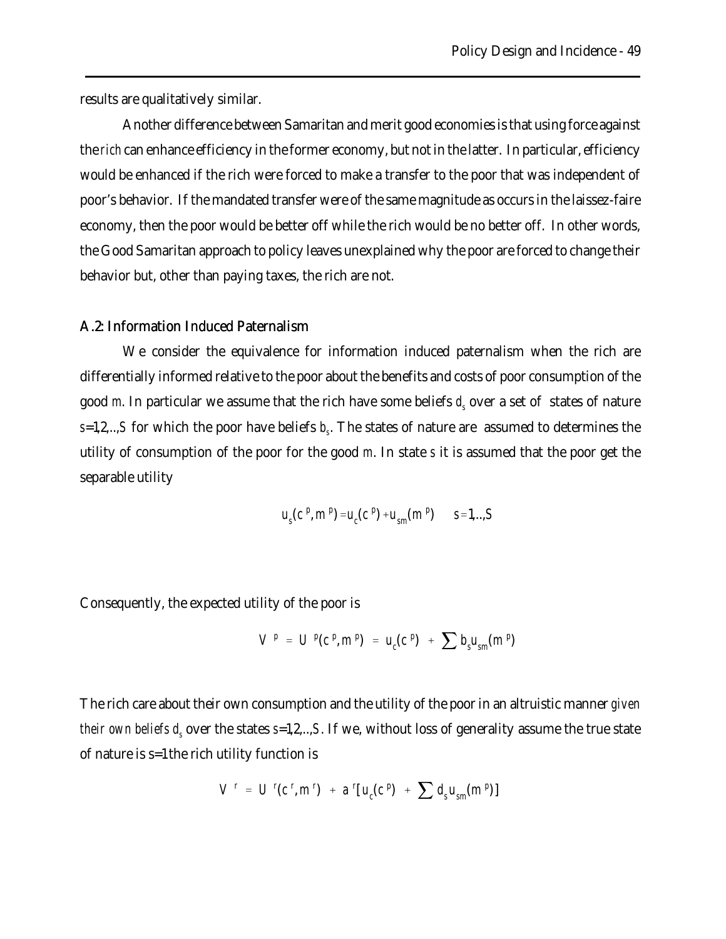results are qualitatively similar.

Another difference between Samaritan and merit good economies is that using force against the *rich* can enhance efficiency in the former economy, but not in the latter. In particular, efficiency would be enhanced if the rich were forced to make a transfer to the poor that was independent of poor's behavior. If the mandated transfer were of the same magnitude as occurs in the laissez-faire economy, then the poor would be better off while the rich would be no better off. In other words, the Good Samaritan approach to policy leaves unexplained why the poor are forced to change their behavior but, other than paying taxes, the rich are not.

### A.2: Information Induced Paternalism

We consider the equivalence for information induced paternalism when the rich are differentially informed relative to the poor about the benefits and costs of poor consumption of the good *m*. In particular we assume that the rich have some beliefs  $d_s$  over a set of  $\,$  states of nature *s*=1,2,..,*S* for which the poor have beliefs *b<sup>s</sup>* . The states of nature are assumed to determines the utility of consumption of the poor for the good *m*. In state *s* it is assumed that the poor get the separable utility

$$
u_s(c^p, m^p) = u_c(c^p) + u_{sm}(m^p)
$$
 s=1,...,S

Consequently, the expected utility of the poor is

$$
V^{p} = U^{p}(c^{p}, m^{p}) = u_{c}(c^{p}) + \sum b_{s} u_{sm}(m^{p})
$$

The rich care about their own consumption and the utility of the poor in an altruistic manner *given their own beliefs d<sup>s</sup>* over the states *s*=1,2,..,*S*. If we, without loss of generality assume the true state of nature is s=1 the rich utility function is

$$
V^r = U^r(c^r, m^r) + a^r[u_c(c^p) + \sum d_s u_{sm}(m^p)]
$$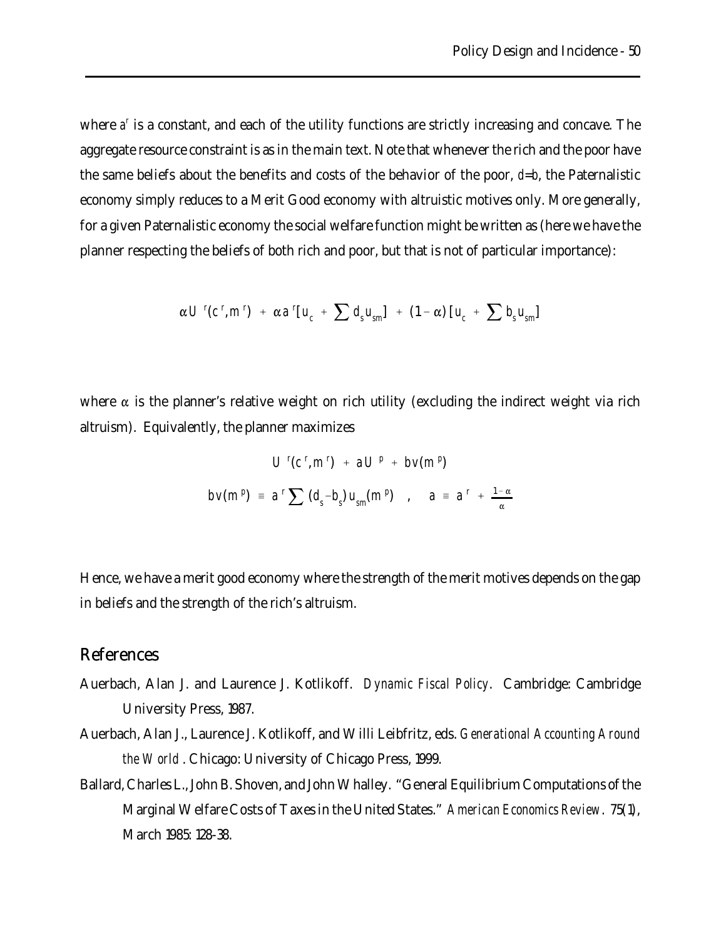where *a*<sup>r</sup> is a constant, and each of the utility functions are strictly increasing and concave. The aggregate resource constraint is as in the main text. Note that whenever the rich and the poor have the same beliefs about the benefits and costs of the behavior of the poor, *d*=*b*, the Paternalistic economy simply reduces to a Merit Good economy with altruistic motives only. More generally, for a given Paternalistic economy the social welfare function might be written as (here we have the planner respecting the beliefs of both rich and poor, but that is not of particular importance):

$$
\alpha U^{r}(c^{r}, m^{r}) + \alpha a^{r}[u_{c} + \sum d_{s}u_{sm}] + (1 - \alpha)[u_{c} + \sum b_{s}u_{sm}]
$$

where  $\alpha$  is the planner's relative weight on rich utility (excluding the indirect weight via rich altruism). Equivalently, the planner maximizes

$$
U^{r}(c^{r}, m^{r}) + aU^{p} + bv(m^{p})
$$
  

$$
bv(m^{p}) = a^{r} \sum (d_{s} - b_{s}) u_{sm}(m^{p}) , a = a^{r} + \frac{1 - \alpha}{\alpha}
$$

Hence, we have a merit good economy where the strength of the merit motives depends on the gap in beliefs and the strength of the rich's altruism.

# References

- Auerbach, Alan J. and Laurence J. Kotlikoff. *Dynamic Fiscal Policy*. Cambridge: Cambridge University Press, 1987.
- Auerbach, Alan J., Laurence J. Kotlikoff, and Willi Leibfritz, eds. *Generational Accounting Around the World* . Chicago: University of Chicago Press, 1999.
- Ballard, Charles L., John B. Shoven, and John Whalley. "General Equilibrium Computations of the Marginal Welfare Costs of Taxes in the United States." *American Economics Review*. 75(1), March 1985: 128-38.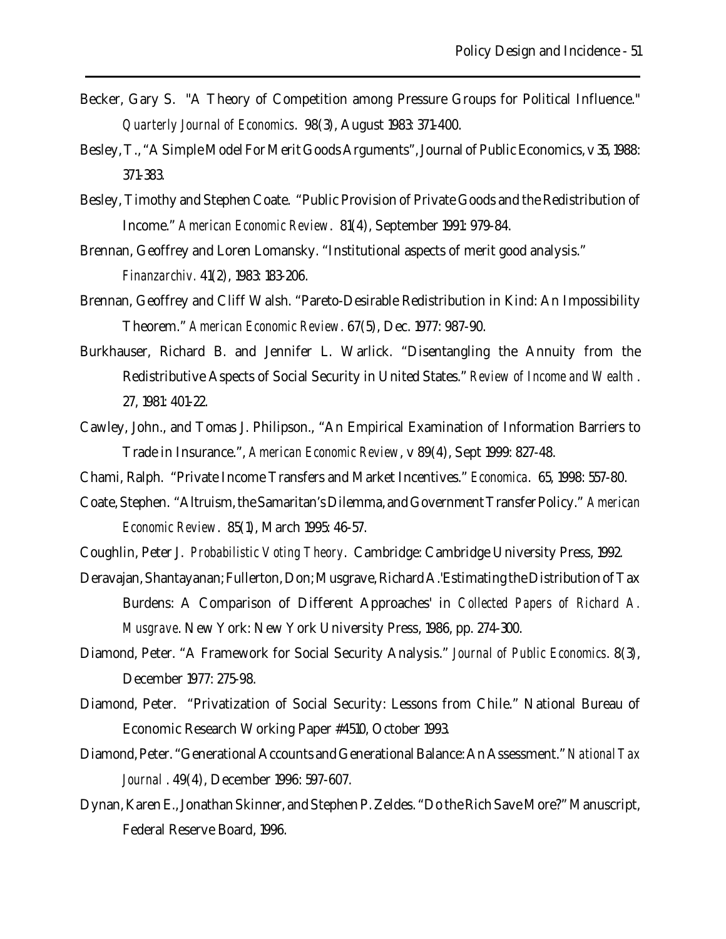- Becker, Gary S. "A Theory of Competition among Pressure Groups for Political Influence." *Quarterly Journal of Economics*. 98(3), August 1983: 371-400.
- Besley, T., "A Simple Model For Merit Goods Arguments", Journal of Public Economics, v 35, 1988: 371-383.
- Besley, Timothy and Stephen Coate. "Public Provision of Private Goods and the Redistribution of Income." *American Economic Review*. 81(4), September 1991: 979-84.

Brennan, Geoffrey and Loren Lomansky. "Institutional aspects of merit good analysis." *Finanzarchiv.* 41(2), 1983: 183-206.

- Brennan, Geoffrey and Cliff Walsh. "Pareto-Desirable Redistribution in Kind: An Impossibility Theorem." *American Economic Review*. 67(5), Dec. 1977: 987-90.
- Burkhauser, Richard B. and Jennifer L. Warlick. "Disentangling the Annuity from the Redistributive Aspects of Social Security in United States." *Review of Income and Wealth* . 27, 1981: 401-22.
- Cawley, John., and Tomas J. Philipson., "An Empirical Examination of Information Barriers to Trade in Insurance.", *American Economic Review*, v 89(4), Sept 1999: 827-48.
- Chami, Ralph. "Private Income Transfers and Market Incentives." *Economica*. 65, 1998: 557-80.
- Coate, Stephen. "Altruism, the Samaritan's Dilemma, and Government Transfer Policy." *American Economic Review*. 85(1), March 1995: 46-57.
- Coughlin, Peter J. *Probabilistic Voting Theory*. Cambridge: Cambridge University Press, 1992.
- Deravajan, Shantayanan; Fullerton, Don; Musgrave, Richard A.'Estimating the Distribution of Tax Burdens: A Comparison of Different Approaches' in *Collected Papers of Richard A. Musgrave*. New York: New York University Press, 1986, pp. 274-300.
- Diamond, Peter. "A Framework for Social Security Analysis." *Journal of Public Economics*. 8(3), December 1977: 275-98.
- Diamond, Peter. "Privatization of Social Security: Lessons from Chile." National Bureau of Economic Research Working Paper #4510, October 1993.
- Diamond, Peter. "Generational Accounts and Generational Balance: An Assessment." *National Tax Journal* . 49(4), December 1996: 597-607.
- Dynan, Karen E., Jonathan Skinner, and Stephen P. Zeldes. "Do the Rich Save More?" Manuscript, Federal Reserve Board, 1996.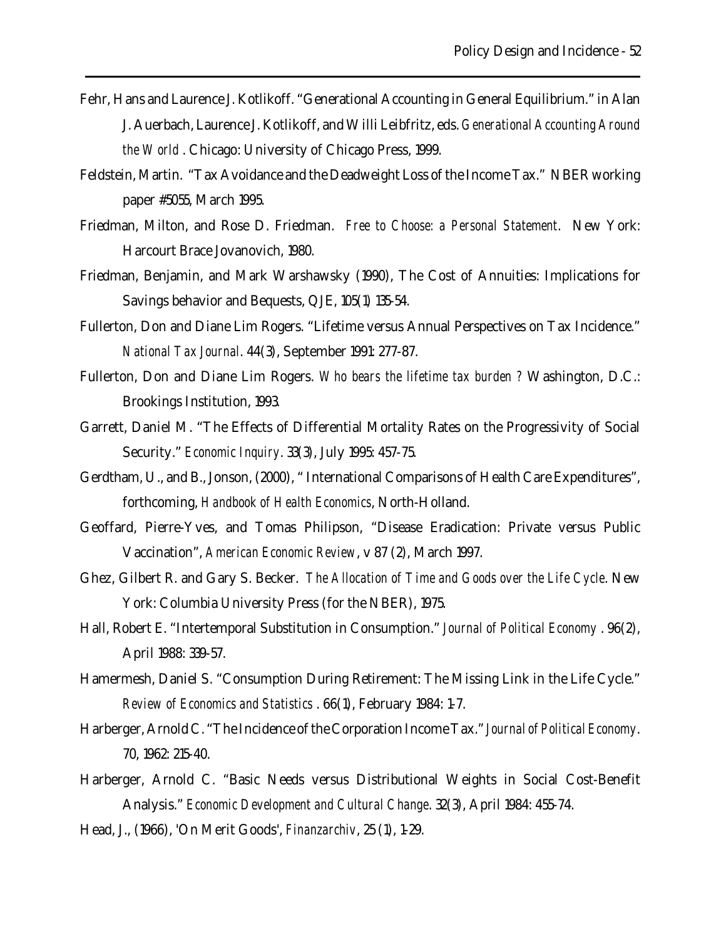- Fehr, Hans and Laurence J. Kotlikoff. "Generational Accounting in General Equilibrium." in Alan J. Auerbach, Laurence J. Kotlikoff, and Willi Leibfritz, eds. *Generational Accounting Around the World* . Chicago: University of Chicago Press, 1999.
- Feldstein, Martin. "Tax Avoidance and the Deadweight Loss of the Income Tax." NBER working paper #5055, March 1995.
- Friedman, Milton, and Rose D. Friedman. *Free to Choose: a Personal Statement*. New York: Harcourt Brace Jovanovich, 1980.
- Friedman, Benjamin, and Mark Warshawsky (1990), The Cost of Annuities: Implications for Savings behavior and Bequests, QJE, 105(1) 135-54.
- Fullerton, Don and Diane Lim Rogers. "Lifetime versus Annual Perspectives on Tax Incidence." *National Tax Journal*. 44(3), September 1991: 277-87.
- Fullerton, Don and Diane Lim Rogers. *Who bears the lifetime tax burden ?* Washington, D.C.: Brookings Institution, 1993.
- Garrett, Daniel M. "The Effects of Differential Mortality Rates on the Progressivity of Social Security." *Economic Inquiry*. 33(3), July 1995: 457-75.
- Gerdtham, U., and B., Jonson, (2000), " International Comparisons of Health Care Expenditures", forthcoming, *Handbook of Health Economics*, North-Holland.
- Geoffard, Pierre-Yves, and Tomas Philipson, "Disease Eradication: Private versus Public Vaccination", *American Economic Review*, v 87 (2), March 1997.
- Ghez, Gilbert R. and Gary S. Becker. *The Allocation of Time and Goods over the Life Cycle*. New York: Columbia University Press (for the NBER), 1975.
- Hall, Robert E. "Intertemporal Substitution in Consumption." *Journal of Political Economy* . 96(2), April 1988: 339-57.
- Hamermesh, Daniel S. "Consumption During Retirement: The Missing Link in the Life Cycle." *Review of Economics and Statistics* . 66(1), February 1984: 1-7.
- Harberger, Arnold C. "The Incidence of the Corporation Income Tax." *Journal of Political Economy*. 70, 1962: 215-40.
- Harberger, Arnold C. "Basic Needs versus Distributional Weights in Social Cost-Benefit Analysis." *Economic Development and Cultural Change*. 32(3), April 1984: 455-74.
- Head, J., (1966), 'On Merit Goods', *Finanzarchiv*, 25 (1), 1-29.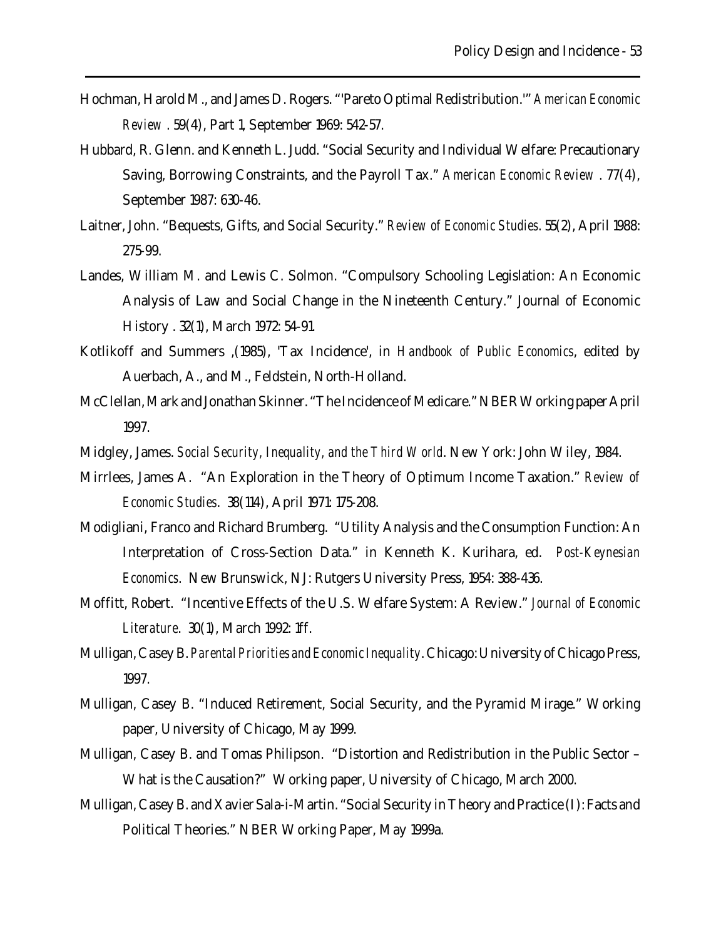- Hochman, Harold M., and James D. Rogers. "'Pareto Optimal Redistribution.'" *American Economic Review* . 59(4), Part 1, September 1969: 542-57.
- Hubbard, R. Glenn. and Kenneth L. Judd. "Social Security and Individual Welfare: Precautionary Saving, Borrowing Constraints, and the Payroll Tax." *American Economic Review* . 77(4), September 1987: 630-46.
- Laitner, John. "Bequests, Gifts, and Social Security." *Review of Economic Studies*. 55(2), April 1988: 275-99.
- Landes, William M. and Lewis C. Solmon. "Compulsory Schooling Legislation: An Economic Analysis of Law and Social Change in the Nineteenth Century." Journal of Economic History . 32(1), March 1972: 54-91.
- Kotlikoff and Summers ,(1985), 'Tax Incidence', in *Handbook of Public Economics*, edited by Auerbach, A., and M., Feldstein, North-Holland.
- McClellan, Mark and Jonathan Skinner. "The Incidence of Medicare." NBER Working paper April 1997.
- Midgley, James. *Social Security, Inequality, and the Third World*. New York: John Wiley, 1984.
- Mirrlees, James A. "An Exploration in the Theory of Optimum Income Taxation." *Review of Economic Studies*. 38(114), April 1971: 175-208.
- Modigliani, Franco and Richard Brumberg. "Utility Analysis and the Consumption Function: An Interpretation of Cross-Section Data." in Kenneth K. Kurihara, ed. *Post-Keynesian Economics*. New Brunswick, NJ: Rutgers University Press, 1954: 388-436.
- Moffitt, Robert. "Incentive Effects of the U.S. Welfare System: A Review." *Journal of Economic Literature*. 30(1), March 1992: 1ff.
- Mulligan, Casey B. *Parental Priorities and Economic Inequality*. Chicago: University of Chicago Press, 1997.
- Mulligan, Casey B. "Induced Retirement, Social Security, and the Pyramid Mirage." Working paper, University of Chicago, May 1999.
- Mulligan, Casey B. and Tomas Philipson. "Distortion and Redistribution in the Public Sector What is the Causation?" Working paper, University of Chicago, March 2000.
- Mulligan, Casey B. and Xavier Sala-i-Martin. "Social Security in Theory and Practice (I): Facts and Political Theories." NBER Working Paper, May 1999a.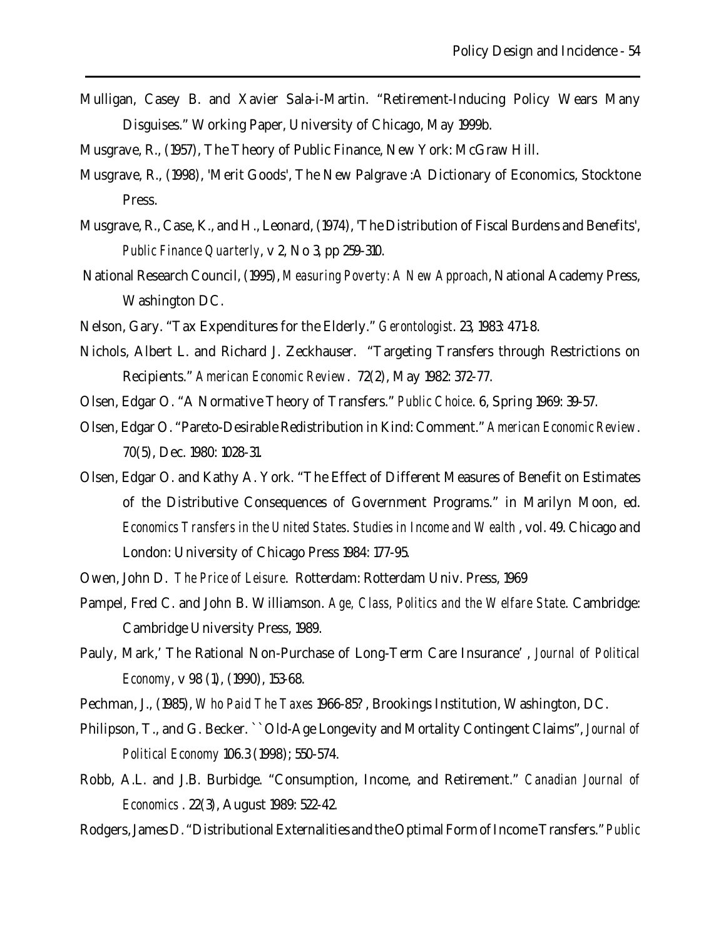Mulligan, Casey B. and Xavier Sala-i-Martin. "Retirement-Inducing Policy Wears Many Disguises." Working Paper, University of Chicago, May 1999b.

Musgrave, R., (1957), The Theory of Public Finance, New York: McGraw Hill.

- Musgrave, R., (1998), 'Merit Goods', The New Palgrave :A Dictionary of Economics, Stocktone Press.
- Musgrave, R., Case, K., and H., Leonard, (1974), 'The Distribution of Fiscal Burdens and Benefits', *Public Finance Quarterly*, v 2, No 3, pp 259-310.
- National Research Council, (1995), *Measuring Poverty: A New Approach*, National Academy Press, Washington DC.
- Nelson, Gary. "Tax Expenditures for the Elderly." *Gerontologist*. 23, 1983: 471-8.
- Nichols, Albert L. and Richard J. Zeckhauser. "Targeting Transfers through Restrictions on Recipients." *American Economic Review*. 72(2), May 1982: 372-77.
- Olsen, Edgar O. "A Normative Theory of Transfers." *Public Choice*. 6, Spring 1969: 39-57.
- Olsen, Edgar O. "Pareto-Desirable Redistribution in Kind: Comment." *American Economic Review*. 70(5), Dec. 1980: 1028-31.
- Olsen, Edgar O. and Kathy A. York. "The Effect of Different Measures of Benefit on Estimates of the Distributive Consequences of Government Programs." in Marilyn Moon, ed. *Economics Transfers in the United States*. *Studies in Income and Wealth* , vol. 49. Chicago and London: University of Chicago Press 1984: 177-95.
- Owen, John D. *The Price of Leisure*. Rotterdam: Rotterdam Univ. Press, 1969
- Pampel, Fred C. and John B. Williamson. *Age, Class, Politics and the Welfare State*. Cambridge: Cambridge University Press, 1989.
- Pauly, Mark,' The Rational Non-Purchase of Long-Term Care Insurance' , *Journal of Political Economy*, v 98 (1), (1990), 153-68.
- Pechman, J., (1985), *Who Paid The Taxes* 1966-85? , Brookings Institution, Washington, DC.
- Philipson, T., and G. Becker. ``Old-Age Longevity and Mortality Contingent Claims", *Journal of Political Economy* 106.3 (1998); 550-574.
- Robb, A.L. and J.B. Burbidge. "Consumption, Income, and Retirement." *Canadian Journal of Economics* . 22(3), August 1989: 522-42.
- Rodgers, James D. "Distributional Externalities and the Optimal Form of Income Transfers." *Public*